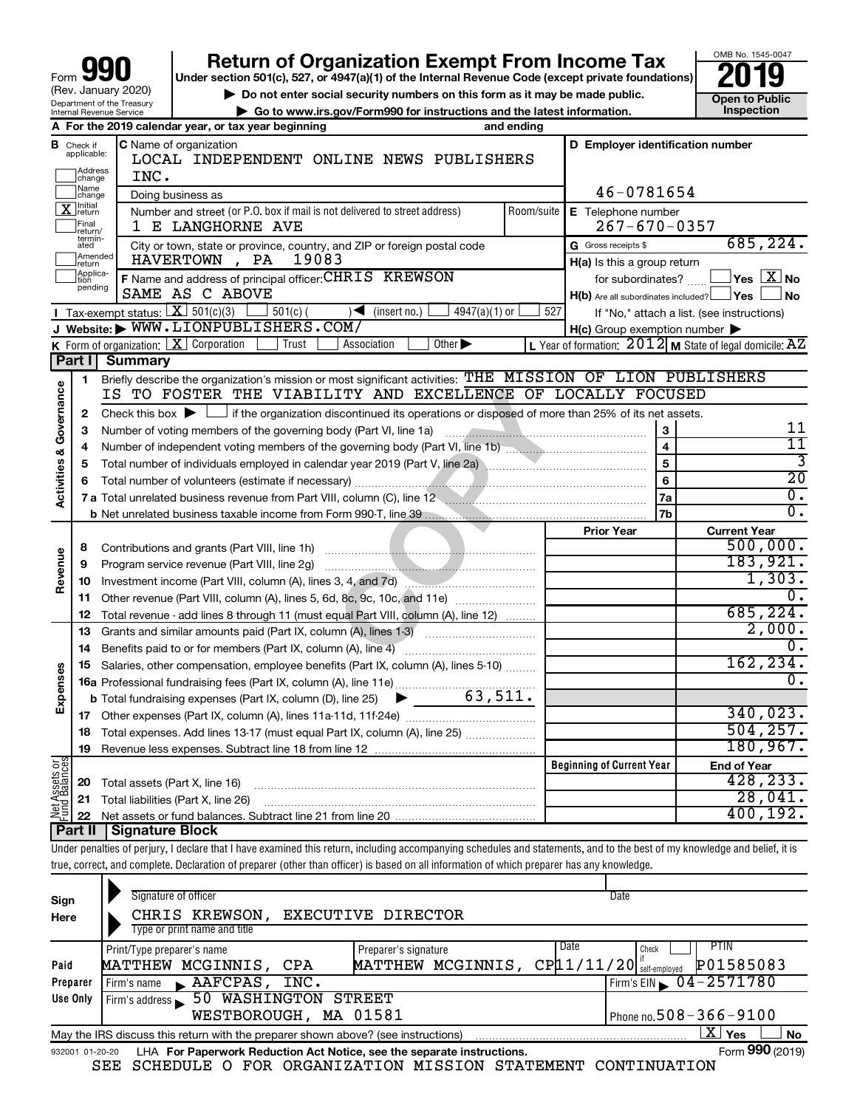| 90<br>Form                                                    |
|---------------------------------------------------------------|
| (Rev. January 2020)                                           |
| Department of the Treasury<br><b>Internal Revenue Service</b> |

# **your Beart of Organization Exempt From Income Tax Properties and Solution Solutions Properties and Solutions Properties and Solutions Properties and Solutions Properties and Solutions Properties and Solutions**

▶ Do not enter social security numbers on this form as it may be made public. **Dependent Open to Public Dependent Open to Public and the latest information.** Inspection **| Go to www.irs.gov/Form990 for instructions and the latest information. Inspection**

OMB No. 1545-0047

|                                                                                           |                                            | A For the 2019 calendar year, or tax year beginning                                                                                                                        | and ending |                                                  |                                                             |  |  |  |  |  |
|-------------------------------------------------------------------------------------------|--------------------------------------------|----------------------------------------------------------------------------------------------------------------------------------------------------------------------------|------------|--------------------------------------------------|-------------------------------------------------------------|--|--|--|--|--|
| В                                                                                         | Check if<br>applicable:<br>Address         | C Name of organization<br>LOCAL INDEPENDENT ONLINE NEWS PUBLISHERS                                                                                                         |            | D Employer identification number                 |                                                             |  |  |  |  |  |
|                                                                                           | change<br>Name<br>change                   | INC.<br>Doing business as                                                                                                                                                  |            | 46-0781654                                       |                                                             |  |  |  |  |  |
|                                                                                           | ∏ <sup>nitial</sup><br>]return             | Number and street (or P.O. box if mail is not delivered to street address)                                                                                                 |            | Room/suite   E Telephone number                  |                                                             |  |  |  |  |  |
|                                                                                           | Final<br> return/                          | 1 E LANGHORNE AVE                                                                                                                                                          |            | $267 - 670 - 0357$                               |                                                             |  |  |  |  |  |
|                                                                                           | termin-<br>ated                            | City or town, state or province, country, and ZIP or foreign postal code                                                                                                   |            | G Gross receipts \$                              | 685, 224.                                                   |  |  |  |  |  |
|                                                                                           | Amended<br>return                          | 19083<br>HAVERTOWN, PA                                                                                                                                                     |            | H(a) Is this a group return                      |                                                             |  |  |  |  |  |
|                                                                                           | Applica-<br>tion                           | F Name and address of principal officer: CHRIS KREWSON                                                                                                                     |            | for subordinates?                                | $\Box$ Yes $X_{N0}$                                         |  |  |  |  |  |
|                                                                                           | pending                                    | SAME AS C ABOVE                                                                                                                                                            |            | $H(b)$ Are all subordinates included? $\Box$ Yes | l No                                                        |  |  |  |  |  |
| <b>I</b> Tax-exempt status: $X \over 301(c)(3)$                                           | If "No," attach a list. (see instructions) |                                                                                                                                                                            |            |                                                  |                                                             |  |  |  |  |  |
| J Website: WWW.LIONPUBLISHERS.COM/<br>$H(c)$ Group exemption number $\blacktriangleright$ |                                            |                                                                                                                                                                            |            |                                                  |                                                             |  |  |  |  |  |
|                                                                                           |                                            | K Form of organization: $X$ Corporation<br>Trust<br>Association<br>$\overline{Other}$                                                                                      |            |                                                  | L Year of formation: $2012$ M State of legal domicile: $AZ$ |  |  |  |  |  |
|                                                                                           | Part I                                     | Summary                                                                                                                                                                    |            |                                                  |                                                             |  |  |  |  |  |
|                                                                                           | 1                                          | Briefly describe the organization's mission or most significant activities: THE MISSION OF LION PUBLISHERS                                                                 |            |                                                  |                                                             |  |  |  |  |  |
| & Governance                                                                              |                                            | IS TO FOSTER THE VIABILITY AND EXCELLENCE OF LOCALLY FOCUSED                                                                                                               |            |                                                  |                                                             |  |  |  |  |  |
|                                                                                           | 2                                          | Check this box $\blacktriangleright$ $\Box$ if the organization discontinued its operations or disposed of more than 25% of its net assets.                                |            |                                                  |                                                             |  |  |  |  |  |
|                                                                                           | З                                          | Number of voting members of the governing body (Part VI, line 1a)                                                                                                          |            | 3                                                | 11                                                          |  |  |  |  |  |
|                                                                                           | 4                                          |                                                                                                                                                                            |            | $\overline{\mathbf{4}}$                          | $\overline{11}$                                             |  |  |  |  |  |
|                                                                                           | 5                                          |                                                                                                                                                                            |            | 5                                                | 3                                                           |  |  |  |  |  |
| Activities                                                                                | 6                                          |                                                                                                                                                                            |            | 6                                                | $\overline{20}$                                             |  |  |  |  |  |
|                                                                                           |                                            | 7 a Total unrelated business revenue from Part VIII, column (C), line 12 <i>manual communical communical</i> control                                                       |            | 7a                                               | $\overline{0}$ .                                            |  |  |  |  |  |
|                                                                                           |                                            |                                                                                                                                                                            |            | 7b                                               | σ.                                                          |  |  |  |  |  |
|                                                                                           |                                            |                                                                                                                                                                            |            | <b>Prior Year</b>                                | <b>Current Year</b>                                         |  |  |  |  |  |
|                                                                                           | 8                                          | Contributions and grants (Part VIII, line 1h)                                                                                                                              |            | 500,000.                                         |                                                             |  |  |  |  |  |
| Revenue                                                                                   | 9                                          | Program service revenue (Part VIII, line 2g)                                                                                                                               |            |                                                  | 183,921.<br>1,303.                                          |  |  |  |  |  |
|                                                                                           | 10                                         | Investment income (Part VIII, column (A), lines 3, 4, and 7d)                                                                                                              |            |                                                  | 0.                                                          |  |  |  |  |  |
|                                                                                           | 11                                         | Other revenue (Part VIII, column (A), lines 5, 6d, 8c, 9c, 10c, and 11e)                                                                                                   |            |                                                  |                                                             |  |  |  |  |  |
|                                                                                           | 12                                         | Total revenue - add lines 8 through 11 (must equal Part VIII, column (A), line 12)                                                                                         |            |                                                  | 685, 224.<br>2,000.                                         |  |  |  |  |  |
|                                                                                           | 13                                         | Grants and similar amounts paid (Part IX, column (A), lines 1-3)                                                                                                           |            |                                                  | о.                                                          |  |  |  |  |  |
|                                                                                           | 14                                         | Benefits paid to or for members (Part IX, column (A), line 4)                                                                                                              |            |                                                  | 162,234.                                                    |  |  |  |  |  |
|                                                                                           |                                            | Salaries, other compensation, employee benefits (Part IX, column (A), lines 5-10)                                                                                          |            |                                                  | Ο.                                                          |  |  |  |  |  |
| Expenses                                                                                  |                                            |                                                                                                                                                                            |            |                                                  |                                                             |  |  |  |  |  |
|                                                                                           |                                            |                                                                                                                                                                            |            |                                                  | 340,023.                                                    |  |  |  |  |  |
|                                                                                           |                                            | 18 Total expenses. Add lines 13-17 (must equal Part IX, column (A), line 25)                                                                                               |            |                                                  | 504, 257.                                                   |  |  |  |  |  |
|                                                                                           | 19                                         |                                                                                                                                                                            |            |                                                  | $180,967$ .                                                 |  |  |  |  |  |
|                                                                                           |                                            |                                                                                                                                                                            |            | <b>Beginning of Current Year</b>                 | <b>End of Year</b>                                          |  |  |  |  |  |
| <b>Net Assets or</b><br>Fund Balances                                                     | 20                                         | Total assets (Part X, line 16)                                                                                                                                             |            |                                                  | 428, 233.                                                   |  |  |  |  |  |
|                                                                                           | 21                                         | Total liabilities (Part X, line 26)                                                                                                                                        |            |                                                  | 28,041.                                                     |  |  |  |  |  |
|                                                                                           | 22                                         |                                                                                                                                                                            |            |                                                  | 400, 192.                                                   |  |  |  |  |  |
|                                                                                           | Part II                                    | <b>Signature Block</b>                                                                                                                                                     |            |                                                  |                                                             |  |  |  |  |  |
|                                                                                           |                                            | Under penalties of perjury, I declare that I have examined this return, including accompanying schedules and statements, and to the best of my knowledge and belief, it is |            |                                                  |                                                             |  |  |  |  |  |
|                                                                                           |                                            | true, correct, and complete. Declaration of preparer (other than officer) is based on all information of which preparer has any knowledge.                                 |            |                                                  |                                                             |  |  |  |  |  |
|                                                                                           |                                            |                                                                                                                                                                            |            |                                                  |                                                             |  |  |  |  |  |
|                                                                                           |                                            | Signature of officer                                                                                                                                                       |            | <b>Date</b>                                      |                                                             |  |  |  |  |  |

| Sign<br>Here | Signature of officer<br>CHRIS KREWSON,<br>Type or print name and title                                       | EXECUTIVE DIRECTOR   | Date                                        |  |  |  |  |  |  |  |
|--------------|--------------------------------------------------------------------------------------------------------------|----------------------|---------------------------------------------|--|--|--|--|--|--|--|
|              | Print/Type preparer's name                                                                                   | Preparer's signature | PTIN.<br>Date<br>Check<br>P01585083         |  |  |  |  |  |  |  |
| Paid         | MATTHEW MCGINNIS,<br>CPA                                                                                     | MATTHEW MCGINNIS,    | $CP$ $11/11/20$ $\frac{17}{}$ self-employed |  |  |  |  |  |  |  |
| Preparer     | $\blacktriangle$ AAFCPAS,<br>INC.<br>Firm's name                                                             |                      | Firm's EIN $\sqrt{04-2571780}$              |  |  |  |  |  |  |  |
| Use Only     | 50 WASHINGTON<br>Firm's address                                                                              | STREET               |                                             |  |  |  |  |  |  |  |
|              | Phone no. $508 - 366 - 9100$<br>WESTBOROUGH, MA 01581                                                        |                      |                                             |  |  |  |  |  |  |  |
|              | May the IRS discuss this return with the preparer shown above? (see instructions)                            |                      | ∟X∐ Yes<br><b>No</b>                        |  |  |  |  |  |  |  |
|              | Form 990 (2019)<br>LHA For Paperwork Reduction Act Notice, see the separate instructions.<br>932001 01-20-20 |                      |                                             |  |  |  |  |  |  |  |

SEE SCHEDULE O FOR ORGANIZATION MISSION STATEMENT CONTINUATION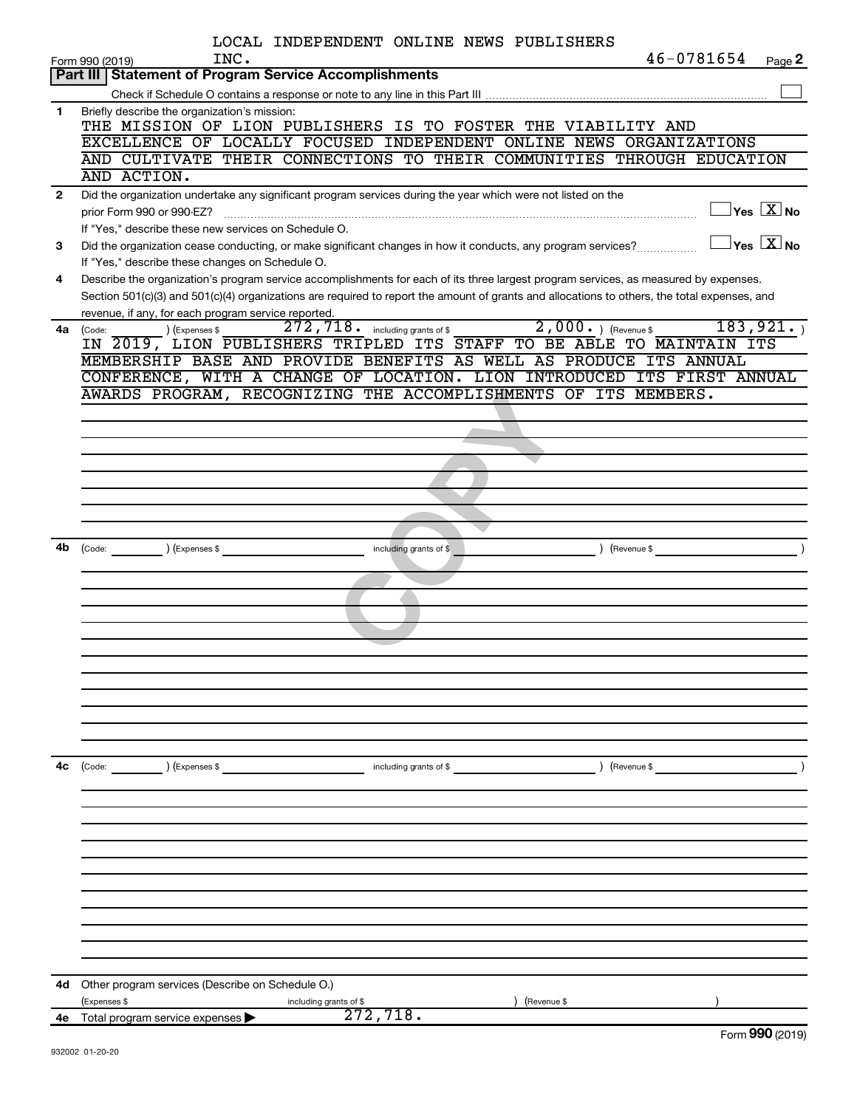|                | LOCAL INDEPENDENT ONLINE NEWS PUBLISHERS                                                                                                                |        |
|----------------|---------------------------------------------------------------------------------------------------------------------------------------------------------|--------|
|                | 46-0781654<br>INC.<br>Form 990 (2019)                                                                                                                   | Page 2 |
|                | <b>Part III Statement of Program Service Accomplishments</b>                                                                                            |        |
| 1              | Briefly describe the organization's mission:                                                                                                            |        |
|                | THE MISSION OF LION PUBLISHERS IS TO FOSTER THE VIABILITY AND                                                                                           |        |
|                | EXCELLENCE OF LOCALLY FOCUSED INDEPENDENT ONLINE NEWS ORGANIZATIONS                                                                                     |        |
|                | AND CULTIVATE THEIR CONNECTIONS TO THEIR COMMUNITIES THROUGH EDUCATION                                                                                  |        |
|                | AND ACTION.                                                                                                                                             |        |
| $\overline{2}$ | Did the organization undertake any significant program services during the year which were not listed on the                                            |        |
|                | $\overline{X}$ Yes $\overline{X}$ No                                                                                                                    |        |
|                | If "Yes." describe these new services on Schedule O.                                                                                                    |        |
| 3              | $\Box$ Yes $[\overline{\mathrm{X}}]$ No<br>Did the organization cease conducting, or make significant changes in how it conducts, any program services? |        |
|                | If "Yes," describe these changes on Schedule O.                                                                                                         |        |
| 4              | Describe the organization's program service accomplishments for each of its three largest program services, as measured by expenses.                    |        |
|                | Section 501(c)(3) and 501(c)(4) organizations are required to report the amount of grants and allocations to others, the total expenses, and            |        |
| 4a             | revenue, if any, for each program service reported.<br>2,000. ) (Revenue \$<br>272,718. including grants of \$<br>183, 921.<br>) (Expenses \$<br>(Code: |        |
|                | IN 2019, LION PUBLISHERS TRIPLED ITS STAFF TO BE ABLE TO MAINTAIN ITS                                                                                   |        |
|                | MEMBERSHIP BASE AND PROVIDE BENEFITS AS WELL AS PRODUCE ITS ANNUAL                                                                                      |        |
|                | CONFERENCE, WITH A CHANGE OF LOCATION. LION INTRODUCED ITS FIRST ANNUAL                                                                                 |        |
|                | AWARDS PROGRAM, RECOGNIZING THE ACCOMPLISHMENTS OF ITS MEMBERS.                                                                                         |        |
|                |                                                                                                                                                         |        |
|                |                                                                                                                                                         |        |
|                |                                                                                                                                                         |        |
|                |                                                                                                                                                         |        |
|                |                                                                                                                                                         |        |
|                |                                                                                                                                                         |        |
|                |                                                                                                                                                         |        |
| 4b             | $\begin{pmatrix} \text{Code:} \\ \end{pmatrix}$ $\begin{pmatrix} \text{Expenses } \$ \end{pmatrix}$<br>including grants of \$<br>$($ Revenue \$         |        |
|                |                                                                                                                                                         |        |
|                |                                                                                                                                                         |        |
|                |                                                                                                                                                         |        |
|                |                                                                                                                                                         |        |
|                |                                                                                                                                                         |        |
|                |                                                                                                                                                         |        |
|                |                                                                                                                                                         |        |
|                |                                                                                                                                                         |        |
|                |                                                                                                                                                         |        |
|                |                                                                                                                                                         |        |
|                |                                                                                                                                                         |        |
| 4c             | (Code: ) (Expenses \$ including grants of \$ ) (Revenue \$ )                                                                                            |        |
|                |                                                                                                                                                         |        |
|                |                                                                                                                                                         |        |
|                |                                                                                                                                                         |        |
|                |                                                                                                                                                         |        |
|                |                                                                                                                                                         |        |
|                |                                                                                                                                                         |        |
|                |                                                                                                                                                         |        |
|                |                                                                                                                                                         |        |
|                |                                                                                                                                                         |        |
|                |                                                                                                                                                         |        |
|                |                                                                                                                                                         |        |
| 4d -           | Other program services (Describe on Schedule O.)<br>(Revenue \$<br>(Expenses \$<br>including grants of \$                                               |        |
|                | 272,718.<br>4e Total program service expenses $\blacktriangleright$                                                                                     |        |
|                | $\mathbf{a} \mathbf{a}$                                                                                                                                 |        |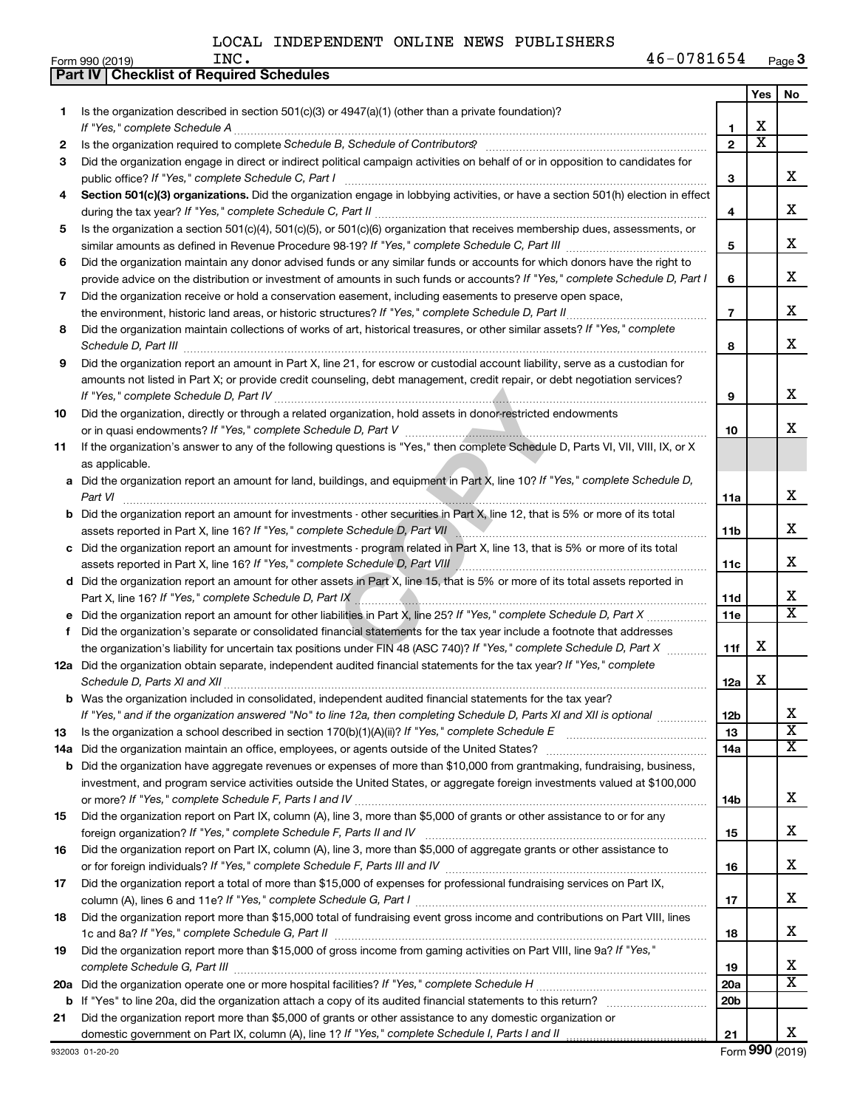$\blacksquare$ Form 990 (2019)  $\blacksquare$   $\blacksquare$   $\blacksquare$   $\blacksquare$   $\blacksquare$   $\blacksquare$   $\blacksquare$   $\blacksquare$   $\blacksquare$   $\blacksquare$   $\blacksquare$   $\blacksquare$   $\blacksquare$   $\blacksquare$   $\blacksquare$   $\blacksquare$   $\blacksquare$   $\blacksquare$   $\blacksquare$   $\blacksquare$   $\blacksquare$   $\blacksquare$   $\blacksquare$   $\blacksquare$   $\blacksquare$   $\blacksquare$   $\blacksquare$   $\blacksquare$   $\bl$ **3** INC. 46-0781654

|     | <b>Part IV   Checklist of Required Schedules</b>                                                                                 |                 |                         |                         |
|-----|----------------------------------------------------------------------------------------------------------------------------------|-----------------|-------------------------|-------------------------|
|     |                                                                                                                                  |                 | Yes                     | No                      |
| 1.  | Is the organization described in section 501(c)(3) or $4947(a)(1)$ (other than a private foundation)?                            |                 |                         |                         |
|     | If "Yes," complete Schedule A                                                                                                    | 1               | х                       |                         |
| 2   |                                                                                                                                  | $\overline{2}$  | $\overline{\mathtt{x}}$ |                         |
| 3   | Did the organization engage in direct or indirect political campaign activities on behalf of or in opposition to candidates for  |                 |                         |                         |
|     | public office? If "Yes," complete Schedule C, Part I                                                                             | 3               |                         | х                       |
| 4   | Section 501(c)(3) organizations. Did the organization engage in lobbying activities, or have a section 501(h) election in effect |                 |                         |                         |
|     |                                                                                                                                  | 4               |                         | х                       |
| 5   | Is the organization a section 501(c)(4), 501(c)(5), or 501(c)(6) organization that receives membership dues, assessments, or     |                 |                         |                         |
|     |                                                                                                                                  | 5               |                         | x                       |
| 6   | Did the organization maintain any donor advised funds or any similar funds or accounts for which donors have the right to        |                 |                         |                         |
|     | provide advice on the distribution or investment of amounts in such funds or accounts? If "Yes," complete Schedule D, Part I     | 6               |                         | x                       |
| 7   | Did the organization receive or hold a conservation easement, including easements to preserve open space,                        |                 |                         |                         |
|     | the environment, historic land areas, or historic structures? If "Yes," complete Schedule D, Part II                             | $\overline{7}$  |                         | х                       |
| 8   | Did the organization maintain collections of works of art, historical treasures, or other similar assets? If "Yes," complete     |                 |                         |                         |
|     | Schedule D, Part III <b>Marting Communities</b> Contract and Technical Communities Contract and Technical Communities            | 8               |                         | x                       |
| 9   | Did the organization report an amount in Part X, line 21, for escrow or custodial account liability, serve as a custodian for    |                 |                         |                         |
|     | amounts not listed in Part X; or provide credit counseling, debt management, credit repair, or debt negotiation services?        |                 |                         |                         |
|     |                                                                                                                                  | 9               |                         | х                       |
| 10  | Did the organization, directly or through a related organization, hold assets in donor-restricted endowments                     |                 |                         |                         |
|     |                                                                                                                                  | 10              |                         | x                       |
| 11  | If the organization's answer to any of the following questions is "Yes," then complete Schedule D, Parts VI, VII, VIII, IX, or X |                 |                         |                         |
|     | as applicable.                                                                                                                   |                 |                         |                         |
| а   | Did the organization report an amount for land, buildings, and equipment in Part X, line 10? If "Yes," complete Schedule D,      |                 |                         |                         |
|     | Part VI                                                                                                                          | 11a             |                         | х                       |
| b   | Did the organization report an amount for investments - other securities in Part X, line 12, that is 5% or more of its total     |                 |                         |                         |
|     | assets reported in Part X, line 16? If "Yes," complete Schedule D, Part VII                                                      | 11b             |                         | х                       |
| с   | Did the organization report an amount for investments - program related in Part X, line 13, that is 5% or more of its total      |                 |                         |                         |
|     | assets reported in Part X, line 16? If "Yes," complete Schedule D, Part VIII                                                     | 11c             |                         | х                       |
|     | d Did the organization report an amount for other assets in Part X, line 15, that is 5% or more of its total assets reported in  |                 |                         |                         |
|     |                                                                                                                                  | 11d             |                         | x                       |
|     | Did the organization report an amount for other liabilities in Part X, line 25? If "Yes," complete Schedule D, Part X            | 11e             |                         | $\overline{\texttt{x}}$ |
| f   | Did the organization's separate or consolidated financial statements for the tax year include a footnote that addresses          |                 |                         |                         |
|     | the organization's liability for uncertain tax positions under FIN 48 (ASC 740)? If "Yes," complete Schedule D, Part X           | 11f             | х                       |                         |
|     | 12a Did the organization obtain separate, independent audited financial statements for the tax year? If "Yes," complete          |                 |                         |                         |
|     |                                                                                                                                  | 12a             | х                       |                         |
|     | Was the organization included in consolidated, independent audited financial statements for the tax year?                        |                 |                         |                         |
|     | If "Yes," and if the organization answered "No" to line 12a, then completing Schedule D, Parts XI and XII is optional            | 12 <sub>b</sub> |                         | х                       |
| 13  |                                                                                                                                  | 13              |                         | $\overline{\textbf{x}}$ |
| 14a | Did the organization maintain an office, employees, or agents outside of the United States?                                      | 14a             |                         | $\overline{\text{X}}$   |
|     | <b>b</b> Did the organization have aggregate revenues or expenses of more than \$10,000 from grantmaking, fundraising, business, |                 |                         |                         |
|     | investment, and program service activities outside the United States, or aggregate foreign investments valued at \$100,000       |                 |                         |                         |
|     |                                                                                                                                  | 14b             |                         | x                       |
| 15  | Did the organization report on Part IX, column (A), line 3, more than \$5,000 of grants or other assistance to or for any        |                 |                         |                         |
|     |                                                                                                                                  | 15              |                         | x                       |
| 16  | Did the organization report on Part IX, column (A), line 3, more than \$5,000 of aggregate grants or other assistance to         |                 |                         |                         |
|     |                                                                                                                                  | 16              |                         | x                       |
| 17  | Did the organization report a total of more than \$15,000 of expenses for professional fundraising services on Part IX,          |                 |                         |                         |
|     |                                                                                                                                  | 17              |                         | x                       |
| 18  | Did the organization report more than \$15,000 total of fundraising event gross income and contributions on Part VIII, lines     |                 |                         |                         |
|     |                                                                                                                                  | 18              |                         | x                       |
| 19  | Did the organization report more than \$15,000 of gross income from gaming activities on Part VIII, line 9a? If "Yes,"           |                 |                         |                         |
|     |                                                                                                                                  | 19              |                         | x                       |
| 20a |                                                                                                                                  | 20a             |                         | $\overline{\texttt{x}}$ |
| b   |                                                                                                                                  | 20 <sub>b</sub> |                         |                         |
| 21  | Did the organization report more than \$5,000 of grants or other assistance to any domestic organization or                      |                 |                         |                         |
|     |                                                                                                                                  | 21              |                         | x                       |
|     |                                                                                                                                  |                 |                         |                         |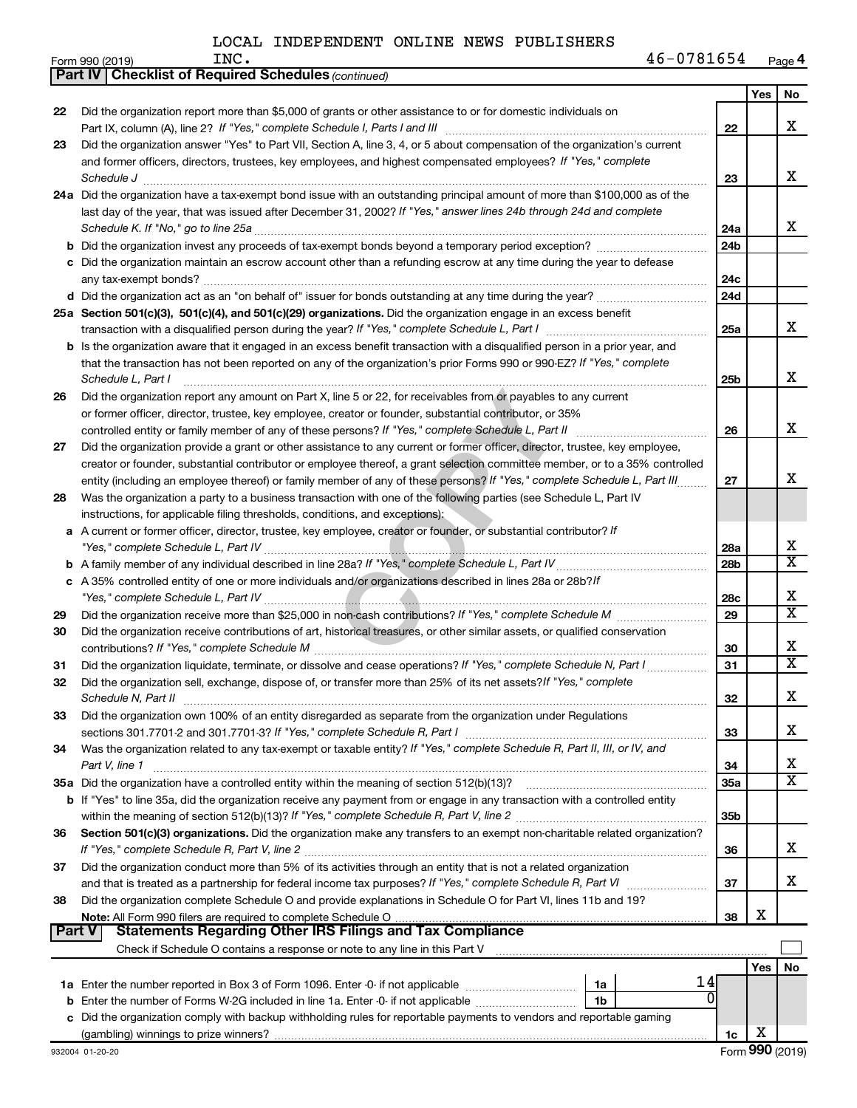|               | <b>Part IV   Checklist of Required Schedules (continued)</b>                                                                                                                                                                                 |                 |     |                         |
|---------------|----------------------------------------------------------------------------------------------------------------------------------------------------------------------------------------------------------------------------------------------|-----------------|-----|-------------------------|
|               |                                                                                                                                                                                                                                              |                 | Yes | No                      |
| 22            | Did the organization report more than \$5,000 of grants or other assistance to or for domestic individuals on                                                                                                                                |                 |     |                         |
|               |                                                                                                                                                                                                                                              | 22              |     | X                       |
| 23            | Did the organization answer "Yes" to Part VII, Section A, line 3, 4, or 5 about compensation of the organization's current                                                                                                                   |                 |     |                         |
|               | and former officers, directors, trustees, key employees, and highest compensated employees? If "Yes," complete                                                                                                                               |                 |     |                         |
|               |                                                                                                                                                                                                                                              | 23              |     | х                       |
|               | Schedule J                                                                                                                                                                                                                                   |                 |     |                         |
|               | 24a Did the organization have a tax-exempt bond issue with an outstanding principal amount of more than \$100,000 as of the                                                                                                                  |                 |     |                         |
|               | last day of the year, that was issued after December 31, 2002? If "Yes," answer lines 24b through 24d and complete                                                                                                                           |                 |     |                         |
|               |                                                                                                                                                                                                                                              | 24a             |     | x                       |
|               | <b>b</b> Did the organization invest any proceeds of tax-exempt bonds beyond a temporary period exception?                                                                                                                                   | 24 <sub>b</sub> |     |                         |
|               | c Did the organization maintain an escrow account other than a refunding escrow at any time during the year to defease                                                                                                                       |                 |     |                         |
|               |                                                                                                                                                                                                                                              | 24c             |     |                         |
|               |                                                                                                                                                                                                                                              | 24d             |     |                         |
|               | 25a Section 501(c)(3), 501(c)(4), and 501(c)(29) organizations. Did the organization engage in an excess benefit                                                                                                                             |                 |     |                         |
|               |                                                                                                                                                                                                                                              | 25a             |     | x                       |
|               | b Is the organization aware that it engaged in an excess benefit transaction with a disqualified person in a prior year, and                                                                                                                 |                 |     |                         |
|               | that the transaction has not been reported on any of the organization's prior Forms 990 or 990-EZ? If "Yes," complete                                                                                                                        |                 |     |                         |
|               | Schedule L, Part I                                                                                                                                                                                                                           | 25 <sub>b</sub> |     | X                       |
| 26            | Did the organization report any amount on Part X, line 5 or 22, for receivables from or payables to any current                                                                                                                              |                 |     |                         |
|               | or former officer, director, trustee, key employee, creator or founder, substantial contributor, or 35%                                                                                                                                      |                 |     |                         |
|               | controlled entity or family member of any of these persons? If "Yes," complete Schedule L, Part II                                                                                                                                           | 26              |     | X                       |
| 27            | Did the organization provide a grant or other assistance to any current or former officer, director, trustee, key employee,                                                                                                                  |                 |     |                         |
|               | creator or founder, substantial contributor or employee thereof, a grant selection committee member, or to a 35% controlled                                                                                                                  |                 |     |                         |
|               | entity (including an employee thereof) or family member of any of these persons? If "Yes," complete Schedule L, Part III                                                                                                                     | 27              |     | х                       |
|               |                                                                                                                                                                                                                                              |                 |     |                         |
| 28            | Was the organization a party to a business transaction with one of the following parties (see Schedule L, Part IV                                                                                                                            |                 |     |                         |
|               | instructions, for applicable filing thresholds, conditions, and exceptions):                                                                                                                                                                 |                 |     |                         |
| а             | A current or former officer, director, trustee, key employee, creator or founder, or substantial contributor? If                                                                                                                             |                 |     |                         |
|               |                                                                                                                                                                                                                                              | 28a             |     | х                       |
|               |                                                                                                                                                                                                                                              | 28 <sub>b</sub> |     | $\overline{\text{x}}$   |
| с             | A 35% controlled entity of one or more individuals and/or organizations described in lines 28a or 28b?/f                                                                                                                                     |                 |     |                         |
|               |                                                                                                                                                                                                                                              | 28c             |     | X                       |
| 29            |                                                                                                                                                                                                                                              | 29              |     | $\overline{\textbf{X}}$ |
| 30            | Did the organization receive contributions of art, historical treasures, or other similar assets, or qualified conservation                                                                                                                  |                 |     |                         |
|               |                                                                                                                                                                                                                                              | 30              |     | х                       |
| 31            | Did the organization liquidate, terminate, or dissolve and cease operations? If "Yes," complete Schedule N, Part I                                                                                                                           | 31              |     | $\overline{\textbf{X}}$ |
| 32            | Did the organization sell, exchange, dispose of, or transfer more than 25% of its net assets? If "Yes," complete                                                                                                                             |                 |     |                         |
|               | Schedule N, Part II                                                                                                                                                                                                                          | 32              |     | X                       |
| 33            | Did the organization own 100% of an entity disregarded as separate from the organization under Regulations                                                                                                                                   |                 |     |                         |
|               |                                                                                                                                                                                                                                              | 33              |     | х                       |
| 34            | Was the organization related to any tax-exempt or taxable entity? If "Yes," complete Schedule R, Part II, III, or IV, and                                                                                                                    |                 |     |                         |
|               | Part V, line 1                                                                                                                                                                                                                               | 34              |     | х                       |
|               |                                                                                                                                                                                                                                              | 35a             |     | X                       |
|               | b If "Yes" to line 35a, did the organization receive any payment from or engage in any transaction with a controlled entity                                                                                                                  |                 |     |                         |
|               |                                                                                                                                                                                                                                              | 35 <sub>b</sub> |     |                         |
| 36            | Section 501(c)(3) organizations. Did the organization make any transfers to an exempt non-charitable related organization?                                                                                                                   |                 |     |                         |
|               |                                                                                                                                                                                                                                              | 36              |     | х                       |
|               | Did the organization conduct more than 5% of its activities through an entity that is not a related organization                                                                                                                             |                 |     |                         |
| 37            |                                                                                                                                                                                                                                              |                 |     | х                       |
|               |                                                                                                                                                                                                                                              | 37              |     |                         |
| 38            | Did the organization complete Schedule O and provide explanations in Schedule O for Part VI, lines 11b and 19?                                                                                                                               |                 |     |                         |
| <b>Part V</b> | Note: All Form 990 filers are required to complete Schedule O<br>אוו סיפט ווופוש או פון דוויס אוייס וויס פון דוויס וויס איז הייס וויס איז הייס הייס וויס איז סיפט איז הייס וויס<br>Statements Regarding Other IRS Filings and Tax Compliance | 38              | х   |                         |
|               |                                                                                                                                                                                                                                              |                 |     |                         |
|               |                                                                                                                                                                                                                                              |                 |     |                         |
|               | 14                                                                                                                                                                                                                                           |                 | Yes | No                      |
|               | 1a<br>0                                                                                                                                                                                                                                      |                 |     |                         |
| b             | 1b                                                                                                                                                                                                                                           |                 |     |                         |
|               | Did the organization comply with backup withholding rules for reportable payments to vendors and reportable gaming                                                                                                                           |                 |     |                         |
|               |                                                                                                                                                                                                                                              | 1c              | х   |                         |

 $\overline{\phantom{0}}$  $\overline{\phantom{a}}$ 

|  | <b>Part IV Checklist of Required Schedules</b> |
|--|------------------------------------------------|
|--|------------------------------------------------|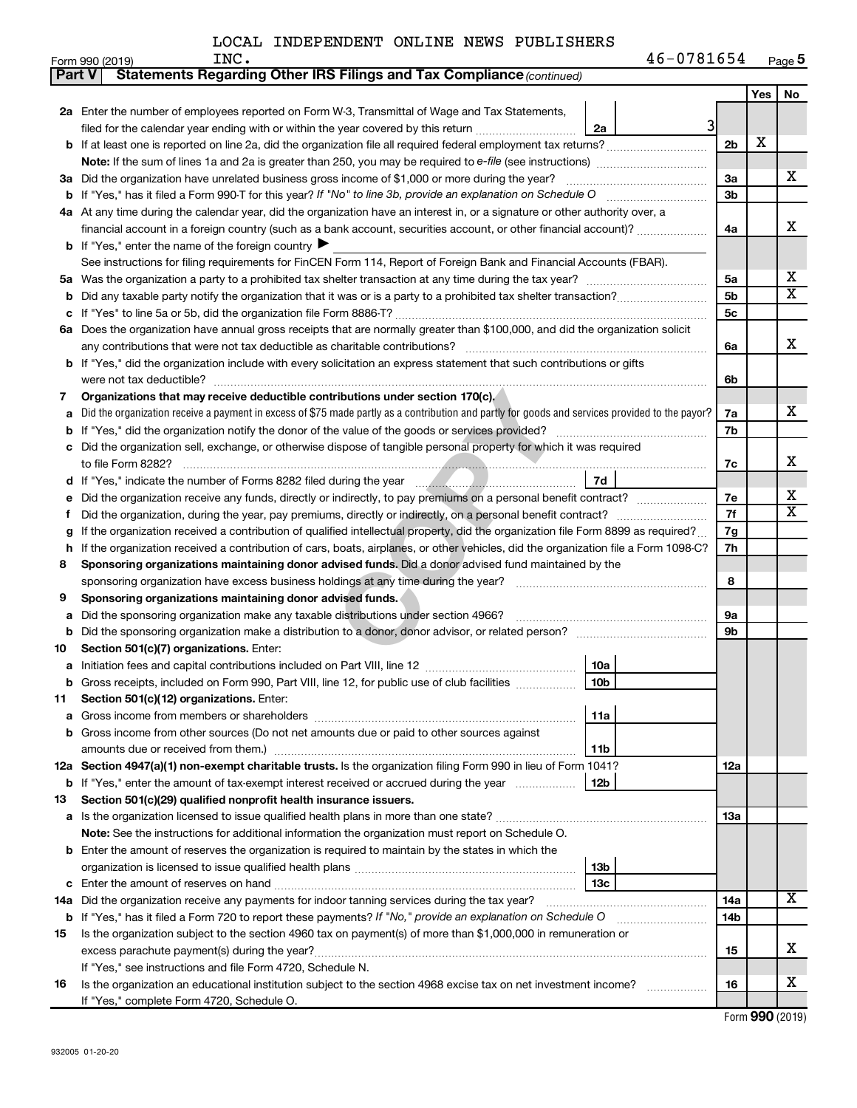| 46-0781654<br>INC.<br>Page 5 |
|------------------------------|
|------------------------------|

|        | Form 990 (2019)<br>INC.<br>46-0781654                                                                                                           |                |            | Page 5 |
|--------|-------------------------------------------------------------------------------------------------------------------------------------------------|----------------|------------|--------|
| Part V | Statements Regarding Other IRS Filings and Tax Compliance (continued)                                                                           |                |            |        |
|        |                                                                                                                                                 |                | <b>Yes</b> | No     |
|        | 2a Enter the number of employees reported on Form W-3, Transmittal of Wage and Tax Statements,                                                  |                |            |        |
|        | filed for the calendar year ending with or within the year covered by this return <i>manumumumum</i><br>2a                                      | 31             |            |        |
|        |                                                                                                                                                 | 2 <sub>b</sub> | х          |        |
|        |                                                                                                                                                 |                |            |        |
|        | 3a Did the organization have unrelated business gross income of \$1,000 or more during the year?                                                | 3a             |            | х      |
| b      | If "Yes," has it filed a Form 990-T for this year? If "No" to line 3b, provide an explanation on Schedule O                                     | 3b             |            |        |
|        | 4a At any time during the calendar year, did the organization have an interest in, or a signature or other authority over, a                    |                |            |        |
|        | financial account in a foreign country (such as a bank account, securities account, or other financial account)?                                | 4a             |            | x      |
|        | <b>b</b> If "Yes," enter the name of the foreign country                                                                                        |                |            |        |
|        | See instructions for filing requirements for FinCEN Form 114, Report of Foreign Bank and Financial Accounts (FBAR).                             |                |            |        |
| 5а     |                                                                                                                                                 | 5a             |            | х      |
| b      |                                                                                                                                                 | 5b             |            | X      |
| с      |                                                                                                                                                 | 5c             |            |        |
|        | 6a Does the organization have annual gross receipts that are normally greater than \$100,000, and did the organization solicit                  |                |            |        |
|        | any contributions that were not tax deductible as charitable contributions?                                                                     | 6a             |            | х      |
|        | <b>b</b> If "Yes," did the organization include with every solicitation an express statement that such contributions or gifts                   |                |            |        |
|        | were not tax deductible?                                                                                                                        | 6b             |            |        |
| 7      | Organizations that may receive deductible contributions under section 170(c).                                                                   |                |            |        |
| а      | Did the organization receive a payment in excess of \$75 made partly as a contribution and partly for goods and services provided to the payor? | 7a             |            | х      |
| b      |                                                                                                                                                 | 7b             |            |        |
| с      | Did the organization sell, exchange, or otherwise dispose of tangible personal property for which it was required                               |                |            |        |
|        | to file Form 8282?                                                                                                                              | 7c             |            | х      |
|        | 7d                                                                                                                                              |                |            |        |
| d      |                                                                                                                                                 | 7e             |            | х      |
| е      | Did the organization receive any funds, directly or indirectly, to pay premiums on a personal benefit contract?                                 | 7f             |            | X      |
| Ť      |                                                                                                                                                 |                |            |        |
| g      | If the organization received a contribution of qualified intellectual property, did the organization file Form 8899 as required?                | 7g             |            |        |
| h      | If the organization received a contribution of cars, boats, airplanes, or other vehicles, did the organization file a Form 1098-C?              | 7h             |            |        |
| 8      | Sponsoring organizations maintaining donor advised funds. Did a donor advised fund maintained by the                                            |                |            |        |
|        | sponsoring organization have excess business holdings at any time during the year?                                                              | 8              |            |        |
| 9      | Sponsoring organizations maintaining donor advised funds.                                                                                       |                |            |        |
| а      | Did the sponsoring organization make any taxable distributions under section 4966?                                                              | 9а             |            |        |
| b      |                                                                                                                                                 | 9b             |            |        |
| 10     | Section 501(c)(7) organizations. Enter:                                                                                                         |                |            |        |
| а      | 10a                                                                                                                                             |                |            |        |
| b      | 10 <sub>b</sub><br>Gross receipts, included on Form 990, Part VIII, line 12, for public use of club facilities                                  |                |            |        |
| 11     | Section 501(c)(12) organizations. Enter:                                                                                                        |                |            |        |
| а      | 11a                                                                                                                                             |                |            |        |
| b      | Gross income from other sources (Do not net amounts due or paid to other sources against                                                        |                |            |        |
|        | 11b                                                                                                                                             |                |            |        |
|        | 12a Section 4947(a)(1) non-exempt charitable trusts. Is the organization filing Form 990 in lieu of Form 1041?                                  | 12a            |            |        |
|        | 12b<br><b>b</b> If "Yes," enter the amount of tax-exempt interest received or accrued during the year                                           |                |            |        |
| 13     | Section 501(c)(29) qualified nonprofit health insurance issuers.                                                                                |                |            |        |
| а      |                                                                                                                                                 | 13a            |            |        |
|        | <b>Note:</b> See the instructions for additional information the organization must report on Schedule O.                                        |                |            |        |
| b      | Enter the amount of reserves the organization is required to maintain by the states in which the                                                |                |            |        |
|        | 13b                                                                                                                                             |                |            |        |
|        | 13с                                                                                                                                             |                |            |        |
| 14a    |                                                                                                                                                 | 14a            |            | X      |
|        | <b>b</b> If "Yes," has it filed a Form 720 to report these payments? If "No," provide an explanation on Schedule O                              | 14b            |            |        |
| 15     | Is the organization subject to the section 4960 tax on payment(s) of more than \$1,000,000 in remuneration or                                   |                |            |        |
|        |                                                                                                                                                 | 15             |            | x      |
|        | If "Yes," see instructions and file Form 4720, Schedule N.                                                                                      |                |            |        |
| 16     | Is the organization an educational institution subject to the section 4968 excise tax on net investment income?                                 | 16             |            | х      |
|        | If "Yes," complete Form 4720, Schedule O.                                                                                                       |                |            |        |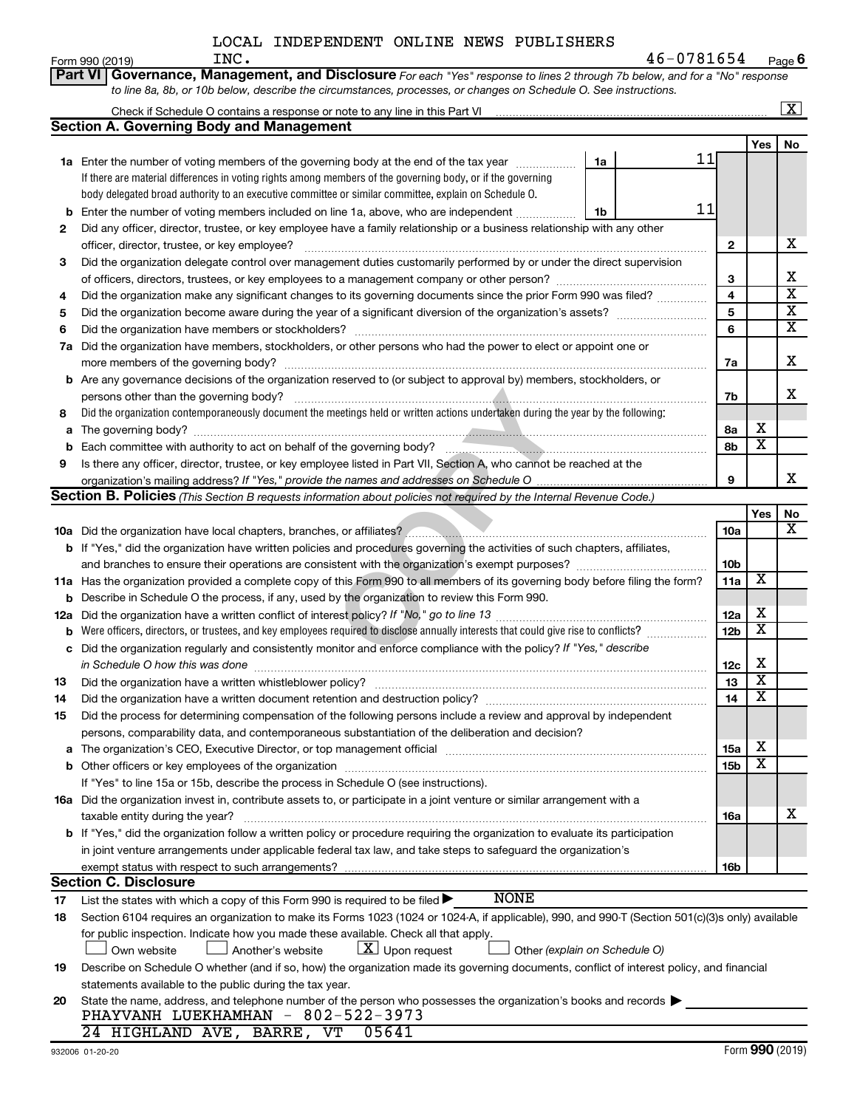| Part VI Governance, Management, and Disclosure For each "Yes" response to lines 2 through 7b below, and for a "No" response<br>to line 8a, 8b, or 10b below, describe the circumstances, processes, or changes on Schedule O. See instructions.<br>$\overline{\mathbf{X}}$<br><b>Section A. Governing Body and Management</b><br>No<br>Yes<br>11<br>1a Enter the number of voting members of the governing body at the end of the tax year<br>1a<br>If there are material differences in voting rights among members of the governing body, or if the governing<br>body delegated broad authority to an executive committee or similar committee, explain on Schedule O.<br>11<br><b>b</b> Enter the number of voting members included on line 1a, above, who are independent<br>1b<br>Did any officer, director, trustee, or key employee have a family relationship or a business relationship with any other<br>2<br>x<br>$\mathbf{2}$<br>Did the organization delegate control over management duties customarily performed by or under the direct supervision<br>3<br>х<br>3<br>$\overline{\texttt{x}}$<br>4<br>Did the organization make any significant changes to its governing documents since the prior Form 990 was filed?<br>4<br>$\overline{\textbf{x}}$<br>5<br>5<br>$\overline{\textbf{x}}$<br>6<br>6<br>7a Did the organization have members, stockholders, or other persons who had the power to elect or appoint one or<br>X<br>7a<br><b>b</b> Are any governance decisions of the organization reserved to (or subject to approval by) members, stockholders, or<br>X<br>persons other than the governing body?<br>7b<br>Did the organization contemporaneously document the meetings held or written actions undertaken during the year by the following:<br>8<br>х<br>8а<br>$\overline{\textbf{x}}$<br>8b<br>Is there any officer, director, trustee, or key employee listed in Part VII, Section A, who cannot be reached at the<br>9<br>x<br>9<br><b>Section B. Policies</b> (This Section B requests information about policies not required by the Internal Revenue Code.)<br>Yes<br>No<br>$\overline{\textbf{X}}$<br>10a<br>b If "Yes," did the organization have written policies and procedures governing the activities of such chapters, affiliates,<br>10b<br>x<br>11a<br>11a Has the organization provided a complete copy of this Form 990 to all members of its governing body before filing the form?<br><b>b</b> Describe in Schedule O the process, if any, used by the organization to review this Form 990.<br>х<br>12a<br>$\overline{\texttt{x}}$<br>12 <sub>b</sub><br><b>b</b> Were officers, directors, or trustees, and key employees required to disclose annually interests that could give rise to conflicts?<br>c Did the organization regularly and consistently monitor and enforce compliance with the policy? If "Yes," describe<br>х<br>in Schedule O how this was done <i>manufacture contract to the schedule O</i> how this was done<br>12c<br>Y<br>Did the organization have a written whistleblower policy?<br>13<br>13<br>х<br>14<br>14<br>Did the process for determining compensation of the following persons include a review and approval by independent<br>15<br>persons, comparability data, and contemporaneous substantiation of the deliberation and decision?<br>X<br><b>15a</b><br>a<br>X<br>15 <sub>b</sub><br>If "Yes" to line 15a or 15b, describe the process in Schedule O (see instructions).<br>16a Did the organization invest in, contribute assets to, or participate in a joint venture or similar arrangement with a<br>х<br>taxable entity during the year?<br>16a<br>b If "Yes," did the organization follow a written policy or procedure requiring the organization to evaluate its participation<br>in joint venture arrangements under applicable federal tax law, and take steps to safeguard the organization's<br>exempt status with respect to such arrangements?<br>16b<br><b>Section C. Disclosure</b><br><b>NONE</b><br>List the states with which a copy of this Form 990 is required to be filed $\blacktriangleright$<br>17<br>Section 6104 requires an organization to make its Forms 1023 (1024 or 1024-A, if applicable), 990, and 990-T (Section 501(c)(3)s only) available<br>18<br>for public inspection. Indicate how you made these available. Check all that apply.<br>$ \mathbf{X} $ Upon request<br>Own website<br>Another's website<br>Other (explain on Schedule O)<br>Describe on Schedule O whether (and if so, how) the organization made its governing documents, conflict of interest policy, and financial<br>19<br>statements available to the public during the tax year.<br>State the name, address, and telephone number of the person who possesses the organization's books and records<br>20<br>PHAYVANH LUEKHAMHAN - 802-522-3973<br>05641<br>24 HIGHLAND AVE, BARRE, VT | 46-0781654<br>INC.<br>Form 990 (2019) |  | Page 6 |
|--------------------------------------------------------------------------------------------------------------------------------------------------------------------------------------------------------------------------------------------------------------------------------------------------------------------------------------------------------------------------------------------------------------------------------------------------------------------------------------------------------------------------------------------------------------------------------------------------------------------------------------------------------------------------------------------------------------------------------------------------------------------------------------------------------------------------------------------------------------------------------------------------------------------------------------------------------------------------------------------------------------------------------------------------------------------------------------------------------------------------------------------------------------------------------------------------------------------------------------------------------------------------------------------------------------------------------------------------------------------------------------------------------------------------------------------------------------------------------------------------------------------------------------------------------------------------------------------------------------------------------------------------------------------------------------------------------------------------------------------------------------------------------------------------------------------------------------------------------------------------------------------------------------------------------------------------------------------------------------------------------------------------------------------------------------------------------------------------------------------------------------------------------------------------------------------------------------------------------------------------------------------------------------------------------------------------------------------------------------------------------------------------------------------------------------------------------------------------------------------------------------------------------------------------------------------------------------------------------------------------------------------------------------------------------------------------------------------------------------------------------------------------------------------------------------------------------------------------------------------------------------------------------------------------------------------------------------------------------------------------------------------------------------------------------------------------------------------------------------------------------------------------------------------------------------------------------------------------------------------------------------------------------------------------------------------------------------------------------------------------------------------------------------------------------------------------------------------------------------------------------------------------------------------------------------------------------------------------------------------------------------------------------------------------------------------------------------------------------------------------------------------------------------------------------------------------------------------------------------------------------------------------------------------------------------------------------------------------------------------------------------------------------------------------------------------------------------------------------------------------------------------------------------------------------------------------------------------------------------------------------------------------------------------------------------------------------------------------------------------------------------------------------------------------------------------------------------------------------------------------------------------------------------------------------------------------------------------------------------------------------------------------------------------------------------------------------------------------------------------------------------------------------------------------------------------------------------------------------------------------------------------------------|---------------------------------------|--|--------|
|                                                                                                                                                                                                                                                                                                                                                                                                                                                                                                                                                                                                                                                                                                                                                                                                                                                                                                                                                                                                                                                                                                                                                                                                                                                                                                                                                                                                                                                                                                                                                                                                                                                                                                                                                                                                                                                                                                                                                                                                                                                                                                                                                                                                                                                                                                                                                                                                                                                                                                                                                                                                                                                                                                                                                                                                                                                                                                                                                                                                                                                                                                                                                                                                                                                                                                                                                                                                                                                                                                                                                                                                                                                                                                                                                                                                                                                                                                                                                                                                                                                                                                                                                                                                                                                                                                                                                                                                                                                                                                                                                                                                                                                                                                                                                                                                                                                                                                        |                                       |  |        |
|                                                                                                                                                                                                                                                                                                                                                                                                                                                                                                                                                                                                                                                                                                                                                                                                                                                                                                                                                                                                                                                                                                                                                                                                                                                                                                                                                                                                                                                                                                                                                                                                                                                                                                                                                                                                                                                                                                                                                                                                                                                                                                                                                                                                                                                                                                                                                                                                                                                                                                                                                                                                                                                                                                                                                                                                                                                                                                                                                                                                                                                                                                                                                                                                                                                                                                                                                                                                                                                                                                                                                                                                                                                                                                                                                                                                                                                                                                                                                                                                                                                                                                                                                                                                                                                                                                                                                                                                                                                                                                                                                                                                                                                                                                                                                                                                                                                                                                        |                                       |  |        |
|                                                                                                                                                                                                                                                                                                                                                                                                                                                                                                                                                                                                                                                                                                                                                                                                                                                                                                                                                                                                                                                                                                                                                                                                                                                                                                                                                                                                                                                                                                                                                                                                                                                                                                                                                                                                                                                                                                                                                                                                                                                                                                                                                                                                                                                                                                                                                                                                                                                                                                                                                                                                                                                                                                                                                                                                                                                                                                                                                                                                                                                                                                                                                                                                                                                                                                                                                                                                                                                                                                                                                                                                                                                                                                                                                                                                                                                                                                                                                                                                                                                                                                                                                                                                                                                                                                                                                                                                                                                                                                                                                                                                                                                                                                                                                                                                                                                                                                        |                                       |  |        |
|                                                                                                                                                                                                                                                                                                                                                                                                                                                                                                                                                                                                                                                                                                                                                                                                                                                                                                                                                                                                                                                                                                                                                                                                                                                                                                                                                                                                                                                                                                                                                                                                                                                                                                                                                                                                                                                                                                                                                                                                                                                                                                                                                                                                                                                                                                                                                                                                                                                                                                                                                                                                                                                                                                                                                                                                                                                                                                                                                                                                                                                                                                                                                                                                                                                                                                                                                                                                                                                                                                                                                                                                                                                                                                                                                                                                                                                                                                                                                                                                                                                                                                                                                                                                                                                                                                                                                                                                                                                                                                                                                                                                                                                                                                                                                                                                                                                                                                        |                                       |  |        |
|                                                                                                                                                                                                                                                                                                                                                                                                                                                                                                                                                                                                                                                                                                                                                                                                                                                                                                                                                                                                                                                                                                                                                                                                                                                                                                                                                                                                                                                                                                                                                                                                                                                                                                                                                                                                                                                                                                                                                                                                                                                                                                                                                                                                                                                                                                                                                                                                                                                                                                                                                                                                                                                                                                                                                                                                                                                                                                                                                                                                                                                                                                                                                                                                                                                                                                                                                                                                                                                                                                                                                                                                                                                                                                                                                                                                                                                                                                                                                                                                                                                                                                                                                                                                                                                                                                                                                                                                                                                                                                                                                                                                                                                                                                                                                                                                                                                                                                        |                                       |  |        |
|                                                                                                                                                                                                                                                                                                                                                                                                                                                                                                                                                                                                                                                                                                                                                                                                                                                                                                                                                                                                                                                                                                                                                                                                                                                                                                                                                                                                                                                                                                                                                                                                                                                                                                                                                                                                                                                                                                                                                                                                                                                                                                                                                                                                                                                                                                                                                                                                                                                                                                                                                                                                                                                                                                                                                                                                                                                                                                                                                                                                                                                                                                                                                                                                                                                                                                                                                                                                                                                                                                                                                                                                                                                                                                                                                                                                                                                                                                                                                                                                                                                                                                                                                                                                                                                                                                                                                                                                                                                                                                                                                                                                                                                                                                                                                                                                                                                                                                        |                                       |  |        |
|                                                                                                                                                                                                                                                                                                                                                                                                                                                                                                                                                                                                                                                                                                                                                                                                                                                                                                                                                                                                                                                                                                                                                                                                                                                                                                                                                                                                                                                                                                                                                                                                                                                                                                                                                                                                                                                                                                                                                                                                                                                                                                                                                                                                                                                                                                                                                                                                                                                                                                                                                                                                                                                                                                                                                                                                                                                                                                                                                                                                                                                                                                                                                                                                                                                                                                                                                                                                                                                                                                                                                                                                                                                                                                                                                                                                                                                                                                                                                                                                                                                                                                                                                                                                                                                                                                                                                                                                                                                                                                                                                                                                                                                                                                                                                                                                                                                                                                        |                                       |  |        |
|                                                                                                                                                                                                                                                                                                                                                                                                                                                                                                                                                                                                                                                                                                                                                                                                                                                                                                                                                                                                                                                                                                                                                                                                                                                                                                                                                                                                                                                                                                                                                                                                                                                                                                                                                                                                                                                                                                                                                                                                                                                                                                                                                                                                                                                                                                                                                                                                                                                                                                                                                                                                                                                                                                                                                                                                                                                                                                                                                                                                                                                                                                                                                                                                                                                                                                                                                                                                                                                                                                                                                                                                                                                                                                                                                                                                                                                                                                                                                                                                                                                                                                                                                                                                                                                                                                                                                                                                                                                                                                                                                                                                                                                                                                                                                                                                                                                                                                        |                                       |  |        |
|                                                                                                                                                                                                                                                                                                                                                                                                                                                                                                                                                                                                                                                                                                                                                                                                                                                                                                                                                                                                                                                                                                                                                                                                                                                                                                                                                                                                                                                                                                                                                                                                                                                                                                                                                                                                                                                                                                                                                                                                                                                                                                                                                                                                                                                                                                                                                                                                                                                                                                                                                                                                                                                                                                                                                                                                                                                                                                                                                                                                                                                                                                                                                                                                                                                                                                                                                                                                                                                                                                                                                                                                                                                                                                                                                                                                                                                                                                                                                                                                                                                                                                                                                                                                                                                                                                                                                                                                                                                                                                                                                                                                                                                                                                                                                                                                                                                                                                        |                                       |  |        |
|                                                                                                                                                                                                                                                                                                                                                                                                                                                                                                                                                                                                                                                                                                                                                                                                                                                                                                                                                                                                                                                                                                                                                                                                                                                                                                                                                                                                                                                                                                                                                                                                                                                                                                                                                                                                                                                                                                                                                                                                                                                                                                                                                                                                                                                                                                                                                                                                                                                                                                                                                                                                                                                                                                                                                                                                                                                                                                                                                                                                                                                                                                                                                                                                                                                                                                                                                                                                                                                                                                                                                                                                                                                                                                                                                                                                                                                                                                                                                                                                                                                                                                                                                                                                                                                                                                                                                                                                                                                                                                                                                                                                                                                                                                                                                                                                                                                                                                        |                                       |  |        |
|                                                                                                                                                                                                                                                                                                                                                                                                                                                                                                                                                                                                                                                                                                                                                                                                                                                                                                                                                                                                                                                                                                                                                                                                                                                                                                                                                                                                                                                                                                                                                                                                                                                                                                                                                                                                                                                                                                                                                                                                                                                                                                                                                                                                                                                                                                                                                                                                                                                                                                                                                                                                                                                                                                                                                                                                                                                                                                                                                                                                                                                                                                                                                                                                                                                                                                                                                                                                                                                                                                                                                                                                                                                                                                                                                                                                                                                                                                                                                                                                                                                                                                                                                                                                                                                                                                                                                                                                                                                                                                                                                                                                                                                                                                                                                                                                                                                                                                        |                                       |  |        |
|                                                                                                                                                                                                                                                                                                                                                                                                                                                                                                                                                                                                                                                                                                                                                                                                                                                                                                                                                                                                                                                                                                                                                                                                                                                                                                                                                                                                                                                                                                                                                                                                                                                                                                                                                                                                                                                                                                                                                                                                                                                                                                                                                                                                                                                                                                                                                                                                                                                                                                                                                                                                                                                                                                                                                                                                                                                                                                                                                                                                                                                                                                                                                                                                                                                                                                                                                                                                                                                                                                                                                                                                                                                                                                                                                                                                                                                                                                                                                                                                                                                                                                                                                                                                                                                                                                                                                                                                                                                                                                                                                                                                                                                                                                                                                                                                                                                                                                        |                                       |  |        |
|                                                                                                                                                                                                                                                                                                                                                                                                                                                                                                                                                                                                                                                                                                                                                                                                                                                                                                                                                                                                                                                                                                                                                                                                                                                                                                                                                                                                                                                                                                                                                                                                                                                                                                                                                                                                                                                                                                                                                                                                                                                                                                                                                                                                                                                                                                                                                                                                                                                                                                                                                                                                                                                                                                                                                                                                                                                                                                                                                                                                                                                                                                                                                                                                                                                                                                                                                                                                                                                                                                                                                                                                                                                                                                                                                                                                                                                                                                                                                                                                                                                                                                                                                                                                                                                                                                                                                                                                                                                                                                                                                                                                                                                                                                                                                                                                                                                                                                        |                                       |  |        |
|                                                                                                                                                                                                                                                                                                                                                                                                                                                                                                                                                                                                                                                                                                                                                                                                                                                                                                                                                                                                                                                                                                                                                                                                                                                                                                                                                                                                                                                                                                                                                                                                                                                                                                                                                                                                                                                                                                                                                                                                                                                                                                                                                                                                                                                                                                                                                                                                                                                                                                                                                                                                                                                                                                                                                                                                                                                                                                                                                                                                                                                                                                                                                                                                                                                                                                                                                                                                                                                                                                                                                                                                                                                                                                                                                                                                                                                                                                                                                                                                                                                                                                                                                                                                                                                                                                                                                                                                                                                                                                                                                                                                                                                                                                                                                                                                                                                                                                        |                                       |  |        |
|                                                                                                                                                                                                                                                                                                                                                                                                                                                                                                                                                                                                                                                                                                                                                                                                                                                                                                                                                                                                                                                                                                                                                                                                                                                                                                                                                                                                                                                                                                                                                                                                                                                                                                                                                                                                                                                                                                                                                                                                                                                                                                                                                                                                                                                                                                                                                                                                                                                                                                                                                                                                                                                                                                                                                                                                                                                                                                                                                                                                                                                                                                                                                                                                                                                                                                                                                                                                                                                                                                                                                                                                                                                                                                                                                                                                                                                                                                                                                                                                                                                                                                                                                                                                                                                                                                                                                                                                                                                                                                                                                                                                                                                                                                                                                                                                                                                                                                        |                                       |  |        |
|                                                                                                                                                                                                                                                                                                                                                                                                                                                                                                                                                                                                                                                                                                                                                                                                                                                                                                                                                                                                                                                                                                                                                                                                                                                                                                                                                                                                                                                                                                                                                                                                                                                                                                                                                                                                                                                                                                                                                                                                                                                                                                                                                                                                                                                                                                                                                                                                                                                                                                                                                                                                                                                                                                                                                                                                                                                                                                                                                                                                                                                                                                                                                                                                                                                                                                                                                                                                                                                                                                                                                                                                                                                                                                                                                                                                                                                                                                                                                                                                                                                                                                                                                                                                                                                                                                                                                                                                                                                                                                                                                                                                                                                                                                                                                                                                                                                                                                        |                                       |  |        |
|                                                                                                                                                                                                                                                                                                                                                                                                                                                                                                                                                                                                                                                                                                                                                                                                                                                                                                                                                                                                                                                                                                                                                                                                                                                                                                                                                                                                                                                                                                                                                                                                                                                                                                                                                                                                                                                                                                                                                                                                                                                                                                                                                                                                                                                                                                                                                                                                                                                                                                                                                                                                                                                                                                                                                                                                                                                                                                                                                                                                                                                                                                                                                                                                                                                                                                                                                                                                                                                                                                                                                                                                                                                                                                                                                                                                                                                                                                                                                                                                                                                                                                                                                                                                                                                                                                                                                                                                                                                                                                                                                                                                                                                                                                                                                                                                                                                                                                        |                                       |  |        |
|                                                                                                                                                                                                                                                                                                                                                                                                                                                                                                                                                                                                                                                                                                                                                                                                                                                                                                                                                                                                                                                                                                                                                                                                                                                                                                                                                                                                                                                                                                                                                                                                                                                                                                                                                                                                                                                                                                                                                                                                                                                                                                                                                                                                                                                                                                                                                                                                                                                                                                                                                                                                                                                                                                                                                                                                                                                                                                                                                                                                                                                                                                                                                                                                                                                                                                                                                                                                                                                                                                                                                                                                                                                                                                                                                                                                                                                                                                                                                                                                                                                                                                                                                                                                                                                                                                                                                                                                                                                                                                                                                                                                                                                                                                                                                                                                                                                                                                        |                                       |  |        |
|                                                                                                                                                                                                                                                                                                                                                                                                                                                                                                                                                                                                                                                                                                                                                                                                                                                                                                                                                                                                                                                                                                                                                                                                                                                                                                                                                                                                                                                                                                                                                                                                                                                                                                                                                                                                                                                                                                                                                                                                                                                                                                                                                                                                                                                                                                                                                                                                                                                                                                                                                                                                                                                                                                                                                                                                                                                                                                                                                                                                                                                                                                                                                                                                                                                                                                                                                                                                                                                                                                                                                                                                                                                                                                                                                                                                                                                                                                                                                                                                                                                                                                                                                                                                                                                                                                                                                                                                                                                                                                                                                                                                                                                                                                                                                                                                                                                                                                        |                                       |  |        |
|                                                                                                                                                                                                                                                                                                                                                                                                                                                                                                                                                                                                                                                                                                                                                                                                                                                                                                                                                                                                                                                                                                                                                                                                                                                                                                                                                                                                                                                                                                                                                                                                                                                                                                                                                                                                                                                                                                                                                                                                                                                                                                                                                                                                                                                                                                                                                                                                                                                                                                                                                                                                                                                                                                                                                                                                                                                                                                                                                                                                                                                                                                                                                                                                                                                                                                                                                                                                                                                                                                                                                                                                                                                                                                                                                                                                                                                                                                                                                                                                                                                                                                                                                                                                                                                                                                                                                                                                                                                                                                                                                                                                                                                                                                                                                                                                                                                                                                        |                                       |  |        |
|                                                                                                                                                                                                                                                                                                                                                                                                                                                                                                                                                                                                                                                                                                                                                                                                                                                                                                                                                                                                                                                                                                                                                                                                                                                                                                                                                                                                                                                                                                                                                                                                                                                                                                                                                                                                                                                                                                                                                                                                                                                                                                                                                                                                                                                                                                                                                                                                                                                                                                                                                                                                                                                                                                                                                                                                                                                                                                                                                                                                                                                                                                                                                                                                                                                                                                                                                                                                                                                                                                                                                                                                                                                                                                                                                                                                                                                                                                                                                                                                                                                                                                                                                                                                                                                                                                                                                                                                                                                                                                                                                                                                                                                                                                                                                                                                                                                                                                        |                                       |  |        |
|                                                                                                                                                                                                                                                                                                                                                                                                                                                                                                                                                                                                                                                                                                                                                                                                                                                                                                                                                                                                                                                                                                                                                                                                                                                                                                                                                                                                                                                                                                                                                                                                                                                                                                                                                                                                                                                                                                                                                                                                                                                                                                                                                                                                                                                                                                                                                                                                                                                                                                                                                                                                                                                                                                                                                                                                                                                                                                                                                                                                                                                                                                                                                                                                                                                                                                                                                                                                                                                                                                                                                                                                                                                                                                                                                                                                                                                                                                                                                                                                                                                                                                                                                                                                                                                                                                                                                                                                                                                                                                                                                                                                                                                                                                                                                                                                                                                                                                        |                                       |  |        |
|                                                                                                                                                                                                                                                                                                                                                                                                                                                                                                                                                                                                                                                                                                                                                                                                                                                                                                                                                                                                                                                                                                                                                                                                                                                                                                                                                                                                                                                                                                                                                                                                                                                                                                                                                                                                                                                                                                                                                                                                                                                                                                                                                                                                                                                                                                                                                                                                                                                                                                                                                                                                                                                                                                                                                                                                                                                                                                                                                                                                                                                                                                                                                                                                                                                                                                                                                                                                                                                                                                                                                                                                                                                                                                                                                                                                                                                                                                                                                                                                                                                                                                                                                                                                                                                                                                                                                                                                                                                                                                                                                                                                                                                                                                                                                                                                                                                                                                        |                                       |  |        |
|                                                                                                                                                                                                                                                                                                                                                                                                                                                                                                                                                                                                                                                                                                                                                                                                                                                                                                                                                                                                                                                                                                                                                                                                                                                                                                                                                                                                                                                                                                                                                                                                                                                                                                                                                                                                                                                                                                                                                                                                                                                                                                                                                                                                                                                                                                                                                                                                                                                                                                                                                                                                                                                                                                                                                                                                                                                                                                                                                                                                                                                                                                                                                                                                                                                                                                                                                                                                                                                                                                                                                                                                                                                                                                                                                                                                                                                                                                                                                                                                                                                                                                                                                                                                                                                                                                                                                                                                                                                                                                                                                                                                                                                                                                                                                                                                                                                                                                        |                                       |  |        |
|                                                                                                                                                                                                                                                                                                                                                                                                                                                                                                                                                                                                                                                                                                                                                                                                                                                                                                                                                                                                                                                                                                                                                                                                                                                                                                                                                                                                                                                                                                                                                                                                                                                                                                                                                                                                                                                                                                                                                                                                                                                                                                                                                                                                                                                                                                                                                                                                                                                                                                                                                                                                                                                                                                                                                                                                                                                                                                                                                                                                                                                                                                                                                                                                                                                                                                                                                                                                                                                                                                                                                                                                                                                                                                                                                                                                                                                                                                                                                                                                                                                                                                                                                                                                                                                                                                                                                                                                                                                                                                                                                                                                                                                                                                                                                                                                                                                                                                        |                                       |  |        |
|                                                                                                                                                                                                                                                                                                                                                                                                                                                                                                                                                                                                                                                                                                                                                                                                                                                                                                                                                                                                                                                                                                                                                                                                                                                                                                                                                                                                                                                                                                                                                                                                                                                                                                                                                                                                                                                                                                                                                                                                                                                                                                                                                                                                                                                                                                                                                                                                                                                                                                                                                                                                                                                                                                                                                                                                                                                                                                                                                                                                                                                                                                                                                                                                                                                                                                                                                                                                                                                                                                                                                                                                                                                                                                                                                                                                                                                                                                                                                                                                                                                                                                                                                                                                                                                                                                                                                                                                                                                                                                                                                                                                                                                                                                                                                                                                                                                                                                        |                                       |  |        |
|                                                                                                                                                                                                                                                                                                                                                                                                                                                                                                                                                                                                                                                                                                                                                                                                                                                                                                                                                                                                                                                                                                                                                                                                                                                                                                                                                                                                                                                                                                                                                                                                                                                                                                                                                                                                                                                                                                                                                                                                                                                                                                                                                                                                                                                                                                                                                                                                                                                                                                                                                                                                                                                                                                                                                                                                                                                                                                                                                                                                                                                                                                                                                                                                                                                                                                                                                                                                                                                                                                                                                                                                                                                                                                                                                                                                                                                                                                                                                                                                                                                                                                                                                                                                                                                                                                                                                                                                                                                                                                                                                                                                                                                                                                                                                                                                                                                                                                        |                                       |  |        |
|                                                                                                                                                                                                                                                                                                                                                                                                                                                                                                                                                                                                                                                                                                                                                                                                                                                                                                                                                                                                                                                                                                                                                                                                                                                                                                                                                                                                                                                                                                                                                                                                                                                                                                                                                                                                                                                                                                                                                                                                                                                                                                                                                                                                                                                                                                                                                                                                                                                                                                                                                                                                                                                                                                                                                                                                                                                                                                                                                                                                                                                                                                                                                                                                                                                                                                                                                                                                                                                                                                                                                                                                                                                                                                                                                                                                                                                                                                                                                                                                                                                                                                                                                                                                                                                                                                                                                                                                                                                                                                                                                                                                                                                                                                                                                                                                                                                                                                        |                                       |  |        |
|                                                                                                                                                                                                                                                                                                                                                                                                                                                                                                                                                                                                                                                                                                                                                                                                                                                                                                                                                                                                                                                                                                                                                                                                                                                                                                                                                                                                                                                                                                                                                                                                                                                                                                                                                                                                                                                                                                                                                                                                                                                                                                                                                                                                                                                                                                                                                                                                                                                                                                                                                                                                                                                                                                                                                                                                                                                                                                                                                                                                                                                                                                                                                                                                                                                                                                                                                                                                                                                                                                                                                                                                                                                                                                                                                                                                                                                                                                                                                                                                                                                                                                                                                                                                                                                                                                                                                                                                                                                                                                                                                                                                                                                                                                                                                                                                                                                                                                        |                                       |  |        |
|                                                                                                                                                                                                                                                                                                                                                                                                                                                                                                                                                                                                                                                                                                                                                                                                                                                                                                                                                                                                                                                                                                                                                                                                                                                                                                                                                                                                                                                                                                                                                                                                                                                                                                                                                                                                                                                                                                                                                                                                                                                                                                                                                                                                                                                                                                                                                                                                                                                                                                                                                                                                                                                                                                                                                                                                                                                                                                                                                                                                                                                                                                                                                                                                                                                                                                                                                                                                                                                                                                                                                                                                                                                                                                                                                                                                                                                                                                                                                                                                                                                                                                                                                                                                                                                                                                                                                                                                                                                                                                                                                                                                                                                                                                                                                                                                                                                                                                        |                                       |  |        |
|                                                                                                                                                                                                                                                                                                                                                                                                                                                                                                                                                                                                                                                                                                                                                                                                                                                                                                                                                                                                                                                                                                                                                                                                                                                                                                                                                                                                                                                                                                                                                                                                                                                                                                                                                                                                                                                                                                                                                                                                                                                                                                                                                                                                                                                                                                                                                                                                                                                                                                                                                                                                                                                                                                                                                                                                                                                                                                                                                                                                                                                                                                                                                                                                                                                                                                                                                                                                                                                                                                                                                                                                                                                                                                                                                                                                                                                                                                                                                                                                                                                                                                                                                                                                                                                                                                                                                                                                                                                                                                                                                                                                                                                                                                                                                                                                                                                                                                        |                                       |  |        |
|                                                                                                                                                                                                                                                                                                                                                                                                                                                                                                                                                                                                                                                                                                                                                                                                                                                                                                                                                                                                                                                                                                                                                                                                                                                                                                                                                                                                                                                                                                                                                                                                                                                                                                                                                                                                                                                                                                                                                                                                                                                                                                                                                                                                                                                                                                                                                                                                                                                                                                                                                                                                                                                                                                                                                                                                                                                                                                                                                                                                                                                                                                                                                                                                                                                                                                                                                                                                                                                                                                                                                                                                                                                                                                                                                                                                                                                                                                                                                                                                                                                                                                                                                                                                                                                                                                                                                                                                                                                                                                                                                                                                                                                                                                                                                                                                                                                                                                        |                                       |  |        |
|                                                                                                                                                                                                                                                                                                                                                                                                                                                                                                                                                                                                                                                                                                                                                                                                                                                                                                                                                                                                                                                                                                                                                                                                                                                                                                                                                                                                                                                                                                                                                                                                                                                                                                                                                                                                                                                                                                                                                                                                                                                                                                                                                                                                                                                                                                                                                                                                                                                                                                                                                                                                                                                                                                                                                                                                                                                                                                                                                                                                                                                                                                                                                                                                                                                                                                                                                                                                                                                                                                                                                                                                                                                                                                                                                                                                                                                                                                                                                                                                                                                                                                                                                                                                                                                                                                                                                                                                                                                                                                                                                                                                                                                                                                                                                                                                                                                                                                        |                                       |  |        |
|                                                                                                                                                                                                                                                                                                                                                                                                                                                                                                                                                                                                                                                                                                                                                                                                                                                                                                                                                                                                                                                                                                                                                                                                                                                                                                                                                                                                                                                                                                                                                                                                                                                                                                                                                                                                                                                                                                                                                                                                                                                                                                                                                                                                                                                                                                                                                                                                                                                                                                                                                                                                                                                                                                                                                                                                                                                                                                                                                                                                                                                                                                                                                                                                                                                                                                                                                                                                                                                                                                                                                                                                                                                                                                                                                                                                                                                                                                                                                                                                                                                                                                                                                                                                                                                                                                                                                                                                                                                                                                                                                                                                                                                                                                                                                                                                                                                                                                        |                                       |  |        |
|                                                                                                                                                                                                                                                                                                                                                                                                                                                                                                                                                                                                                                                                                                                                                                                                                                                                                                                                                                                                                                                                                                                                                                                                                                                                                                                                                                                                                                                                                                                                                                                                                                                                                                                                                                                                                                                                                                                                                                                                                                                                                                                                                                                                                                                                                                                                                                                                                                                                                                                                                                                                                                                                                                                                                                                                                                                                                                                                                                                                                                                                                                                                                                                                                                                                                                                                                                                                                                                                                                                                                                                                                                                                                                                                                                                                                                                                                                                                                                                                                                                                                                                                                                                                                                                                                                                                                                                                                                                                                                                                                                                                                                                                                                                                                                                                                                                                                                        |                                       |  |        |
|                                                                                                                                                                                                                                                                                                                                                                                                                                                                                                                                                                                                                                                                                                                                                                                                                                                                                                                                                                                                                                                                                                                                                                                                                                                                                                                                                                                                                                                                                                                                                                                                                                                                                                                                                                                                                                                                                                                                                                                                                                                                                                                                                                                                                                                                                                                                                                                                                                                                                                                                                                                                                                                                                                                                                                                                                                                                                                                                                                                                                                                                                                                                                                                                                                                                                                                                                                                                                                                                                                                                                                                                                                                                                                                                                                                                                                                                                                                                                                                                                                                                                                                                                                                                                                                                                                                                                                                                                                                                                                                                                                                                                                                                                                                                                                                                                                                                                                        |                                       |  |        |
|                                                                                                                                                                                                                                                                                                                                                                                                                                                                                                                                                                                                                                                                                                                                                                                                                                                                                                                                                                                                                                                                                                                                                                                                                                                                                                                                                                                                                                                                                                                                                                                                                                                                                                                                                                                                                                                                                                                                                                                                                                                                                                                                                                                                                                                                                                                                                                                                                                                                                                                                                                                                                                                                                                                                                                                                                                                                                                                                                                                                                                                                                                                                                                                                                                                                                                                                                                                                                                                                                                                                                                                                                                                                                                                                                                                                                                                                                                                                                                                                                                                                                                                                                                                                                                                                                                                                                                                                                                                                                                                                                                                                                                                                                                                                                                                                                                                                                                        |                                       |  |        |
|                                                                                                                                                                                                                                                                                                                                                                                                                                                                                                                                                                                                                                                                                                                                                                                                                                                                                                                                                                                                                                                                                                                                                                                                                                                                                                                                                                                                                                                                                                                                                                                                                                                                                                                                                                                                                                                                                                                                                                                                                                                                                                                                                                                                                                                                                                                                                                                                                                                                                                                                                                                                                                                                                                                                                                                                                                                                                                                                                                                                                                                                                                                                                                                                                                                                                                                                                                                                                                                                                                                                                                                                                                                                                                                                                                                                                                                                                                                                                                                                                                                                                                                                                                                                                                                                                                                                                                                                                                                                                                                                                                                                                                                                                                                                                                                                                                                                                                        |                                       |  |        |
|                                                                                                                                                                                                                                                                                                                                                                                                                                                                                                                                                                                                                                                                                                                                                                                                                                                                                                                                                                                                                                                                                                                                                                                                                                                                                                                                                                                                                                                                                                                                                                                                                                                                                                                                                                                                                                                                                                                                                                                                                                                                                                                                                                                                                                                                                                                                                                                                                                                                                                                                                                                                                                                                                                                                                                                                                                                                                                                                                                                                                                                                                                                                                                                                                                                                                                                                                                                                                                                                                                                                                                                                                                                                                                                                                                                                                                                                                                                                                                                                                                                                                                                                                                                                                                                                                                                                                                                                                                                                                                                                                                                                                                                                                                                                                                                                                                                                                                        |                                       |  |        |
|                                                                                                                                                                                                                                                                                                                                                                                                                                                                                                                                                                                                                                                                                                                                                                                                                                                                                                                                                                                                                                                                                                                                                                                                                                                                                                                                                                                                                                                                                                                                                                                                                                                                                                                                                                                                                                                                                                                                                                                                                                                                                                                                                                                                                                                                                                                                                                                                                                                                                                                                                                                                                                                                                                                                                                                                                                                                                                                                                                                                                                                                                                                                                                                                                                                                                                                                                                                                                                                                                                                                                                                                                                                                                                                                                                                                                                                                                                                                                                                                                                                                                                                                                                                                                                                                                                                                                                                                                                                                                                                                                                                                                                                                                                                                                                                                                                                                                                        |                                       |  |        |
|                                                                                                                                                                                                                                                                                                                                                                                                                                                                                                                                                                                                                                                                                                                                                                                                                                                                                                                                                                                                                                                                                                                                                                                                                                                                                                                                                                                                                                                                                                                                                                                                                                                                                                                                                                                                                                                                                                                                                                                                                                                                                                                                                                                                                                                                                                                                                                                                                                                                                                                                                                                                                                                                                                                                                                                                                                                                                                                                                                                                                                                                                                                                                                                                                                                                                                                                                                                                                                                                                                                                                                                                                                                                                                                                                                                                                                                                                                                                                                                                                                                                                                                                                                                                                                                                                                                                                                                                                                                                                                                                                                                                                                                                                                                                                                                                                                                                                                        |                                       |  |        |
|                                                                                                                                                                                                                                                                                                                                                                                                                                                                                                                                                                                                                                                                                                                                                                                                                                                                                                                                                                                                                                                                                                                                                                                                                                                                                                                                                                                                                                                                                                                                                                                                                                                                                                                                                                                                                                                                                                                                                                                                                                                                                                                                                                                                                                                                                                                                                                                                                                                                                                                                                                                                                                                                                                                                                                                                                                                                                                                                                                                                                                                                                                                                                                                                                                                                                                                                                                                                                                                                                                                                                                                                                                                                                                                                                                                                                                                                                                                                                                                                                                                                                                                                                                                                                                                                                                                                                                                                                                                                                                                                                                                                                                                                                                                                                                                                                                                                                                        |                                       |  |        |
|                                                                                                                                                                                                                                                                                                                                                                                                                                                                                                                                                                                                                                                                                                                                                                                                                                                                                                                                                                                                                                                                                                                                                                                                                                                                                                                                                                                                                                                                                                                                                                                                                                                                                                                                                                                                                                                                                                                                                                                                                                                                                                                                                                                                                                                                                                                                                                                                                                                                                                                                                                                                                                                                                                                                                                                                                                                                                                                                                                                                                                                                                                                                                                                                                                                                                                                                                                                                                                                                                                                                                                                                                                                                                                                                                                                                                                                                                                                                                                                                                                                                                                                                                                                                                                                                                                                                                                                                                                                                                                                                                                                                                                                                                                                                                                                                                                                                                                        |                                       |  |        |
|                                                                                                                                                                                                                                                                                                                                                                                                                                                                                                                                                                                                                                                                                                                                                                                                                                                                                                                                                                                                                                                                                                                                                                                                                                                                                                                                                                                                                                                                                                                                                                                                                                                                                                                                                                                                                                                                                                                                                                                                                                                                                                                                                                                                                                                                                                                                                                                                                                                                                                                                                                                                                                                                                                                                                                                                                                                                                                                                                                                                                                                                                                                                                                                                                                                                                                                                                                                                                                                                                                                                                                                                                                                                                                                                                                                                                                                                                                                                                                                                                                                                                                                                                                                                                                                                                                                                                                                                                                                                                                                                                                                                                                                                                                                                                                                                                                                                                                        |                                       |  |        |
|                                                                                                                                                                                                                                                                                                                                                                                                                                                                                                                                                                                                                                                                                                                                                                                                                                                                                                                                                                                                                                                                                                                                                                                                                                                                                                                                                                                                                                                                                                                                                                                                                                                                                                                                                                                                                                                                                                                                                                                                                                                                                                                                                                                                                                                                                                                                                                                                                                                                                                                                                                                                                                                                                                                                                                                                                                                                                                                                                                                                                                                                                                                                                                                                                                                                                                                                                                                                                                                                                                                                                                                                                                                                                                                                                                                                                                                                                                                                                                                                                                                                                                                                                                                                                                                                                                                                                                                                                                                                                                                                                                                                                                                                                                                                                                                                                                                                                                        |                                       |  |        |
|                                                                                                                                                                                                                                                                                                                                                                                                                                                                                                                                                                                                                                                                                                                                                                                                                                                                                                                                                                                                                                                                                                                                                                                                                                                                                                                                                                                                                                                                                                                                                                                                                                                                                                                                                                                                                                                                                                                                                                                                                                                                                                                                                                                                                                                                                                                                                                                                                                                                                                                                                                                                                                                                                                                                                                                                                                                                                                                                                                                                                                                                                                                                                                                                                                                                                                                                                                                                                                                                                                                                                                                                                                                                                                                                                                                                                                                                                                                                                                                                                                                                                                                                                                                                                                                                                                                                                                                                                                                                                                                                                                                                                                                                                                                                                                                                                                                                                                        |                                       |  |        |
|                                                                                                                                                                                                                                                                                                                                                                                                                                                                                                                                                                                                                                                                                                                                                                                                                                                                                                                                                                                                                                                                                                                                                                                                                                                                                                                                                                                                                                                                                                                                                                                                                                                                                                                                                                                                                                                                                                                                                                                                                                                                                                                                                                                                                                                                                                                                                                                                                                                                                                                                                                                                                                                                                                                                                                                                                                                                                                                                                                                                                                                                                                                                                                                                                                                                                                                                                                                                                                                                                                                                                                                                                                                                                                                                                                                                                                                                                                                                                                                                                                                                                                                                                                                                                                                                                                                                                                                                                                                                                                                                                                                                                                                                                                                                                                                                                                                                                                        |                                       |  |        |
|                                                                                                                                                                                                                                                                                                                                                                                                                                                                                                                                                                                                                                                                                                                                                                                                                                                                                                                                                                                                                                                                                                                                                                                                                                                                                                                                                                                                                                                                                                                                                                                                                                                                                                                                                                                                                                                                                                                                                                                                                                                                                                                                                                                                                                                                                                                                                                                                                                                                                                                                                                                                                                                                                                                                                                                                                                                                                                                                                                                                                                                                                                                                                                                                                                                                                                                                                                                                                                                                                                                                                                                                                                                                                                                                                                                                                                                                                                                                                                                                                                                                                                                                                                                                                                                                                                                                                                                                                                                                                                                                                                                                                                                                                                                                                                                                                                                                                                        |                                       |  |        |
|                                                                                                                                                                                                                                                                                                                                                                                                                                                                                                                                                                                                                                                                                                                                                                                                                                                                                                                                                                                                                                                                                                                                                                                                                                                                                                                                                                                                                                                                                                                                                                                                                                                                                                                                                                                                                                                                                                                                                                                                                                                                                                                                                                                                                                                                                                                                                                                                                                                                                                                                                                                                                                                                                                                                                                                                                                                                                                                                                                                                                                                                                                                                                                                                                                                                                                                                                                                                                                                                                                                                                                                                                                                                                                                                                                                                                                                                                                                                                                                                                                                                                                                                                                                                                                                                                                                                                                                                                                                                                                                                                                                                                                                                                                                                                                                                                                                                                                        |                                       |  |        |
|                                                                                                                                                                                                                                                                                                                                                                                                                                                                                                                                                                                                                                                                                                                                                                                                                                                                                                                                                                                                                                                                                                                                                                                                                                                                                                                                                                                                                                                                                                                                                                                                                                                                                                                                                                                                                                                                                                                                                                                                                                                                                                                                                                                                                                                                                                                                                                                                                                                                                                                                                                                                                                                                                                                                                                                                                                                                                                                                                                                                                                                                                                                                                                                                                                                                                                                                                                                                                                                                                                                                                                                                                                                                                                                                                                                                                                                                                                                                                                                                                                                                                                                                                                                                                                                                                                                                                                                                                                                                                                                                                                                                                                                                                                                                                                                                                                                                                                        |                                       |  |        |
|                                                                                                                                                                                                                                                                                                                                                                                                                                                                                                                                                                                                                                                                                                                                                                                                                                                                                                                                                                                                                                                                                                                                                                                                                                                                                                                                                                                                                                                                                                                                                                                                                                                                                                                                                                                                                                                                                                                                                                                                                                                                                                                                                                                                                                                                                                                                                                                                                                                                                                                                                                                                                                                                                                                                                                                                                                                                                                                                                                                                                                                                                                                                                                                                                                                                                                                                                                                                                                                                                                                                                                                                                                                                                                                                                                                                                                                                                                                                                                                                                                                                                                                                                                                                                                                                                                                                                                                                                                                                                                                                                                                                                                                                                                                                                                                                                                                                                                        |                                       |  |        |
|                                                                                                                                                                                                                                                                                                                                                                                                                                                                                                                                                                                                                                                                                                                                                                                                                                                                                                                                                                                                                                                                                                                                                                                                                                                                                                                                                                                                                                                                                                                                                                                                                                                                                                                                                                                                                                                                                                                                                                                                                                                                                                                                                                                                                                                                                                                                                                                                                                                                                                                                                                                                                                                                                                                                                                                                                                                                                                                                                                                                                                                                                                                                                                                                                                                                                                                                                                                                                                                                                                                                                                                                                                                                                                                                                                                                                                                                                                                                                                                                                                                                                                                                                                                                                                                                                                                                                                                                                                                                                                                                                                                                                                                                                                                                                                                                                                                                                                        |                                       |  |        |
|                                                                                                                                                                                                                                                                                                                                                                                                                                                                                                                                                                                                                                                                                                                                                                                                                                                                                                                                                                                                                                                                                                                                                                                                                                                                                                                                                                                                                                                                                                                                                                                                                                                                                                                                                                                                                                                                                                                                                                                                                                                                                                                                                                                                                                                                                                                                                                                                                                                                                                                                                                                                                                                                                                                                                                                                                                                                                                                                                                                                                                                                                                                                                                                                                                                                                                                                                                                                                                                                                                                                                                                                                                                                                                                                                                                                                                                                                                                                                                                                                                                                                                                                                                                                                                                                                                                                                                                                                                                                                                                                                                                                                                                                                                                                                                                                                                                                                                        |                                       |  |        |
|                                                                                                                                                                                                                                                                                                                                                                                                                                                                                                                                                                                                                                                                                                                                                                                                                                                                                                                                                                                                                                                                                                                                                                                                                                                                                                                                                                                                                                                                                                                                                                                                                                                                                                                                                                                                                                                                                                                                                                                                                                                                                                                                                                                                                                                                                                                                                                                                                                                                                                                                                                                                                                                                                                                                                                                                                                                                                                                                                                                                                                                                                                                                                                                                                                                                                                                                                                                                                                                                                                                                                                                                                                                                                                                                                                                                                                                                                                                                                                                                                                                                                                                                                                                                                                                                                                                                                                                                                                                                                                                                                                                                                                                                                                                                                                                                                                                                                                        |                                       |  |        |
|                                                                                                                                                                                                                                                                                                                                                                                                                                                                                                                                                                                                                                                                                                                                                                                                                                                                                                                                                                                                                                                                                                                                                                                                                                                                                                                                                                                                                                                                                                                                                                                                                                                                                                                                                                                                                                                                                                                                                                                                                                                                                                                                                                                                                                                                                                                                                                                                                                                                                                                                                                                                                                                                                                                                                                                                                                                                                                                                                                                                                                                                                                                                                                                                                                                                                                                                                                                                                                                                                                                                                                                                                                                                                                                                                                                                                                                                                                                                                                                                                                                                                                                                                                                                                                                                                                                                                                                                                                                                                                                                                                                                                                                                                                                                                                                                                                                                                                        |                                       |  |        |
|                                                                                                                                                                                                                                                                                                                                                                                                                                                                                                                                                                                                                                                                                                                                                                                                                                                                                                                                                                                                                                                                                                                                                                                                                                                                                                                                                                                                                                                                                                                                                                                                                                                                                                                                                                                                                                                                                                                                                                                                                                                                                                                                                                                                                                                                                                                                                                                                                                                                                                                                                                                                                                                                                                                                                                                                                                                                                                                                                                                                                                                                                                                                                                                                                                                                                                                                                                                                                                                                                                                                                                                                                                                                                                                                                                                                                                                                                                                                                                                                                                                                                                                                                                                                                                                                                                                                                                                                                                                                                                                                                                                                                                                                                                                                                                                                                                                                                                        |                                       |  |        |
|                                                                                                                                                                                                                                                                                                                                                                                                                                                                                                                                                                                                                                                                                                                                                                                                                                                                                                                                                                                                                                                                                                                                                                                                                                                                                                                                                                                                                                                                                                                                                                                                                                                                                                                                                                                                                                                                                                                                                                                                                                                                                                                                                                                                                                                                                                                                                                                                                                                                                                                                                                                                                                                                                                                                                                                                                                                                                                                                                                                                                                                                                                                                                                                                                                                                                                                                                                                                                                                                                                                                                                                                                                                                                                                                                                                                                                                                                                                                                                                                                                                                                                                                                                                                                                                                                                                                                                                                                                                                                                                                                                                                                                                                                                                                                                                                                                                                                                        |                                       |  |        |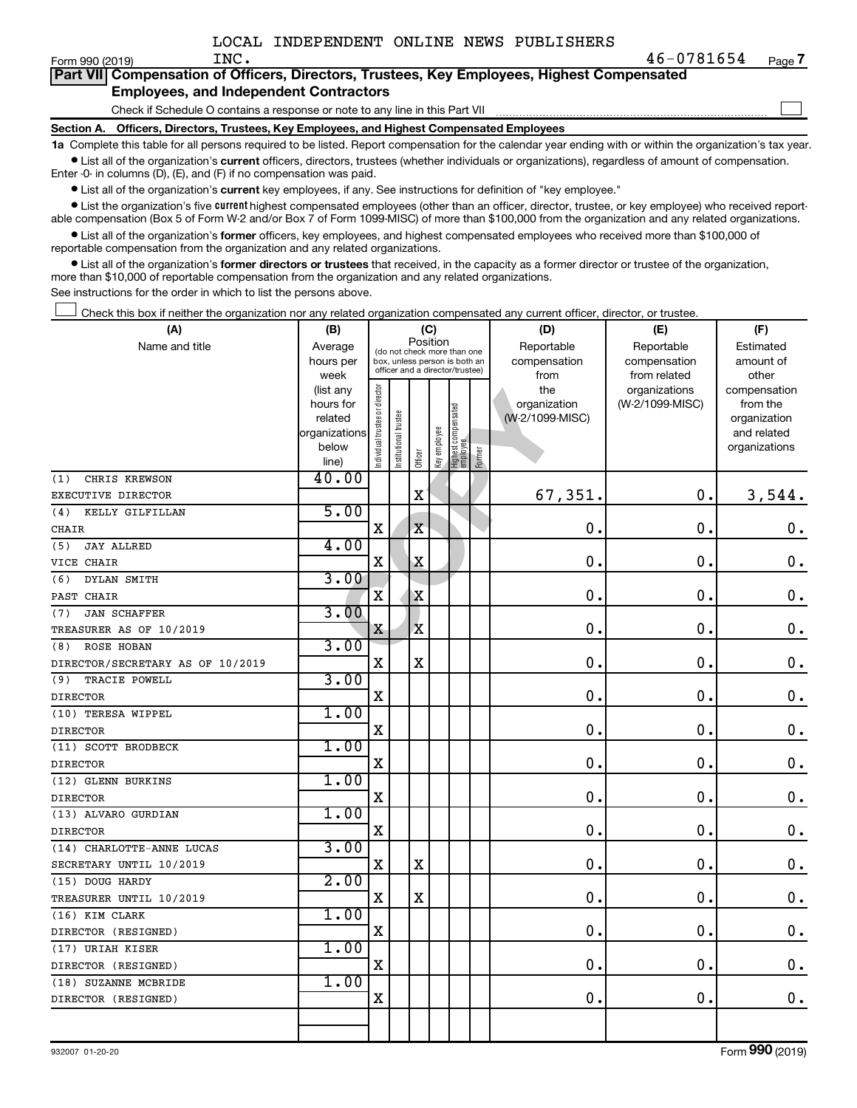$\Box$ 

|  | Part VII Compensation of Officers, Directors, Trustees, Key Employees, Highest Compensated |  |  |  |  |
|--|--------------------------------------------------------------------------------------------|--|--|--|--|
|  | <b>Employees, and Independent Contractors</b>                                              |  |  |  |  |

Check if Schedule O contains a response or note to any line in this Part VII

**Section A. Officers, Directors, Trustees, Key Employees, and Highest Compensated Employees**

**1a**  Complete this table for all persons required to be listed. Report compensation for the calendar year ending with or within the organization's tax year.  $\bullet$  List all of the organization's current officers, directors, trustees (whether individuals or organizations), regardless of amount of compensation.

Enter -0- in columns (D), (E), and (F) if no compensation was paid.

**•** List all of the organization's current key employees, if any. See instructions for definition of "key employee."

• List the organization's five *current* highest compensated employees (other than an officer, director, trustee, or key employee) who received reportable compensation (Box 5 of Form W-2 and/or Box 7 of Form 1099-MISC) of more than \$100,000 from the organization and any related organizations.

 $\bullet$  List all of the organization's former officers, key employees, and highest compensated employees who received more than \$100,000 of reportable compensation from the organization and any related organizations.

**•** List all of the organization's former directors or trustees that received, in the capacity as a former director or trustee of the organization, more than \$10,000 of reportable compensation from the organization and any related organizations.

See instructions for the order in which to list the persons above.

Check this box if neither the organization nor any related organization compensated any current officer, director, or trustee.  $\Box$ 

| (A)                              | (B)                  |                               |                                                                  |                                         | (C)          |                                 |            | (D)                             | (E)             | (F)                      |
|----------------------------------|----------------------|-------------------------------|------------------------------------------------------------------|-----------------------------------------|--------------|---------------------------------|------------|---------------------------------|-----------------|--------------------------|
| Name and title                   | Average              |                               |                                                                  | Position<br>(do not check more than one |              |                                 | Reportable | Reportable                      | Estimated       |                          |
|                                  | hours per            |                               | box, unless person is both an<br>officer and a director/trustee) |                                         |              |                                 |            | compensation                    | compensation    | amount of                |
|                                  | week                 |                               |                                                                  |                                         |              |                                 |            | from                            | from related    | other                    |
|                                  | (list any            |                               |                                                                  |                                         |              |                                 |            | the                             | organizations   | compensation             |
|                                  | hours for<br>related |                               |                                                                  |                                         |              |                                 |            | organization<br>(W-2/1099-MISC) | (W-2/1099-MISC) | from the<br>organization |
|                                  | organizations        |                               |                                                                  |                                         |              |                                 |            |                                 |                 | and related              |
|                                  | below                |                               |                                                                  |                                         |              |                                 |            |                                 |                 | organizations            |
|                                  | line)                | ndividual trustee or director | Institutional trustee                                            | Officer                                 | Key employee | Highest compensated<br>employee | Former     |                                 |                 |                          |
| CHRIS KREWSON<br>(1)             | 40.00                |                               |                                                                  |                                         |              |                                 |            |                                 |                 |                          |
| EXECUTIVE DIRECTOR               |                      |                               |                                                                  | $\mathbf X$                             |              |                                 |            | 67,351.                         | $\mathbf 0$ .   | 3,544.                   |
| (4)<br>KELLY GILFILLAN           | 5.00                 |                               |                                                                  |                                         |              |                                 |            |                                 |                 |                          |
| CHAIR                            |                      | $\mathbf X$                   |                                                                  | $\mathbf X$                             |              |                                 |            | 0.                              | $\mathbf 0$     | $\mathbf 0$ .            |
| <b>JAY ALLRED</b><br>(5)         | 4.00                 |                               |                                                                  |                                         |              |                                 |            |                                 |                 |                          |
| VICE CHAIR                       |                      | X                             |                                                                  | $\mathbf X$                             |              |                                 |            | $\mathbf 0$                     | $\mathbf 0$     | $\mathbf 0$ .            |
| DYLAN SMITH<br>(6)               | 3.00                 |                               |                                                                  |                                         |              |                                 |            |                                 |                 |                          |
| PAST CHAIR                       |                      | X                             |                                                                  | $\mathbf X$                             |              |                                 |            | $\mathbf 0$ .                   | $\mathbf 0$     | $\boldsymbol{0}$ .       |
| <b>JAN SCHAFFER</b><br>(7)       | 3.00                 |                               |                                                                  |                                         |              |                                 |            |                                 |                 |                          |
| TREASURER AS OF 10/2019          |                      | X                             |                                                                  | $\mathbf x$                             |              |                                 |            | $\mathbf 0$ .                   | $\mathbf 0$     | $\mathbf 0$ .            |
| <b>ROSE HOBAN</b><br>(8)         | 3.00                 |                               |                                                                  |                                         |              |                                 |            |                                 |                 |                          |
| DIRECTOR/SECRETARY AS OF 10/2019 |                      | X                             |                                                                  | $\mathbf X$                             |              |                                 |            | $\mathbf 0$ .                   | $\mathbf 0$     | $\boldsymbol{0}$ .       |
| (9)<br>TRACIE POWELL             | 3.00                 |                               |                                                                  |                                         |              |                                 |            |                                 |                 |                          |
| <b>DIRECTOR</b>                  |                      | $\mathbf X$                   |                                                                  |                                         |              |                                 |            | 0.                              | $\mathbf 0$ .   | $\mathbf 0$ .            |
| (10) TERESA WIPPEL               | 1.00                 |                               |                                                                  |                                         |              |                                 |            |                                 |                 |                          |
| <b>DIRECTOR</b>                  |                      | $\mathbf X$                   |                                                                  |                                         |              |                                 |            | 0.                              | $\mathbf 0$     | $\mathbf 0$ .            |
| (11) SCOTT BRODBECK              | 1.00                 |                               |                                                                  |                                         |              |                                 |            |                                 |                 |                          |
| <b>DIRECTOR</b>                  |                      | $\mathbf X$                   |                                                                  |                                         |              |                                 |            | 0.                              | $\mathbf 0$ .   | $\mathbf 0$ .            |
| (12) GLENN BURKINS               | 1.00                 |                               |                                                                  |                                         |              |                                 |            |                                 |                 |                          |
| <b>DIRECTOR</b>                  |                      | $\mathbf X$                   |                                                                  |                                         |              |                                 |            | $\mathbf 0$ .                   | $\mathbf 0$ .   | $\mathbf 0$ .            |
| (13) ALVARO GURDIAN              | 1.00                 |                               |                                                                  |                                         |              |                                 |            |                                 |                 |                          |
| <b>DIRECTOR</b>                  |                      | $\mathbf X$                   |                                                                  |                                         |              |                                 |            | 0.                              | $\mathbf 0$ .   | $\mathbf 0$ .            |
| (14) CHARLOTTE-ANNE LUCAS        | 3.00                 |                               |                                                                  |                                         |              |                                 |            |                                 |                 |                          |
| SECRETARY UNTIL 10/2019          |                      | $\mathbf X$                   |                                                                  | $\mathbf X$                             |              |                                 |            | 0.                              | $\mathbf 0$     | $\mathbf 0$ .            |
| (15) DOUG HARDY                  | 2.00                 |                               |                                                                  |                                         |              |                                 |            |                                 |                 |                          |
| TREASURER UNTIL 10/2019          |                      | $\mathbf X$                   |                                                                  | $\mathbf X$                             |              |                                 |            | 0.                              | 0.              | $\mathbf 0$ .            |
| (16) KIM CLARK                   | 1.00                 |                               |                                                                  |                                         |              |                                 |            |                                 |                 |                          |
| DIRECTOR (RESIGNED)              |                      | $\mathbf X$                   |                                                                  |                                         |              |                                 |            | $\mathbf 0$ .                   | $\mathbf 0$     | $\mathbf 0$ .            |
| (17) URIAH KISER                 | 1.00                 |                               |                                                                  |                                         |              |                                 |            |                                 |                 |                          |
| DIRECTOR (RESIGNED)              |                      | $\mathbf X$                   |                                                                  |                                         |              |                                 |            | 0.                              | $\mathbf 0$ .   | $\mathbf 0$ .            |
| (18) SUZANNE MCBRIDE             | 1.00                 |                               |                                                                  |                                         |              |                                 |            |                                 |                 |                          |
| DIRECTOR (RESIGNED)              |                      | X                             |                                                                  |                                         |              |                                 |            | 0.                              | 0               | $\boldsymbol{0}$ .       |
|                                  |                      |                               |                                                                  |                                         |              |                                 |            |                                 |                 |                          |
|                                  |                      |                               |                                                                  |                                         |              |                                 |            |                                 |                 |                          |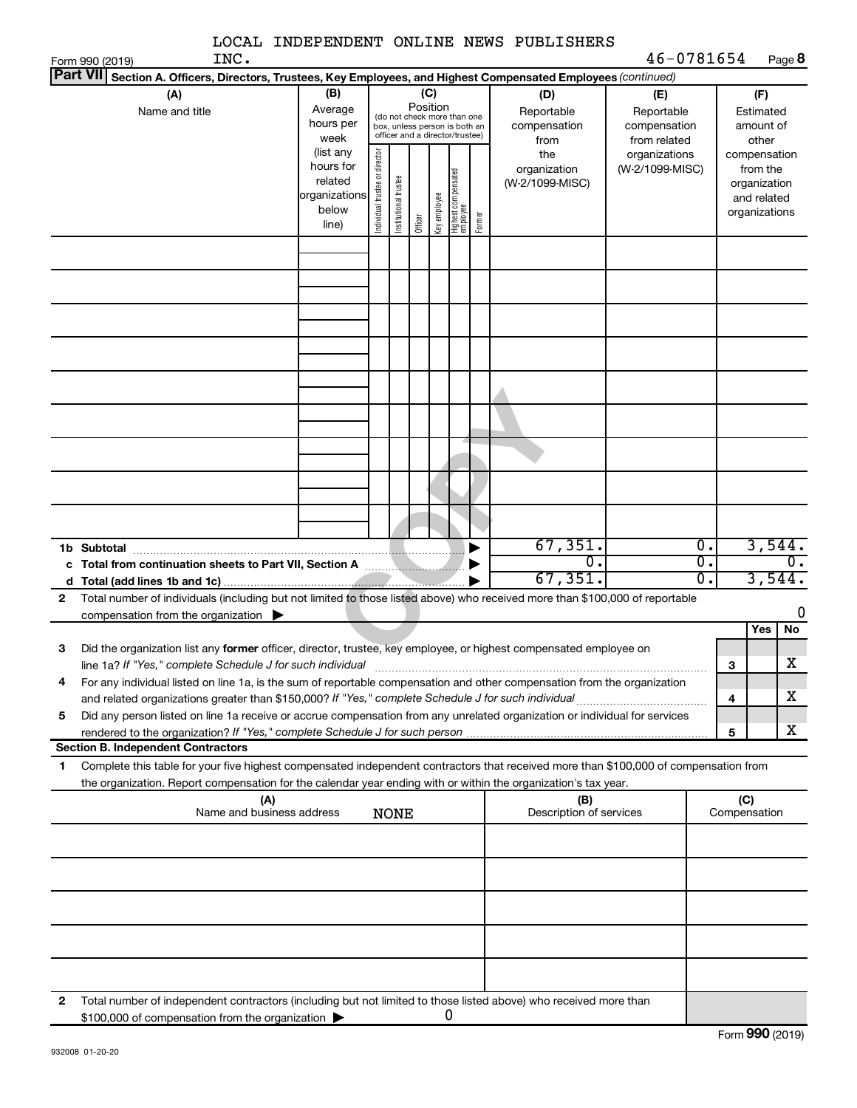|                 |                                                                                                                                                                                          |                      |                                |                       |                 |              |                                                                  |        | LOCAL INDEPENDENT ONLINE NEWS PUBLISHERS |                              |                        |                         |                    |    |
|-----------------|------------------------------------------------------------------------------------------------------------------------------------------------------------------------------------------|----------------------|--------------------------------|-----------------------|-----------------|--------------|------------------------------------------------------------------|--------|------------------------------------------|------------------------------|------------------------|-------------------------|--------------------|----|
| <b>Part VII</b> | INC.<br>Form 990 (2019)                                                                                                                                                                  |                      |                                |                       |                 |              |                                                                  |        |                                          | 46-0781654                   |                        |                         | Page 8             |    |
|                 | Section A. Officers, Directors, Trustees, Key Employees, and Highest Compensated Employees (continued)                                                                                   |                      |                                |                       |                 |              |                                                                  |        |                                          |                              |                        |                         |                    |    |
|                 | (A)                                                                                                                                                                                      | (B)                  |                                |                       | (C)<br>Position |              |                                                                  |        | (D)                                      | (E)                          |                        |                         | (F)                |    |
|                 | Name and title                                                                                                                                                                           | Average<br>hours per |                                |                       |                 |              | (do not check more than one                                      |        | Reportable                               | Reportable                   |                        |                         | Estimated          |    |
|                 |                                                                                                                                                                                          | week                 |                                |                       |                 |              | box, unless person is both an<br>officer and a director/trustee) |        | compensation<br>from                     | compensation<br>from related |                        |                         | amount of<br>other |    |
|                 |                                                                                                                                                                                          | (list any            |                                |                       |                 |              |                                                                  |        | the                                      | organizations                |                        |                         | compensation       |    |
|                 |                                                                                                                                                                                          | hours for            |                                |                       |                 |              |                                                                  |        | organization                             | (W-2/1099-MISC)              |                        |                         | from the           |    |
|                 |                                                                                                                                                                                          | related              |                                |                       |                 |              |                                                                  |        | (W-2/1099-MISC)                          |                              |                        |                         | organization       |    |
|                 |                                                                                                                                                                                          | organizations        | Individual trustee or director | Institutional trustee |                 | key employee | Highest compensated<br>employee                                  |        |                                          |                              |                        |                         | and related        |    |
|                 |                                                                                                                                                                                          | below<br>line)       |                                |                       | Officer         |              |                                                                  | Former |                                          |                              |                        |                         | organizations      |    |
|                 |                                                                                                                                                                                          |                      |                                |                       |                 |              |                                                                  |        |                                          |                              |                        |                         |                    |    |
|                 |                                                                                                                                                                                          |                      |                                |                       |                 |              |                                                                  |        |                                          |                              |                        |                         |                    |    |
|                 |                                                                                                                                                                                          |                      |                                |                       |                 |              |                                                                  |        |                                          |                              |                        |                         |                    |    |
|                 |                                                                                                                                                                                          |                      |                                |                       |                 |              |                                                                  |        |                                          |                              |                        |                         |                    |    |
|                 |                                                                                                                                                                                          |                      |                                |                       |                 |              |                                                                  |        |                                          |                              |                        |                         |                    |    |
|                 |                                                                                                                                                                                          |                      |                                |                       |                 |              |                                                                  |        |                                          |                              |                        |                         |                    |    |
|                 |                                                                                                                                                                                          |                      |                                |                       |                 |              |                                                                  |        |                                          |                              |                        |                         |                    |    |
|                 |                                                                                                                                                                                          |                      |                                |                       |                 |              |                                                                  |        |                                          |                              |                        |                         |                    |    |
|                 |                                                                                                                                                                                          |                      |                                |                       |                 |              |                                                                  |        |                                          |                              |                        |                         |                    |    |
|                 |                                                                                                                                                                                          |                      |                                |                       |                 |              |                                                                  |        |                                          |                              |                        |                         |                    |    |
|                 |                                                                                                                                                                                          |                      |                                |                       |                 |              |                                                                  |        |                                          |                              |                        |                         |                    |    |
|                 |                                                                                                                                                                                          |                      |                                |                       |                 |              |                                                                  |        |                                          |                              |                        |                         |                    |    |
|                 |                                                                                                                                                                                          |                      |                                |                       |                 |              |                                                                  |        |                                          |                              |                        |                         |                    |    |
|                 |                                                                                                                                                                                          |                      |                                |                       |                 |              |                                                                  |        |                                          |                              |                        |                         |                    |    |
|                 |                                                                                                                                                                                          |                      |                                |                       |                 |              |                                                                  |        |                                          |                              |                        |                         |                    |    |
|                 |                                                                                                                                                                                          |                      |                                |                       |                 |              |                                                                  |        |                                          |                              |                        |                         |                    |    |
|                 |                                                                                                                                                                                          |                      |                                |                       |                 |              |                                                                  |        |                                          |                              |                        |                         |                    |    |
|                 |                                                                                                                                                                                          |                      |                                |                       |                 |              |                                                                  |        |                                          |                              |                        |                         |                    |    |
|                 |                                                                                                                                                                                          |                      |                                |                       |                 |              |                                                                  |        | 67, 351.<br>0                            |                              | Ο.<br>$\overline{0}$ . |                         | 3,544.             | 0. |
|                 |                                                                                                                                                                                          |                      |                                |                       |                 |              |                                                                  |        | 67, 351.                                 |                              | $\overline{0}$ .       |                         | 3,544.             |    |
|                 |                                                                                                                                                                                          |                      |                                |                       |                 |              |                                                                  |        |                                          |                              |                        |                         |                    |    |
| $\mathbf{2}$    | Total number of individuals (including but not limited to those listed above) who received more than \$100,000 of reportable<br>compensation from the organization $\blacktriangleright$ |                      |                                |                       |                 |              |                                                                  |        |                                          |                              |                        |                         |                    | 0  |
|                 |                                                                                                                                                                                          |                      |                                |                       |                 |              |                                                                  |        |                                          |                              |                        |                         | No<br>Yes          |    |
| з               | Did the organization list any former officer, director, trustee, key employee, or highest compensated employee on                                                                        |                      |                                |                       |                 |              |                                                                  |        |                                          |                              |                        |                         |                    |    |
|                 | line 1a? If "Yes," complete Schedule J for such individual                                                                                                                               |                      |                                |                       |                 |              |                                                                  |        |                                          |                              |                        | 3                       | x                  |    |
| 4               | For any individual listed on line 1a, is the sum of reportable compensation and other compensation from the organization                                                                 |                      |                                |                       |                 |              |                                                                  |        |                                          |                              |                        |                         |                    |    |
|                 |                                                                                                                                                                                          |                      |                                |                       |                 |              |                                                                  |        |                                          |                              |                        | $\overline{\mathbf{4}}$ | х                  |    |
| 5               | Did any person listed on line 1a receive or accrue compensation from any unrelated organization or individual for services                                                               |                      |                                |                       |                 |              |                                                                  |        |                                          |                              |                        |                         |                    |    |
|                 |                                                                                                                                                                                          |                      |                                |                       |                 |              |                                                                  |        |                                          |                              |                        | 5                       | х                  |    |
|                 | <b>Section B. Independent Contractors</b>                                                                                                                                                |                      |                                |                       |                 |              |                                                                  |        |                                          |                              |                        |                         |                    |    |
| 1               | Complete this table for your five highest compensated independent contractors that received more than \$100,000 of compensation from                                                     |                      |                                |                       |                 |              |                                                                  |        |                                          |                              |                        |                         |                    |    |
|                 | the organization. Report compensation for the calendar year ending with or within the organization's tax year.                                                                           |                      |                                |                       |                 |              |                                                                  |        |                                          |                              |                        |                         |                    |    |
|                 | (A)                                                                                                                                                                                      |                      |                                |                       |                 |              |                                                                  |        | (B)                                      |                              |                        | (C)                     |                    |    |
|                 | Name and business address                                                                                                                                                                |                      |                                | <b>NONE</b>           |                 |              |                                                                  |        | Description of services                  |                              |                        |                         | Compensation       |    |
|                 |                                                                                                                                                                                          |                      |                                |                       |                 |              |                                                                  |        |                                          |                              |                        |                         |                    |    |
|                 |                                                                                                                                                                                          |                      |                                |                       |                 |              |                                                                  |        |                                          |                              |                        |                         |                    |    |
|                 |                                                                                                                                                                                          |                      |                                |                       |                 |              |                                                                  |        |                                          |                              |                        |                         |                    |    |
|                 |                                                                                                                                                                                          |                      |                                |                       |                 |              |                                                                  |        |                                          |                              |                        |                         |                    |    |
|                 |                                                                                                                                                                                          |                      |                                |                       |                 |              |                                                                  |        |                                          |                              |                        |                         |                    |    |
|                 |                                                                                                                                                                                          |                      |                                |                       |                 |              |                                                                  |        |                                          |                              |                        |                         |                    |    |
|                 |                                                                                                                                                                                          |                      |                                |                       |                 |              |                                                                  |        |                                          |                              |                        |                         |                    |    |
|                 |                                                                                                                                                                                          |                      |                                |                       |                 |              |                                                                  |        |                                          |                              |                        |                         |                    |    |
| 2               | Total number of independent contractors (including but not limited to those listed above) who received more than                                                                         |                      |                                |                       |                 |              |                                                                  |        |                                          |                              |                        |                         |                    |    |
|                 | \$100,000 of compensation from the organization                                                                                                                                          |                      |                                |                       |                 |              | 0                                                                |        |                                          |                              |                        |                         |                    |    |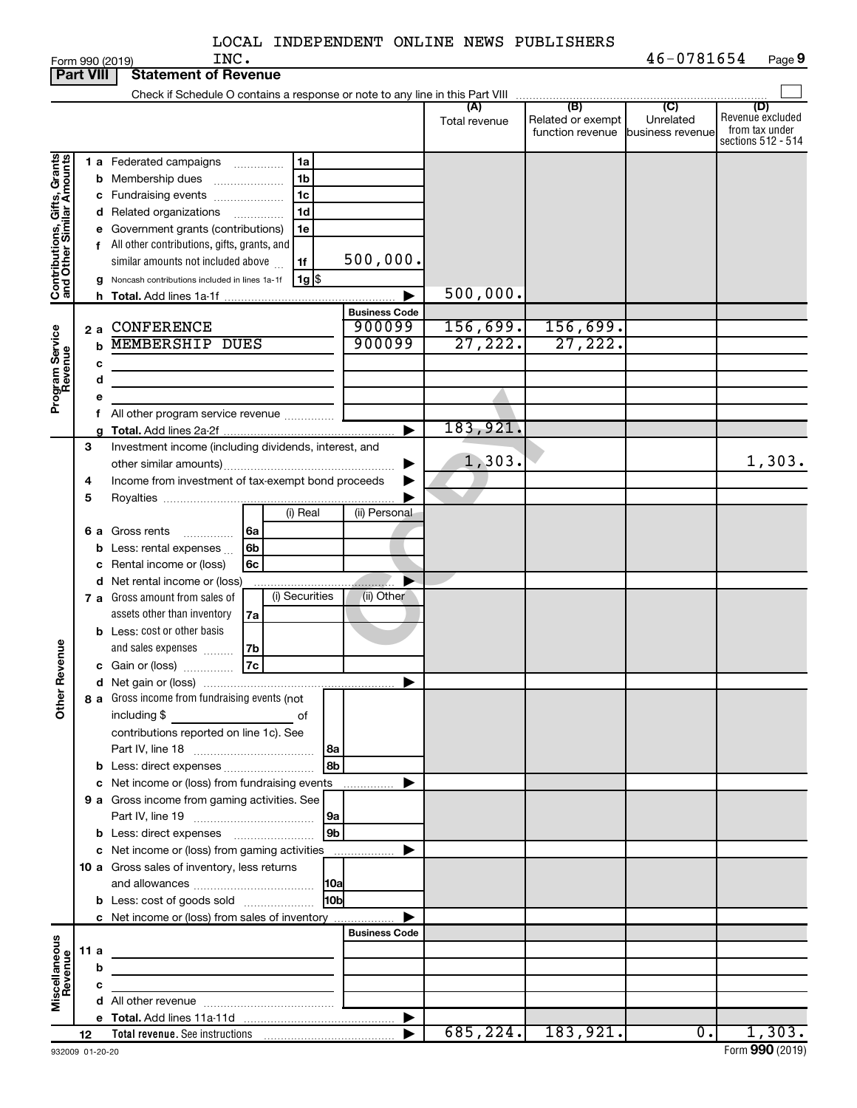|                                                           |      |   | INC.<br>Form 990 (2019)                                                             |                      |               |                                   | 46-0781654       | Page 9                               |
|-----------------------------------------------------------|------|---|-------------------------------------------------------------------------------------|----------------------|---------------|-----------------------------------|------------------|--------------------------------------|
| <b>Part VIII</b>                                          |      |   | <b>Statement of Revenue</b>                                                         |                      |               |                                   |                  |                                      |
|                                                           |      |   |                                                                                     |                      |               |                                   |                  |                                      |
|                                                           |      |   |                                                                                     |                      | Total revenue | Related or exempt                 | Unrelated        | (D)<br>Revenue excluded              |
|                                                           |      |   |                                                                                     |                      |               | function revenue business revenue |                  | from tax under<br>sections 512 - 514 |
|                                                           |      |   | 1 a Federated campaigns<br>1a                                                       |                      |               |                                   |                  |                                      |
|                                                           |      |   | 1 <sub>b</sub><br><b>b</b> Membership dues                                          |                      |               |                                   |                  |                                      |
|                                                           |      |   | 1 <sub>c</sub><br>c Fundraising events                                              |                      |               |                                   |                  |                                      |
|                                                           |      |   | 1 <sub>d</sub><br>d Related organizations                                           |                      |               |                                   |                  |                                      |
|                                                           |      |   | e Government grants (contributions)<br>1e                                           |                      |               |                                   |                  |                                      |
|                                                           |      |   | f All other contributions, gifts, grants, and                                       |                      |               |                                   |                  |                                      |
|                                                           |      |   | similar amounts not included above<br>1f                                            | 500,000.             |               |                                   |                  |                                      |
| Contributions, Gifts, Grants<br>and Other Similar Amounts |      |   | 1g <br>g Noncash contributions included in lines 1a-1f                              |                      |               |                                   |                  |                                      |
|                                                           |      |   |                                                                                     |                      | 500,000.      |                                   |                  |                                      |
|                                                           |      |   |                                                                                     | <b>Business Code</b> |               |                                   |                  |                                      |
|                                                           | 2a   |   | <b>CONFERENCE</b>                                                                   | 900099               | 156,699.      | 156,699.                          |                  |                                      |
|                                                           |      | b | <b>MEMBERSHIP DUES</b>                                                              | 900099               | 27,222.       | 27,222.                           |                  |                                      |
|                                                           |      | с |                                                                                     |                      |               |                                   |                  |                                      |
|                                                           |      | d |                                                                                     |                      |               |                                   |                  |                                      |
| Program Service<br>Revenue                                |      |   | All other program service revenue                                                   |                      |               |                                   |                  |                                      |
|                                                           |      | a |                                                                                     |                      | 183,921.      |                                   |                  |                                      |
|                                                           | 3    |   | Investment income (including dividends, interest, and                               |                      |               |                                   |                  |                                      |
|                                                           |      |   |                                                                                     |                      | 1,303.        |                                   |                  | 1,303.                               |
|                                                           | 4    |   | Income from investment of tax-exempt bond proceeds                                  |                      |               |                                   |                  |                                      |
|                                                           | 5    |   |                                                                                     |                      |               |                                   |                  |                                      |
|                                                           |      |   | (i) Real                                                                            | (ii) Personal        |               |                                   |                  |                                      |
|                                                           | 6а   |   | Gross rents<br>6a                                                                   |                      |               |                                   |                  |                                      |
|                                                           |      |   | <b>b</b> Less: rental expenses $\ldots$<br>6b                                       |                      |               |                                   |                  |                                      |
|                                                           |      |   | Rental income or (loss)<br>6c                                                       |                      |               |                                   |                  |                                      |
|                                                           |      |   | d Net rental income or (loss)                                                       |                      |               |                                   |                  |                                      |
|                                                           |      |   | (i) Securities<br><b>7 a</b> Gross amount from sales of                             | (ii) Other           |               |                                   |                  |                                      |
|                                                           |      |   | assets other than inventory<br>7a                                                   |                      |               |                                   |                  |                                      |
|                                                           |      |   | <b>b</b> Less: cost or other basis                                                  |                      |               |                                   |                  |                                      |
| evenue                                                    |      |   | and sales expenses<br>7b<br>7c<br>c Gain or (loss)                                  |                      |               |                                   |                  |                                      |
| œ                                                         |      |   |                                                                                     |                      |               |                                   |                  |                                      |
|                                                           |      |   | 8 a Gross income from fundraising events (not                                       |                      |               |                                   |                  |                                      |
| Other                                                     |      |   | including \$<br><u>state of</u> the state of                                        |                      |               |                                   |                  |                                      |
|                                                           |      |   | contributions reported on line 1c). See                                             |                      |               |                                   |                  |                                      |
|                                                           |      |   |                                                                                     |                      |               |                                   |                  |                                      |
|                                                           |      |   | 8b                                                                                  |                      |               |                                   |                  |                                      |
|                                                           |      |   | c Net income or (loss) from fundraising events                                      |                      |               |                                   |                  |                                      |
|                                                           |      |   | 9 a Gross income from gaming activities. See                                        |                      |               |                                   |                  |                                      |
|                                                           |      |   |                                                                                     |                      |               |                                   |                  |                                      |
|                                                           |      |   | 9 <sub>b</sub>                                                                      |                      |               |                                   |                  |                                      |
|                                                           |      |   | c Net income or (loss) from gaming activities                                       |                      |               |                                   |                  |                                      |
|                                                           |      |   | 10 a Gross sales of inventory, less returns                                         |                      |               |                                   |                  |                                      |
|                                                           |      |   | 10 <sub>b</sub>                                                                     |                      |               |                                   |                  |                                      |
|                                                           |      |   | <b>b</b> Less: cost of goods sold<br>c Net income or (loss) from sales of inventory |                      |               |                                   |                  |                                      |
|                                                           |      |   |                                                                                     | <b>Business Code</b> |               |                                   |                  |                                      |
|                                                           | 11 a |   |                                                                                     |                      |               |                                   |                  |                                      |
|                                                           |      | b |                                                                                     |                      |               |                                   |                  |                                      |
| Miscellaneous<br>Revenue                                  |      | c | <u> 1989 - Johann Stein, markinsk politik (d. 1989)</u>                             |                      |               |                                   |                  |                                      |
|                                                           |      |   |                                                                                     |                      |               |                                   |                  |                                      |
|                                                           |      |   |                                                                                     |                      |               |                                   |                  |                                      |
|                                                           | 12   |   |                                                                                     |                      |               | $685, 224.$ 183, 921.             | $\overline{0}$ . | 1,303.                               |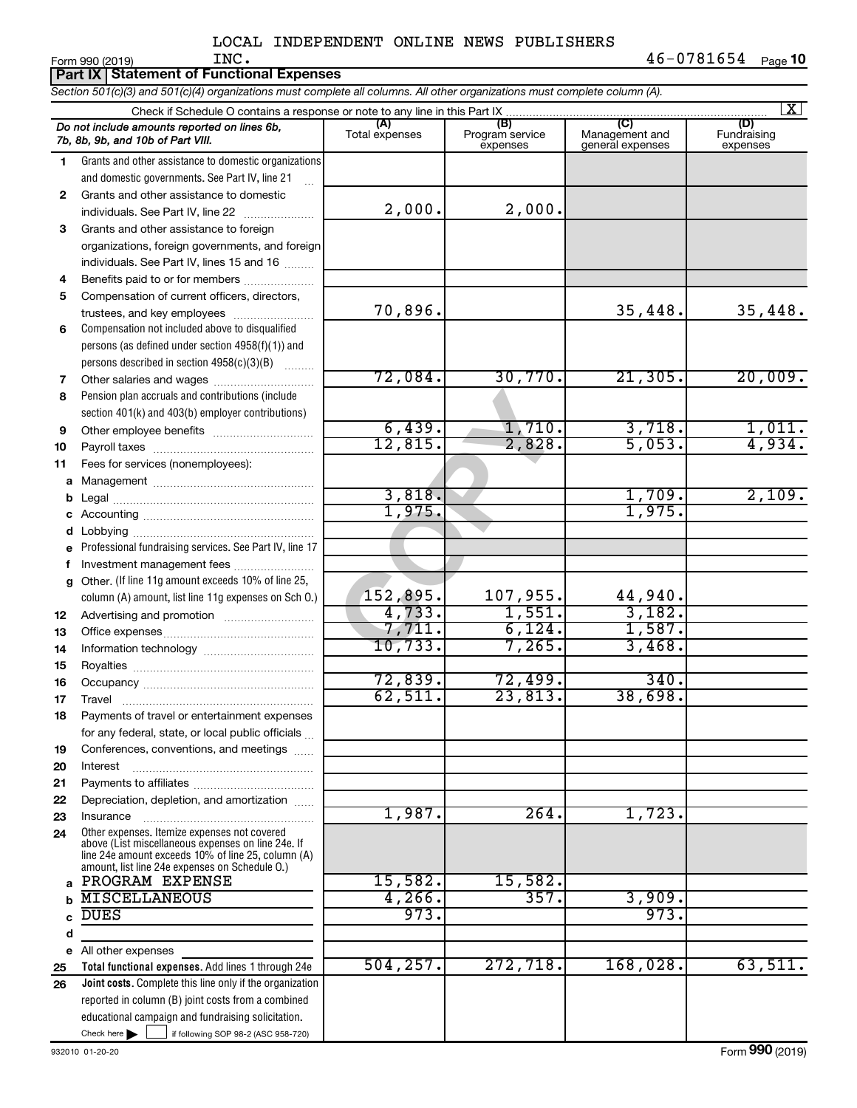|              | INC.<br>Form 990 (2019)                                                                                                                                  |                   |                             |                                    | 46-0781654<br>Page 10          |
|--------------|----------------------------------------------------------------------------------------------------------------------------------------------------------|-------------------|-----------------------------|------------------------------------|--------------------------------|
|              | <b>Part IX Statement of Functional Expenses</b>                                                                                                          |                   |                             |                                    |                                |
|              | Section 501(c)(3) and 501(c)(4) organizations must complete all columns. All other organizations must complete column (A).                               |                   |                             |                                    |                                |
|              |                                                                                                                                                          | (A)               | (B)                         |                                    | $\overline{\mathbf{x}}$<br>(D) |
|              | Do not include amounts reported on lines 6b,<br>7b, 8b, 9b, and 10b of Part VIII.                                                                        | Total expenses    | Program service<br>expenses | Management and<br>general expenses | Fundraising<br>expenses        |
| 1            | Grants and other assistance to domestic organizations                                                                                                    |                   |                             |                                    |                                |
|              | and domestic governments. See Part IV, line 21                                                                                                           |                   |                             |                                    |                                |
| $\mathbf{2}$ | Grants and other assistance to domestic                                                                                                                  |                   |                             |                                    |                                |
|              | individuals. See Part IV, line 22                                                                                                                        | 2,000.            | 2,000.                      |                                    |                                |
| 3            | Grants and other assistance to foreign                                                                                                                   |                   |                             |                                    |                                |
|              | organizations, foreign governments, and foreign                                                                                                          |                   |                             |                                    |                                |
|              | individuals. See Part IV, lines 15 and 16                                                                                                                |                   |                             |                                    |                                |
| 4            | Benefits paid to or for members                                                                                                                          |                   |                             |                                    |                                |
| 5            | Compensation of current officers, directors,                                                                                                             | 70,896.           |                             | 35,448.                            | 35,448.                        |
| 6            | trustees, and key employees<br>Compensation not included above to disqualified                                                                           |                   |                             |                                    |                                |
|              | persons (as defined under section 4958(f)(1)) and                                                                                                        |                   |                             |                                    |                                |
|              | persons described in section 4958(c)(3)(B)                                                                                                               |                   |                             |                                    |                                |
| 7            | Other salaries and wages                                                                                                                                 | 72,084.           | 30,770.                     | 21, 305.                           | 20,009.                        |
| 8            | Pension plan accruals and contributions (include                                                                                                         |                   |                             |                                    |                                |
|              | section 401(k) and 403(b) employer contributions)                                                                                                        |                   |                             |                                    |                                |
| 9            | Other employee benefits                                                                                                                                  | 6,439.            | 1,710.                      | 3,718.                             | 1,011.                         |
| 10           |                                                                                                                                                          | 12,815.           | 2,828.                      | 5,053.                             | 4,934.                         |
| 11           | Fees for services (nonemployees):                                                                                                                        |                   |                             |                                    |                                |
|              |                                                                                                                                                          |                   |                             |                                    |                                |
| b            |                                                                                                                                                          | 3,818.            |                             | 1,709.                             | 2,109.                         |
|              |                                                                                                                                                          | 1,975.            |                             | 1,975.                             |                                |
| d            |                                                                                                                                                          |                   |                             |                                    |                                |
| e            | Professional fundraising services. See Part IV, line 17                                                                                                  |                   |                             |                                    |                                |
| f            | Investment management fees                                                                                                                               |                   |                             |                                    |                                |
| g            | Other. (If line 11g amount exceeds 10% of line 25,                                                                                                       |                   |                             |                                    |                                |
|              | column (A) amount, list line 11g expenses on Sch O.)                                                                                                     | 152,895.          | 107,955.                    | 44,940.                            |                                |
| 12           |                                                                                                                                                          | 4,733.            | 1,551.                      | 3,182.                             |                                |
| 13           |                                                                                                                                                          | 7.711.<br>10,733. | 6,124.                      | 1,587.                             |                                |
| 14           |                                                                                                                                                          |                   | 7,265.                      | 3,468.                             |                                |
| 15           |                                                                                                                                                          | 72,839.           | 72,499.                     | 340.                               |                                |
| 16           |                                                                                                                                                          | 62,511.           | 23,813.                     | 38,698.                            |                                |
| 17           | Travel                                                                                                                                                   |                   |                             |                                    |                                |
| 18           | Payments of travel or entertainment expenses<br>for any federal, state, or local public officials                                                        |                   |                             |                                    |                                |
| 19           | Conferences, conventions, and meetings                                                                                                                   |                   |                             |                                    |                                |
| 20           | Interest                                                                                                                                                 |                   |                             |                                    |                                |
| 21           |                                                                                                                                                          |                   |                             |                                    |                                |
| 22           | Depreciation, depletion, and amortization                                                                                                                |                   |                             |                                    |                                |
| 23           | Insurance                                                                                                                                                | 1,987.            | 264.                        | 1,723.                             |                                |
| 24           | Other expenses. Itemize expenses not covered<br>above (List miscellaneous expenses on line 24e. If<br>line 24e amount exceeds 10% of line 25, column (A) |                   |                             |                                    |                                |
|              | amount, list line 24e expenses on Schedule O.)<br>a PROGRAM EXPENSE                                                                                      | 15,582.           | 15,582.                     |                                    |                                |
| b            | <b>MISCELLANEOUS</b>                                                                                                                                     | 4,266.            | 357.                        | 3,909.                             |                                |
| c            | <b>DUES</b>                                                                                                                                              | 973.              |                             | 973.                               |                                |
| d            |                                                                                                                                                          |                   |                             |                                    |                                |
|              | e All other expenses                                                                                                                                     |                   |                             |                                    |                                |
| 25           | Total functional expenses. Add lines 1 through 24e                                                                                                       | 504, 257.         | 272,718.                    | 168,028.                           | 63,511.                        |
| 26           | Joint costs. Complete this line only if the organization                                                                                                 |                   |                             |                                    |                                |
|              | reported in column (B) joint costs from a combined                                                                                                       |                   |                             |                                    |                                |
|              | educational campaign and fundraising solicitation.                                                                                                       |                   |                             |                                    |                                |

Check here  $\blacktriangleright$ 

Check here  $\begin{array}{c} \begin{array}{|c} \hline \end{array} \end{array}$  if following SOP 98-2 (ASC 958-720)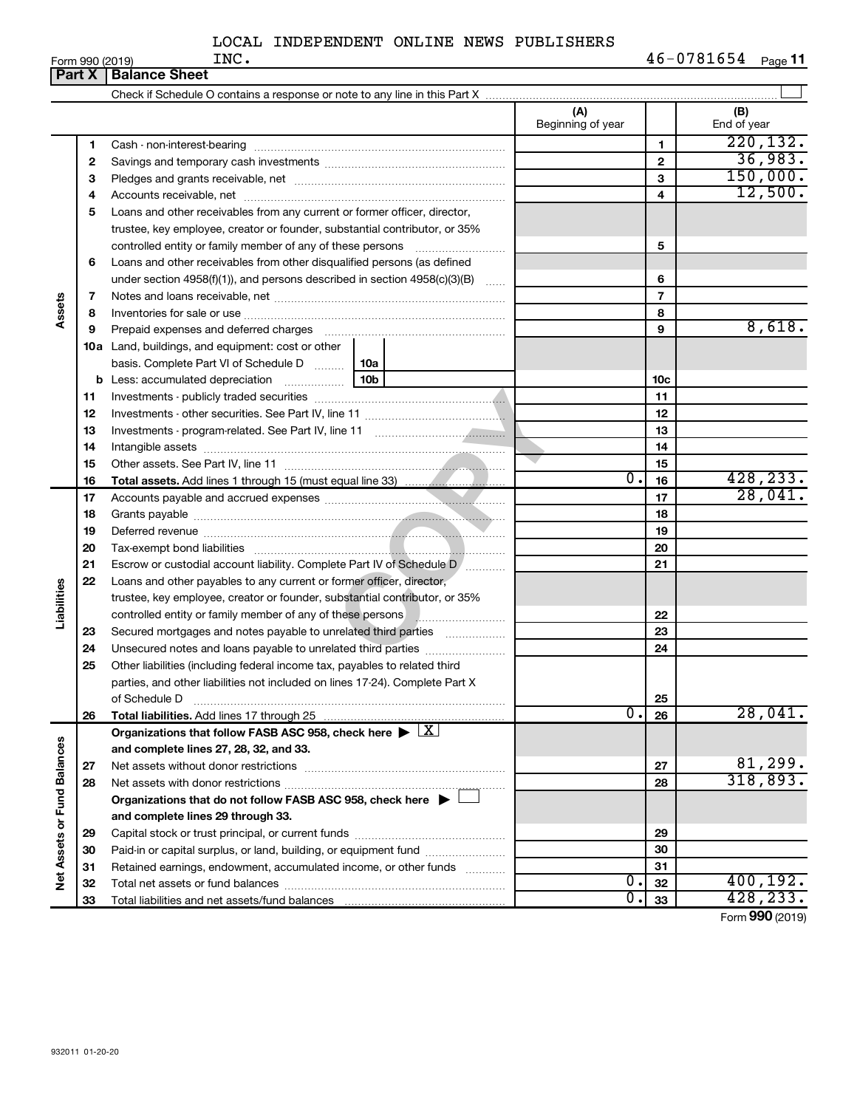| (A)<br>(B)<br>Beginning of year<br>End of year<br>220, 132.<br>1<br>1<br>36,983.<br>$\mathbf{2}$<br>$\mathbf{2}$<br>150,000.<br>3<br>З<br>12,500.<br>4<br>4<br>5<br>Loans and other receivables from any current or former officer, director,<br>trustee, key employee, creator or founder, substantial contributor, or 35%<br>5<br>Loans and other receivables from other disqualified persons (as defined<br>6<br>under section 4958(f)(1)), and persons described in section 4958(c)(3)(B)<br>6<br>$\overline{7}$<br>7<br>Assets<br>8<br>8<br>8,618.<br>9<br>9<br><b>10a</b> Land, buildings, and equipment: cost or other<br>basis. Complete Part VI of Schedule D    10a<br>10c<br>11<br>11<br>12<br>12<br>13<br>13<br>14<br>14<br>15<br>15<br>428, 233.<br>$\overline{0}$ .<br>16<br>16<br>28,041.<br>17<br>17<br>18<br>18<br>19<br>19<br>20<br>20<br>21<br>Escrow or custodial account liability. Complete Part IV of Schedule D /<br>21<br>22<br>Loans and other payables to any current or former officer, director,<br>Liabilities<br>trustee, key employee, creator or founder, substantial contributor, or 35%<br>controlled entity or family member of any of these persons <b>with an entity of family members</b><br>22<br>Secured mortgages and notes payable to unrelated third parties<br>23<br>23<br>Unsecured notes and loans payable to unrelated third parties<br>24<br>24<br>25<br>Other liabilities (including federal income tax, payables to related third<br>parties, and other liabilities not included on lines 17-24). Complete Part X<br>of Schedule D<br>25<br>28,041.<br>$\overline{0}$ .<br>26<br>Total liabilities. Add lines 17 through 25<br>26<br>Organizations that follow FASB ASC 958, check here $\blacktriangleright \lfloor \underline{X} \rfloor$<br>Net Assets or Fund Balances<br>and complete lines 27, 28, 32, and 33.<br>81,299.<br>27<br>27<br>28<br>28<br>Organizations that do not follow FASB ASC 958, check here $\blacktriangleright$<br>and complete lines 29 through 33.<br>29<br>29<br>Paid-in or capital surplus, or land, building, or equipment fund<br>30<br>30<br>Retained earnings, endowment, accumulated income, or other funds<br>31<br>31<br>О.<br>32<br>32<br>0.<br>33<br>33 |  | Part $X$ | <b>Balance Sheet</b> |  |                                  |
|----------------------------------------------------------------------------------------------------------------------------------------------------------------------------------------------------------------------------------------------------------------------------------------------------------------------------------------------------------------------------------------------------------------------------------------------------------------------------------------------------------------------------------------------------------------------------------------------------------------------------------------------------------------------------------------------------------------------------------------------------------------------------------------------------------------------------------------------------------------------------------------------------------------------------------------------------------------------------------------------------------------------------------------------------------------------------------------------------------------------------------------------------------------------------------------------------------------------------------------------------------------------------------------------------------------------------------------------------------------------------------------------------------------------------------------------------------------------------------------------------------------------------------------------------------------------------------------------------------------------------------------------------------------------------------------------------------------------------------------------------------------------------------------------------------------------------------------------------------------------------------------------------------------------------------------------------------------------------------------------------------------------------------------------------------------------------------------------------------------------------------------------------------------------------------------------------------------------------------------------------|--|----------|----------------------|--|----------------------------------|
|                                                                                                                                                                                                                                                                                                                                                                                                                                                                                                                                                                                                                                                                                                                                                                                                                                                                                                                                                                                                                                                                                                                                                                                                                                                                                                                                                                                                                                                                                                                                                                                                                                                                                                                                                                                                                                                                                                                                                                                                                                                                                                                                                                                                                                                    |  |          |                      |  |                                  |
|                                                                                                                                                                                                                                                                                                                                                                                                                                                                                                                                                                                                                                                                                                                                                                                                                                                                                                                                                                                                                                                                                                                                                                                                                                                                                                                                                                                                                                                                                                                                                                                                                                                                                                                                                                                                                                                                                                                                                                                                                                                                                                                                                                                                                                                    |  |          |                      |  |                                  |
|                                                                                                                                                                                                                                                                                                                                                                                                                                                                                                                                                                                                                                                                                                                                                                                                                                                                                                                                                                                                                                                                                                                                                                                                                                                                                                                                                                                                                                                                                                                                                                                                                                                                                                                                                                                                                                                                                                                                                                                                                                                                                                                                                                                                                                                    |  |          |                      |  |                                  |
|                                                                                                                                                                                                                                                                                                                                                                                                                                                                                                                                                                                                                                                                                                                                                                                                                                                                                                                                                                                                                                                                                                                                                                                                                                                                                                                                                                                                                                                                                                                                                                                                                                                                                                                                                                                                                                                                                                                                                                                                                                                                                                                                                                                                                                                    |  |          |                      |  |                                  |
|                                                                                                                                                                                                                                                                                                                                                                                                                                                                                                                                                                                                                                                                                                                                                                                                                                                                                                                                                                                                                                                                                                                                                                                                                                                                                                                                                                                                                                                                                                                                                                                                                                                                                                                                                                                                                                                                                                                                                                                                                                                                                                                                                                                                                                                    |  |          |                      |  |                                  |
|                                                                                                                                                                                                                                                                                                                                                                                                                                                                                                                                                                                                                                                                                                                                                                                                                                                                                                                                                                                                                                                                                                                                                                                                                                                                                                                                                                                                                                                                                                                                                                                                                                                                                                                                                                                                                                                                                                                                                                                                                                                                                                                                                                                                                                                    |  |          |                      |  |                                  |
|                                                                                                                                                                                                                                                                                                                                                                                                                                                                                                                                                                                                                                                                                                                                                                                                                                                                                                                                                                                                                                                                                                                                                                                                                                                                                                                                                                                                                                                                                                                                                                                                                                                                                                                                                                                                                                                                                                                                                                                                                                                                                                                                                                                                                                                    |  |          |                      |  |                                  |
|                                                                                                                                                                                                                                                                                                                                                                                                                                                                                                                                                                                                                                                                                                                                                                                                                                                                                                                                                                                                                                                                                                                                                                                                                                                                                                                                                                                                                                                                                                                                                                                                                                                                                                                                                                                                                                                                                                                                                                                                                                                                                                                                                                                                                                                    |  |          |                      |  |                                  |
|                                                                                                                                                                                                                                                                                                                                                                                                                                                                                                                                                                                                                                                                                                                                                                                                                                                                                                                                                                                                                                                                                                                                                                                                                                                                                                                                                                                                                                                                                                                                                                                                                                                                                                                                                                                                                                                                                                                                                                                                                                                                                                                                                                                                                                                    |  |          |                      |  |                                  |
|                                                                                                                                                                                                                                                                                                                                                                                                                                                                                                                                                                                                                                                                                                                                                                                                                                                                                                                                                                                                                                                                                                                                                                                                                                                                                                                                                                                                                                                                                                                                                                                                                                                                                                                                                                                                                                                                                                                                                                                                                                                                                                                                                                                                                                                    |  |          |                      |  |                                  |
|                                                                                                                                                                                                                                                                                                                                                                                                                                                                                                                                                                                                                                                                                                                                                                                                                                                                                                                                                                                                                                                                                                                                                                                                                                                                                                                                                                                                                                                                                                                                                                                                                                                                                                                                                                                                                                                                                                                                                                                                                                                                                                                                                                                                                                                    |  |          |                      |  |                                  |
|                                                                                                                                                                                                                                                                                                                                                                                                                                                                                                                                                                                                                                                                                                                                                                                                                                                                                                                                                                                                                                                                                                                                                                                                                                                                                                                                                                                                                                                                                                                                                                                                                                                                                                                                                                                                                                                                                                                                                                                                                                                                                                                                                                                                                                                    |  |          |                      |  |                                  |
|                                                                                                                                                                                                                                                                                                                                                                                                                                                                                                                                                                                                                                                                                                                                                                                                                                                                                                                                                                                                                                                                                                                                                                                                                                                                                                                                                                                                                                                                                                                                                                                                                                                                                                                                                                                                                                                                                                                                                                                                                                                                                                                                                                                                                                                    |  |          |                      |  |                                  |
|                                                                                                                                                                                                                                                                                                                                                                                                                                                                                                                                                                                                                                                                                                                                                                                                                                                                                                                                                                                                                                                                                                                                                                                                                                                                                                                                                                                                                                                                                                                                                                                                                                                                                                                                                                                                                                                                                                                                                                                                                                                                                                                                                                                                                                                    |  |          |                      |  |                                  |
|                                                                                                                                                                                                                                                                                                                                                                                                                                                                                                                                                                                                                                                                                                                                                                                                                                                                                                                                                                                                                                                                                                                                                                                                                                                                                                                                                                                                                                                                                                                                                                                                                                                                                                                                                                                                                                                                                                                                                                                                                                                                                                                                                                                                                                                    |  |          |                      |  |                                  |
|                                                                                                                                                                                                                                                                                                                                                                                                                                                                                                                                                                                                                                                                                                                                                                                                                                                                                                                                                                                                                                                                                                                                                                                                                                                                                                                                                                                                                                                                                                                                                                                                                                                                                                                                                                                                                                                                                                                                                                                                                                                                                                                                                                                                                                                    |  |          |                      |  |                                  |
|                                                                                                                                                                                                                                                                                                                                                                                                                                                                                                                                                                                                                                                                                                                                                                                                                                                                                                                                                                                                                                                                                                                                                                                                                                                                                                                                                                                                                                                                                                                                                                                                                                                                                                                                                                                                                                                                                                                                                                                                                                                                                                                                                                                                                                                    |  |          |                      |  |                                  |
|                                                                                                                                                                                                                                                                                                                                                                                                                                                                                                                                                                                                                                                                                                                                                                                                                                                                                                                                                                                                                                                                                                                                                                                                                                                                                                                                                                                                                                                                                                                                                                                                                                                                                                                                                                                                                                                                                                                                                                                                                                                                                                                                                                                                                                                    |  |          |                      |  |                                  |
|                                                                                                                                                                                                                                                                                                                                                                                                                                                                                                                                                                                                                                                                                                                                                                                                                                                                                                                                                                                                                                                                                                                                                                                                                                                                                                                                                                                                                                                                                                                                                                                                                                                                                                                                                                                                                                                                                                                                                                                                                                                                                                                                                                                                                                                    |  |          |                      |  |                                  |
|                                                                                                                                                                                                                                                                                                                                                                                                                                                                                                                                                                                                                                                                                                                                                                                                                                                                                                                                                                                                                                                                                                                                                                                                                                                                                                                                                                                                                                                                                                                                                                                                                                                                                                                                                                                                                                                                                                                                                                                                                                                                                                                                                                                                                                                    |  |          |                      |  |                                  |
|                                                                                                                                                                                                                                                                                                                                                                                                                                                                                                                                                                                                                                                                                                                                                                                                                                                                                                                                                                                                                                                                                                                                                                                                                                                                                                                                                                                                                                                                                                                                                                                                                                                                                                                                                                                                                                                                                                                                                                                                                                                                                                                                                                                                                                                    |  |          |                      |  |                                  |
|                                                                                                                                                                                                                                                                                                                                                                                                                                                                                                                                                                                                                                                                                                                                                                                                                                                                                                                                                                                                                                                                                                                                                                                                                                                                                                                                                                                                                                                                                                                                                                                                                                                                                                                                                                                                                                                                                                                                                                                                                                                                                                                                                                                                                                                    |  |          |                      |  |                                  |
|                                                                                                                                                                                                                                                                                                                                                                                                                                                                                                                                                                                                                                                                                                                                                                                                                                                                                                                                                                                                                                                                                                                                                                                                                                                                                                                                                                                                                                                                                                                                                                                                                                                                                                                                                                                                                                                                                                                                                                                                                                                                                                                                                                                                                                                    |  |          |                      |  |                                  |
|                                                                                                                                                                                                                                                                                                                                                                                                                                                                                                                                                                                                                                                                                                                                                                                                                                                                                                                                                                                                                                                                                                                                                                                                                                                                                                                                                                                                                                                                                                                                                                                                                                                                                                                                                                                                                                                                                                                                                                                                                                                                                                                                                                                                                                                    |  |          |                      |  |                                  |
|                                                                                                                                                                                                                                                                                                                                                                                                                                                                                                                                                                                                                                                                                                                                                                                                                                                                                                                                                                                                                                                                                                                                                                                                                                                                                                                                                                                                                                                                                                                                                                                                                                                                                                                                                                                                                                                                                                                                                                                                                                                                                                                                                                                                                                                    |  |          |                      |  |                                  |
|                                                                                                                                                                                                                                                                                                                                                                                                                                                                                                                                                                                                                                                                                                                                                                                                                                                                                                                                                                                                                                                                                                                                                                                                                                                                                                                                                                                                                                                                                                                                                                                                                                                                                                                                                                                                                                                                                                                                                                                                                                                                                                                                                                                                                                                    |  |          |                      |  |                                  |
|                                                                                                                                                                                                                                                                                                                                                                                                                                                                                                                                                                                                                                                                                                                                                                                                                                                                                                                                                                                                                                                                                                                                                                                                                                                                                                                                                                                                                                                                                                                                                                                                                                                                                                                                                                                                                                                                                                                                                                                                                                                                                                                                                                                                                                                    |  |          |                      |  |                                  |
|                                                                                                                                                                                                                                                                                                                                                                                                                                                                                                                                                                                                                                                                                                                                                                                                                                                                                                                                                                                                                                                                                                                                                                                                                                                                                                                                                                                                                                                                                                                                                                                                                                                                                                                                                                                                                                                                                                                                                                                                                                                                                                                                                                                                                                                    |  |          |                      |  |                                  |
|                                                                                                                                                                                                                                                                                                                                                                                                                                                                                                                                                                                                                                                                                                                                                                                                                                                                                                                                                                                                                                                                                                                                                                                                                                                                                                                                                                                                                                                                                                                                                                                                                                                                                                                                                                                                                                                                                                                                                                                                                                                                                                                                                                                                                                                    |  |          |                      |  |                                  |
|                                                                                                                                                                                                                                                                                                                                                                                                                                                                                                                                                                                                                                                                                                                                                                                                                                                                                                                                                                                                                                                                                                                                                                                                                                                                                                                                                                                                                                                                                                                                                                                                                                                                                                                                                                                                                                                                                                                                                                                                                                                                                                                                                                                                                                                    |  |          |                      |  |                                  |
|                                                                                                                                                                                                                                                                                                                                                                                                                                                                                                                                                                                                                                                                                                                                                                                                                                                                                                                                                                                                                                                                                                                                                                                                                                                                                                                                                                                                                                                                                                                                                                                                                                                                                                                                                                                                                                                                                                                                                                                                                                                                                                                                                                                                                                                    |  |          |                      |  |                                  |
|                                                                                                                                                                                                                                                                                                                                                                                                                                                                                                                                                                                                                                                                                                                                                                                                                                                                                                                                                                                                                                                                                                                                                                                                                                                                                                                                                                                                                                                                                                                                                                                                                                                                                                                                                                                                                                                                                                                                                                                                                                                                                                                                                                                                                                                    |  |          |                      |  |                                  |
|                                                                                                                                                                                                                                                                                                                                                                                                                                                                                                                                                                                                                                                                                                                                                                                                                                                                                                                                                                                                                                                                                                                                                                                                                                                                                                                                                                                                                                                                                                                                                                                                                                                                                                                                                                                                                                                                                                                                                                                                                                                                                                                                                                                                                                                    |  |          |                      |  |                                  |
|                                                                                                                                                                                                                                                                                                                                                                                                                                                                                                                                                                                                                                                                                                                                                                                                                                                                                                                                                                                                                                                                                                                                                                                                                                                                                                                                                                                                                                                                                                                                                                                                                                                                                                                                                                                                                                                                                                                                                                                                                                                                                                                                                                                                                                                    |  |          |                      |  |                                  |
|                                                                                                                                                                                                                                                                                                                                                                                                                                                                                                                                                                                                                                                                                                                                                                                                                                                                                                                                                                                                                                                                                                                                                                                                                                                                                                                                                                                                                                                                                                                                                                                                                                                                                                                                                                                                                                                                                                                                                                                                                                                                                                                                                                                                                                                    |  |          |                      |  |                                  |
|                                                                                                                                                                                                                                                                                                                                                                                                                                                                                                                                                                                                                                                                                                                                                                                                                                                                                                                                                                                                                                                                                                                                                                                                                                                                                                                                                                                                                                                                                                                                                                                                                                                                                                                                                                                                                                                                                                                                                                                                                                                                                                                                                                                                                                                    |  |          |                      |  |                                  |
|                                                                                                                                                                                                                                                                                                                                                                                                                                                                                                                                                                                                                                                                                                                                                                                                                                                                                                                                                                                                                                                                                                                                                                                                                                                                                                                                                                                                                                                                                                                                                                                                                                                                                                                                                                                                                                                                                                                                                                                                                                                                                                                                                                                                                                                    |  |          |                      |  |                                  |
|                                                                                                                                                                                                                                                                                                                                                                                                                                                                                                                                                                                                                                                                                                                                                                                                                                                                                                                                                                                                                                                                                                                                                                                                                                                                                                                                                                                                                                                                                                                                                                                                                                                                                                                                                                                                                                                                                                                                                                                                                                                                                                                                                                                                                                                    |  |          |                      |  |                                  |
|                                                                                                                                                                                                                                                                                                                                                                                                                                                                                                                                                                                                                                                                                                                                                                                                                                                                                                                                                                                                                                                                                                                                                                                                                                                                                                                                                                                                                                                                                                                                                                                                                                                                                                                                                                                                                                                                                                                                                                                                                                                                                                                                                                                                                                                    |  |          |                      |  |                                  |
|                                                                                                                                                                                                                                                                                                                                                                                                                                                                                                                                                                                                                                                                                                                                                                                                                                                                                                                                                                                                                                                                                                                                                                                                                                                                                                                                                                                                                                                                                                                                                                                                                                                                                                                                                                                                                                                                                                                                                                                                                                                                                                                                                                                                                                                    |  |          |                      |  | 318,893.                         |
|                                                                                                                                                                                                                                                                                                                                                                                                                                                                                                                                                                                                                                                                                                                                                                                                                                                                                                                                                                                                                                                                                                                                                                                                                                                                                                                                                                                                                                                                                                                                                                                                                                                                                                                                                                                                                                                                                                                                                                                                                                                                                                                                                                                                                                                    |  |          |                      |  |                                  |
|                                                                                                                                                                                                                                                                                                                                                                                                                                                                                                                                                                                                                                                                                                                                                                                                                                                                                                                                                                                                                                                                                                                                                                                                                                                                                                                                                                                                                                                                                                                                                                                                                                                                                                                                                                                                                                                                                                                                                                                                                                                                                                                                                                                                                                                    |  |          |                      |  |                                  |
|                                                                                                                                                                                                                                                                                                                                                                                                                                                                                                                                                                                                                                                                                                                                                                                                                                                                                                                                                                                                                                                                                                                                                                                                                                                                                                                                                                                                                                                                                                                                                                                                                                                                                                                                                                                                                                                                                                                                                                                                                                                                                                                                                                                                                                                    |  |          |                      |  |                                  |
|                                                                                                                                                                                                                                                                                                                                                                                                                                                                                                                                                                                                                                                                                                                                                                                                                                                                                                                                                                                                                                                                                                                                                                                                                                                                                                                                                                                                                                                                                                                                                                                                                                                                                                                                                                                                                                                                                                                                                                                                                                                                                                                                                                                                                                                    |  |          |                      |  |                                  |
|                                                                                                                                                                                                                                                                                                                                                                                                                                                                                                                                                                                                                                                                                                                                                                                                                                                                                                                                                                                                                                                                                                                                                                                                                                                                                                                                                                                                                                                                                                                                                                                                                                                                                                                                                                                                                                                                                                                                                                                                                                                                                                                                                                                                                                                    |  |          |                      |  |                                  |
|                                                                                                                                                                                                                                                                                                                                                                                                                                                                                                                                                                                                                                                                                                                                                                                                                                                                                                                                                                                                                                                                                                                                                                                                                                                                                                                                                                                                                                                                                                                                                                                                                                                                                                                                                                                                                                                                                                                                                                                                                                                                                                                                                                                                                                                    |  |          |                      |  | 400, 192.                        |
|                                                                                                                                                                                                                                                                                                                                                                                                                                                                                                                                                                                                                                                                                                                                                                                                                                                                                                                                                                                                                                                                                                                                                                                                                                                                                                                                                                                                                                                                                                                                                                                                                                                                                                                                                                                                                                                                                                                                                                                                                                                                                                                                                                                                                                                    |  |          |                      |  | 428,233.<br>$000 \times 10^{-1}$ |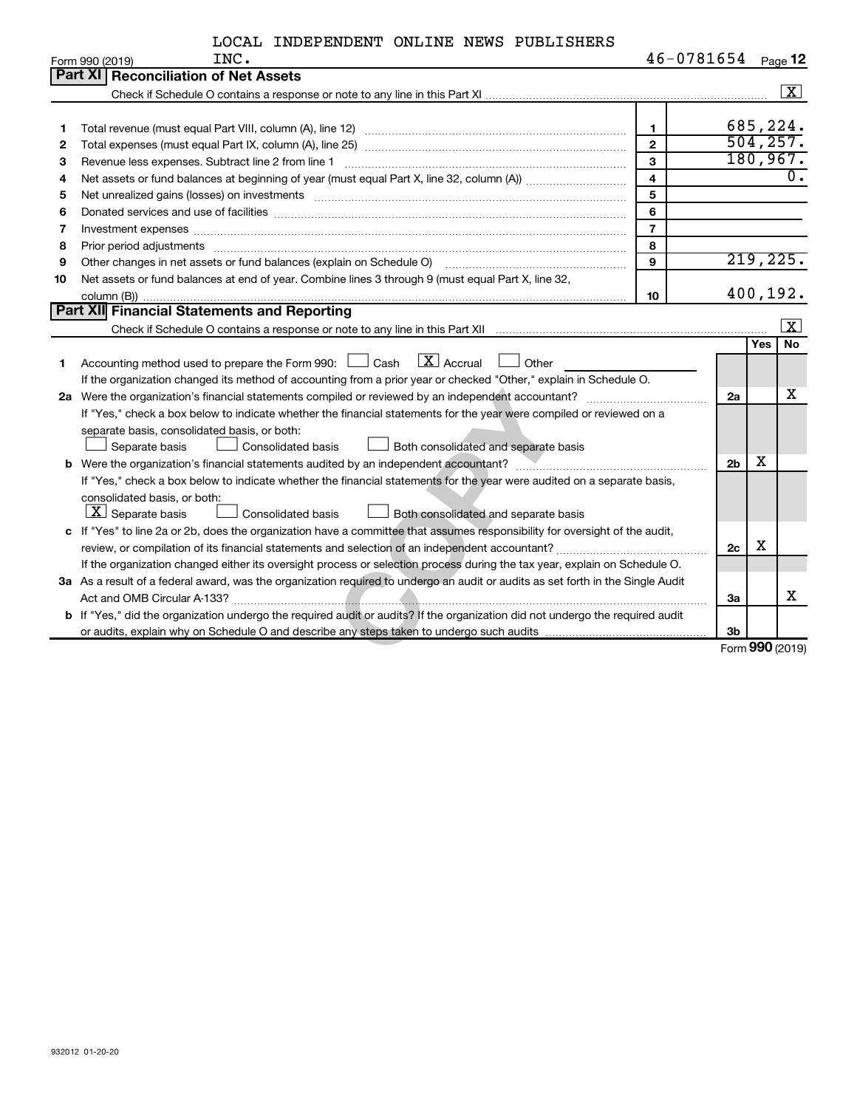| LOCAL INDEPENDENT ONLINE NEWS PUBLISHERS |  |  |
|------------------------------------------|--|--|
|------------------------------------------|--|--|

|    | INC.<br>Form 990 (2019)                                                                                                                                                                                                        | 46-0781654     |                |          | Page 12            |
|----|--------------------------------------------------------------------------------------------------------------------------------------------------------------------------------------------------------------------------------|----------------|----------------|----------|--------------------|
|    | Part XI Reconciliation of Net Assets                                                                                                                                                                                           |                |                |          |                    |
|    |                                                                                                                                                                                                                                |                |                |          | $\boxed{\text{X}}$ |
|    |                                                                                                                                                                                                                                |                |                |          |                    |
| 1  |                                                                                                                                                                                                                                | $\mathbf 1$    |                |          | 685,224.           |
| 2  |                                                                                                                                                                                                                                | $\mathbf{2}$   |                |          | 504, 257.          |
| З  | Revenue less expenses. Subtract line 2 from line 1                                                                                                                                                                             | 3              |                |          | 180, 967.          |
| 4  |                                                                                                                                                                                                                                | $\overline{4}$ |                |          | $\overline{0}$ .   |
| 5  | Net unrealized gains (losses) on investments [11] matter in the content of the state of the state of the state of the state of the state of the state of the state of the state of the state of the state of the state of the  | 5              |                |          |                    |
| 6  |                                                                                                                                                                                                                                | 6              |                |          |                    |
| 7  | Investment expenses with an annual contract of the state of the state of the state of the state of the state of the state of the state of the state of the state of the state of the state of the state of the state of the st | $\overline{7}$ |                |          |                    |
| 8  | Prior period adjustments www.communication.communication.communication.com/                                                                                                                                                    | 8              |                |          |                    |
| 9  | Other changes in net assets or fund balances (explain on Schedule O)                                                                                                                                                           | 9              |                |          | 219,225.           |
| 10 | Net assets or fund balances at end of year. Combine lines 3 through 9 (must equal Part X, line 32,                                                                                                                             |                |                |          |                    |
|    |                                                                                                                                                                                                                                | 10             |                | 400,192. |                    |
|    | Part XII Financial Statements and Reporting                                                                                                                                                                                    |                |                |          |                    |
|    |                                                                                                                                                                                                                                |                |                |          | $ {\bf x} $        |
|    |                                                                                                                                                                                                                                |                |                | Yes      | No                 |
| 1  | $\boxed{\text{X}}$ Accrual<br>Accounting method used to prepare the Form 990: $\Box$ Cash<br>Other                                                                                                                             |                |                |          |                    |
|    | If the organization changed its method of accounting from a prior year or checked "Other," explain in Schedule O.                                                                                                              |                |                |          |                    |
|    |                                                                                                                                                                                                                                |                | 2a             |          | x                  |
|    | If "Yes," check a box below to indicate whether the financial statements for the year were compiled or reviewed on a                                                                                                           |                |                |          |                    |
|    | separate basis, consolidated basis, or both:                                                                                                                                                                                   |                |                |          |                    |
|    | Separate basis<br><b>Consolidated basis</b><br>Both consolidated and separate basis                                                                                                                                            |                |                |          |                    |
|    |                                                                                                                                                                                                                                |                | 2 <sub>b</sub> | x        |                    |
|    | If "Yes," check a box below to indicate whether the financial statements for the year were audited on a separate basis,                                                                                                        |                |                |          |                    |
|    | consolidated basis, or both:                                                                                                                                                                                                   |                |                |          |                    |
|    | $\lfloor x \rfloor$ Separate basis<br><b>Consolidated basis</b><br>Both consolidated and separate basis                                                                                                                        |                |                |          |                    |
|    | c If "Yes" to line 2a or 2b, does the organization have a committee that assumes responsibility for oversight of the audit,                                                                                                    |                |                |          |                    |
|    |                                                                                                                                                                                                                                |                | 2c             | х        |                    |
|    | If the organization changed either its oversight process or selection process during the tax year, explain on Schedule O.                                                                                                      |                |                |          |                    |
|    | 3a As a result of a federal award, was the organization required to undergo an audit or audits as set forth in the Single Audit                                                                                                |                |                |          |                    |
|    |                                                                                                                                                                                                                                |                | За             |          | х                  |
|    | b If "Yes," did the organization undergo the required audit or audits? If the organization did not undergo the required audit                                                                                                  |                |                |          |                    |
|    |                                                                                                                                                                                                                                |                | 3 <sub>b</sub> |          |                    |
|    |                                                                                                                                                                                                                                |                |                |          | Form 990 (2019)    |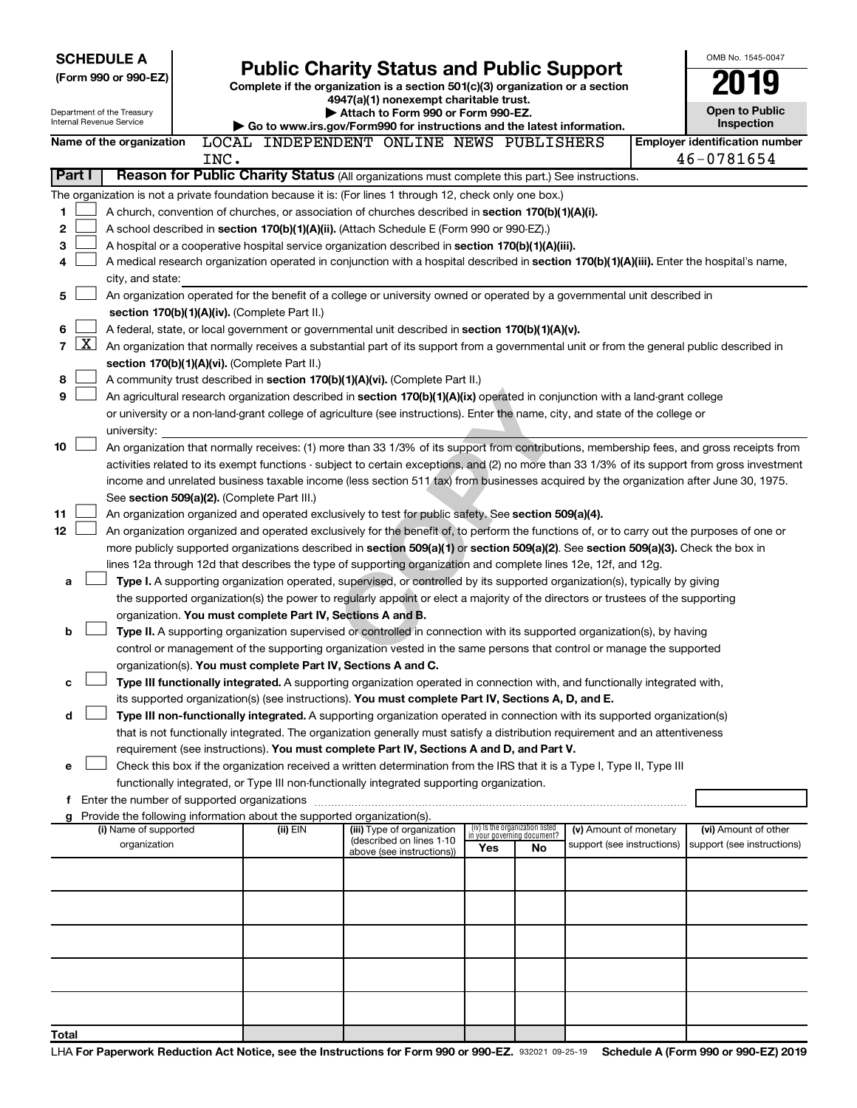|        |              | <b>SCHEDULE A</b><br>(Form 990 or 990-EZ)<br>Department of the Treasury |      | <b>Public Charity Status and Public Support</b><br>Complete if the organization is a section 501(c)(3) organization or a section<br>4947(a)(1) nonexempt charitable trust.<br>Attach to Form 990 or Form 990-EZ. |                                                                                                                                               |                                 |    |                                                      |  |                                                     |
|--------|--------------|-------------------------------------------------------------------------|------|------------------------------------------------------------------------------------------------------------------------------------------------------------------------------------------------------------------|-----------------------------------------------------------------------------------------------------------------------------------------------|---------------------------------|----|------------------------------------------------------|--|-----------------------------------------------------|
|        |              | Internal Revenue Service                                                |      |                                                                                                                                                                                                                  | Go to www.irs.gov/Form990 for instructions and the latest information.                                                                        |                                 |    |                                                      |  | Inspection                                          |
|        |              | Name of the organization                                                | INC. |                                                                                                                                                                                                                  | LOCAL INDEPENDENT ONLINE NEWS PUBLISHERS                                                                                                      |                                 |    |                                                      |  | <b>Employer identification number</b><br>46-0781654 |
| Part I |              |                                                                         |      |                                                                                                                                                                                                                  | Reason for Public Charity Status (All organizations must complete this part.) See instructions.                                               |                                 |    |                                                      |  |                                                     |
|        |              |                                                                         |      |                                                                                                                                                                                                                  | The organization is not a private foundation because it is: (For lines 1 through 12, check only one box.)                                     |                                 |    |                                                      |  |                                                     |
| 1      |              |                                                                         |      |                                                                                                                                                                                                                  | A church, convention of churches, or association of churches described in section 170(b)(1)(A)(i).                                            |                                 |    |                                                      |  |                                                     |
| 2      |              |                                                                         |      |                                                                                                                                                                                                                  | A school described in section 170(b)(1)(A)(ii). (Attach Schedule E (Form 990 or 990-EZ).)                                                     |                                 |    |                                                      |  |                                                     |
| 3      |              |                                                                         |      |                                                                                                                                                                                                                  | A hospital or a cooperative hospital service organization described in section 170(b)(1)(A)(iii).                                             |                                 |    |                                                      |  |                                                     |
| 4      |              |                                                                         |      |                                                                                                                                                                                                                  | A medical research organization operated in conjunction with a hospital described in section 170(b)(1)(A)(iii). Enter the hospital's name,    |                                 |    |                                                      |  |                                                     |
|        |              | city, and state:                                                        |      |                                                                                                                                                                                                                  |                                                                                                                                               |                                 |    |                                                      |  |                                                     |
| 5      |              |                                                                         |      |                                                                                                                                                                                                                  | An organization operated for the benefit of a college or university owned or operated by a governmental unit described in                     |                                 |    |                                                      |  |                                                     |
|        |              |                                                                         |      | section 170(b)(1)(A)(iv). (Complete Part II.)                                                                                                                                                                    |                                                                                                                                               |                                 |    |                                                      |  |                                                     |
| 6      |              |                                                                         |      |                                                                                                                                                                                                                  | A federal, state, or local government or governmental unit described in section 170(b)(1)(A)(v).                                              |                                 |    |                                                      |  |                                                     |
| 7      | $\mathbf{X}$ |                                                                         |      |                                                                                                                                                                                                                  | An organization that normally receives a substantial part of its support from a governmental unit or from the general public described in     |                                 |    |                                                      |  |                                                     |
|        |              |                                                                         |      | section 170(b)(1)(A)(vi). (Complete Part II.)                                                                                                                                                                    |                                                                                                                                               |                                 |    |                                                      |  |                                                     |
| 8      |              |                                                                         |      |                                                                                                                                                                                                                  | A community trust described in section 170(b)(1)(A)(vi). (Complete Part II.)                                                                  |                                 |    |                                                      |  |                                                     |
| 9      |              |                                                                         |      |                                                                                                                                                                                                                  | An agricultural research organization described in section 170(b)(1)(A)(ix) operated in conjunction with a land-grant college                 |                                 |    |                                                      |  |                                                     |
|        |              | university:                                                             |      |                                                                                                                                                                                                                  | or university or a non-land-grant college of agriculture (see instructions). Enter the name, city, and state of the college or                |                                 |    |                                                      |  |                                                     |
| 10     |              |                                                                         |      |                                                                                                                                                                                                                  | An organization that normally receives: (1) more than 33 1/3% of its support from contributions, membership fees, and gross receipts from     |                                 |    |                                                      |  |                                                     |
|        |              |                                                                         |      |                                                                                                                                                                                                                  | activities related to its exempt functions - subject to certain exceptions, and (2) no more than 33 1/3% of its support from gross investment |                                 |    |                                                      |  |                                                     |
|        |              |                                                                         |      |                                                                                                                                                                                                                  | income and unrelated business taxable income (less section 511 tax) from businesses acquired by the organization after June 30, 1975.         |                                 |    |                                                      |  |                                                     |
|        |              |                                                                         |      | See section 509(a)(2). (Complete Part III.)                                                                                                                                                                      |                                                                                                                                               |                                 |    |                                                      |  |                                                     |
| 11     |              |                                                                         |      |                                                                                                                                                                                                                  | An organization organized and operated exclusively to test for public safety. See section 509(a)(4).                                          |                                 |    |                                                      |  |                                                     |
| 12     |              |                                                                         |      |                                                                                                                                                                                                                  | An organization organized and operated exclusively for the benefit of, to perform the functions of, or to carry out the purposes of one or    |                                 |    |                                                      |  |                                                     |
|        |              |                                                                         |      |                                                                                                                                                                                                                  | more publicly supported organizations described in section 509(a)(1) or section 509(a)(2). See section 509(a)(3). Check the box in            |                                 |    |                                                      |  |                                                     |
|        |              |                                                                         |      |                                                                                                                                                                                                                  | lines 12a through 12d that describes the type of supporting organization and complete lines 12e, 12f, and 12g.                                |                                 |    |                                                      |  |                                                     |
| а      |              |                                                                         |      |                                                                                                                                                                                                                  | Type I. A supporting organization operated, supervised, or controlled by its supported organization(s), typically by giving                   |                                 |    |                                                      |  |                                                     |
|        |              |                                                                         |      |                                                                                                                                                                                                                  | the supported organization(s) the power to regularly appoint or elect a majority of the directors or trustees of the supporting               |                                 |    |                                                      |  |                                                     |
|        |              |                                                                         |      | organization. You must complete Part IV, Sections A and B.                                                                                                                                                       |                                                                                                                                               |                                 |    |                                                      |  |                                                     |
| b      |              |                                                                         |      |                                                                                                                                                                                                                  | Type II. A supporting organization supervised or controlled in connection with its supported organization(s), by having                       |                                 |    |                                                      |  |                                                     |
|        |              |                                                                         |      |                                                                                                                                                                                                                  | control or management of the supporting organization vested in the same persons that control or manage the supported                          |                                 |    |                                                      |  |                                                     |
| c      |              |                                                                         |      | organization(s). You must complete Part IV, Sections A and C.                                                                                                                                                    | Type III functionally integrated. A supporting organization operated in connection with, and functionally integrated with,                    |                                 |    |                                                      |  |                                                     |
|        |              |                                                                         |      |                                                                                                                                                                                                                  | its supported organization(s) (see instructions). You must complete Part IV, Sections A, D, and E.                                            |                                 |    |                                                      |  |                                                     |
| d      |              |                                                                         |      |                                                                                                                                                                                                                  | Type III non-functionally integrated. A supporting organization operated in connection with its supported organization(s)                     |                                 |    |                                                      |  |                                                     |
|        |              |                                                                         |      |                                                                                                                                                                                                                  | that is not functionally integrated. The organization generally must satisfy a distribution requirement and an attentiveness                  |                                 |    |                                                      |  |                                                     |
|        |              |                                                                         |      |                                                                                                                                                                                                                  | requirement (see instructions). You must complete Part IV, Sections A and D, and Part V.                                                      |                                 |    |                                                      |  |                                                     |
| е      |              |                                                                         |      |                                                                                                                                                                                                                  | Check this box if the organization received a written determination from the IRS that it is a Type I, Type II, Type III                       |                                 |    |                                                      |  |                                                     |
|        |              |                                                                         |      |                                                                                                                                                                                                                  | functionally integrated, or Type III non-functionally integrated supporting organization.                                                     |                                 |    |                                                      |  |                                                     |
|        |              | f Enter the number of supported organizations                           |      |                                                                                                                                                                                                                  |                                                                                                                                               |                                 |    |                                                      |  |                                                     |
|        |              |                                                                         |      | g Provide the following information about the supported organization(s).                                                                                                                                         |                                                                                                                                               | (iv) Is the organization listed |    |                                                      |  |                                                     |
|        |              | (i) Name of supported<br>organization                                   |      | (ii) EIN                                                                                                                                                                                                         | (iii) Type of organization<br>(described on lines 1-10                                                                                        | in your governing document?     |    | (v) Amount of monetary<br>support (see instructions) |  | (vi) Amount of other<br>support (see instructions)  |
|        |              |                                                                         |      |                                                                                                                                                                                                                  | above (see instructions))                                                                                                                     | Yes                             | No |                                                      |  |                                                     |
|        |              |                                                                         |      |                                                                                                                                                                                                                  |                                                                                                                                               |                                 |    |                                                      |  |                                                     |
|        |              |                                                                         |      |                                                                                                                                                                                                                  |                                                                                                                                               |                                 |    |                                                      |  |                                                     |
|        |              |                                                                         |      |                                                                                                                                                                                                                  |                                                                                                                                               |                                 |    |                                                      |  |                                                     |
|        |              |                                                                         |      |                                                                                                                                                                                                                  |                                                                                                                                               |                                 |    |                                                      |  |                                                     |
|        |              |                                                                         |      |                                                                                                                                                                                                                  |                                                                                                                                               |                                 |    |                                                      |  |                                                     |
|        |              |                                                                         |      |                                                                                                                                                                                                                  |                                                                                                                                               |                                 |    |                                                      |  |                                                     |
|        |              |                                                                         |      |                                                                                                                                                                                                                  |                                                                                                                                               |                                 |    |                                                      |  |                                                     |
|        |              |                                                                         |      |                                                                                                                                                                                                                  |                                                                                                                                               |                                 |    |                                                      |  |                                                     |
|        |              |                                                                         |      |                                                                                                                                                                                                                  |                                                                                                                                               |                                 |    |                                                      |  |                                                     |
| Total  |              |                                                                         |      |                                                                                                                                                                                                                  |                                                                                                                                               |                                 |    |                                                      |  |                                                     |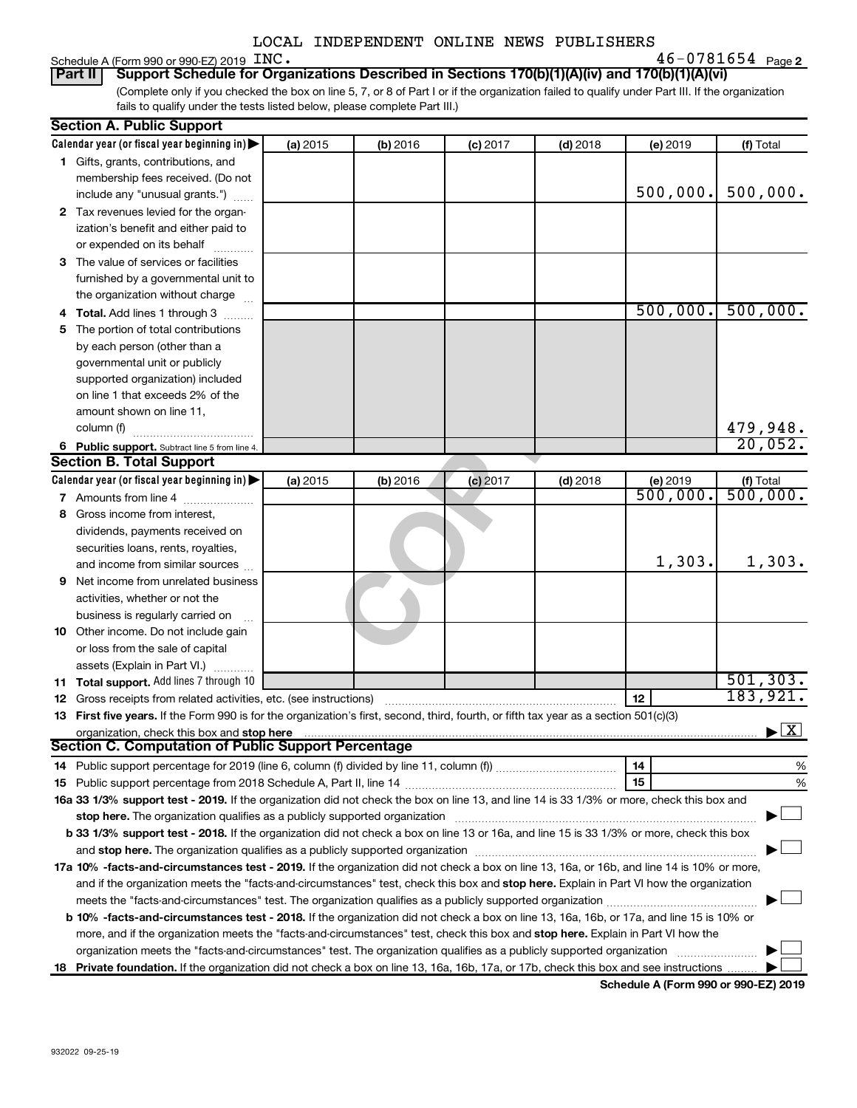|  | Schedule A (Form 990 or 990-EZ) 2019 $~\rm{INC}$ . |  | $46 - 0781654$ Page |  |  |
|--|----------------------------------------------------|--|---------------------|--|--|
|--|----------------------------------------------------|--|---------------------|--|--|

**2** INC. 46-0781654

(Complete only if you checked the box on line 5, 7, or 8 of Part I or if the organization failed to qualify under Part III. If the organization fails to qualify under the tests listed below, please complete Part III.) **Part II Support Schedule for Organizations Described in Sections 170(b)(1)(A)(iv) and 170(b)(1)(A)(vi)**

| <b>Section A. Public Support</b>                                                                                                                                                                                               |          |          |            |            |                      |                                          |
|--------------------------------------------------------------------------------------------------------------------------------------------------------------------------------------------------------------------------------|----------|----------|------------|------------|----------------------|------------------------------------------|
| Calendar year (or fiscal year beginning in)                                                                                                                                                                                    | (a) 2015 | (b) 2016 | $(c)$ 2017 | $(d)$ 2018 | (e) 2019             | (f) Total                                |
| 1 Gifts, grants, contributions, and                                                                                                                                                                                            |          |          |            |            |                      |                                          |
| membership fees received. (Do not                                                                                                                                                                                              |          |          |            |            |                      |                                          |
| include any "unusual grants.")                                                                                                                                                                                                 |          |          |            |            | 500,000.             | 500,000.                                 |
| 2 Tax revenues levied for the organ-                                                                                                                                                                                           |          |          |            |            |                      |                                          |
| ization's benefit and either paid to                                                                                                                                                                                           |          |          |            |            |                      |                                          |
| or expended on its behalf                                                                                                                                                                                                      |          |          |            |            |                      |                                          |
| 3 The value of services or facilities                                                                                                                                                                                          |          |          |            |            |                      |                                          |
| furnished by a governmental unit to                                                                                                                                                                                            |          |          |            |            |                      |                                          |
| the organization without charge                                                                                                                                                                                                |          |          |            |            |                      |                                          |
| 4 Total. Add lines 1 through 3                                                                                                                                                                                                 |          |          |            |            | 500,000.             | 500,000.                                 |
| 5 The portion of total contributions                                                                                                                                                                                           |          |          |            |            |                      |                                          |
| by each person (other than a                                                                                                                                                                                                   |          |          |            |            |                      |                                          |
| governmental unit or publicly                                                                                                                                                                                                  |          |          |            |            |                      |                                          |
| supported organization) included                                                                                                                                                                                               |          |          |            |            |                      |                                          |
| on line 1 that exceeds 2% of the                                                                                                                                                                                               |          |          |            |            |                      |                                          |
| amount shown on line 11,                                                                                                                                                                                                       |          |          |            |            |                      |                                          |
| column (f)                                                                                                                                                                                                                     |          |          |            |            |                      | 479,948.                                 |
| 6 Public support. Subtract line 5 from line 4.                                                                                                                                                                                 |          |          |            |            |                      | 20,052.                                  |
| <b>Section B. Total Support</b>                                                                                                                                                                                                |          |          |            |            |                      |                                          |
| Calendar year (or fiscal year beginning in)                                                                                                                                                                                    | (a) 2015 | (b) 2016 | $(c)$ 2017 | $(d)$ 2018 | (e) 2019             | (f) Total                                |
| 7 Amounts from line 4                                                                                                                                                                                                          |          |          |            |            | $\overline{500,000}$ | $\frac{1}{500}$ , 000.                   |
| 8 Gross income from interest,                                                                                                                                                                                                  |          |          |            |            |                      |                                          |
| dividends, payments received on                                                                                                                                                                                                |          |          |            |            |                      |                                          |
| securities loans, rents, royalties,                                                                                                                                                                                            |          |          |            |            |                      |                                          |
| and income from similar sources                                                                                                                                                                                                |          |          |            |            | 1,303.               | 1,303.                                   |
| <b>9</b> Net income from unrelated business                                                                                                                                                                                    |          |          |            |            |                      |                                          |
| activities, whether or not the                                                                                                                                                                                                 |          |          |            |            |                      |                                          |
| business is regularly carried on                                                                                                                                                                                               |          |          |            |            |                      |                                          |
| 10 Other income. Do not include gain                                                                                                                                                                                           |          |          |            |            |                      |                                          |
| or loss from the sale of capital                                                                                                                                                                                               |          |          |            |            |                      |                                          |
| assets (Explain in Part VI.)                                                                                                                                                                                                   |          |          |            |            |                      |                                          |
| 11 Total support. Add lines 7 through 10                                                                                                                                                                                       |          |          |            |            |                      | 501, 303.                                |
| <b>12</b> Gross receipts from related activities, etc. (see instructions)                                                                                                                                                      |          |          |            |            | 12                   | 183,921.                                 |
| 13 First five years. If the Form 990 is for the organization's first, second, third, fourth, or fifth tax year as a section 501(c)(3)                                                                                          |          |          |            |            |                      |                                          |
| organization, check this box and stop here                                                                                                                                                                                     |          |          |            |            |                      | $\blacktriangleright$ $\boxed{\text{X}}$ |
| Section C. Computation of Public Support Percentage                                                                                                                                                                            |          |          |            |            |                      |                                          |
|                                                                                                                                                                                                                                |          |          |            |            | 14                   | %                                        |
|                                                                                                                                                                                                                                |          |          |            |            | 15                   | %                                        |
| 16a 33 1/3% support test - 2019. If the organization did not check the box on line 13, and line 14 is 33 1/3% or more, check this box and                                                                                      |          |          |            |            |                      |                                          |
| stop here. The organization qualifies as a publicly supported organization [11] manuscription [11] manuscription [11] manuscription [11] manuscription [11] manuscription [11] manuscription [11] manuscription [11] manuscrip |          |          |            |            |                      |                                          |
| b 33 1/3% support test - 2018. If the organization did not check a box on line 13 or 16a, and line 15 is 33 1/3% or more, check this box                                                                                       |          |          |            |            |                      |                                          |
|                                                                                                                                                                                                                                |          |          |            |            |                      |                                          |
| 17a 10% -facts-and-circumstances test - 2019. If the organization did not check a box on line 13, 16a, or 16b, and line 14 is 10% or more,                                                                                     |          |          |            |            |                      |                                          |
| and if the organization meets the "facts-and-circumstances" test, check this box and stop here. Explain in Part VI how the organization                                                                                        |          |          |            |            |                      |                                          |
|                                                                                                                                                                                                                                |          |          |            |            |                      |                                          |
| b 10% -facts-and-circumstances test - 2018. If the organization did not check a box on line 13, 16a, 16b, or 17a, and line 15 is 10% or                                                                                        |          |          |            |            |                      |                                          |
| more, and if the organization meets the "facts-and-circumstances" test, check this box and stop here. Explain in Part VI how the                                                                                               |          |          |            |            |                      |                                          |
| organization meets the "facts-and-circumstances" test. The organization qualifies as a publicly supported organization                                                                                                         |          |          |            |            |                      |                                          |
| 18 Private foundation. If the organization did not check a box on line 13, 16a, 16b, 17a, or 17b, check this box and see instructions                                                                                          |          |          |            |            |                      |                                          |

**Schedule A (Form 990 or 990-EZ) 2019**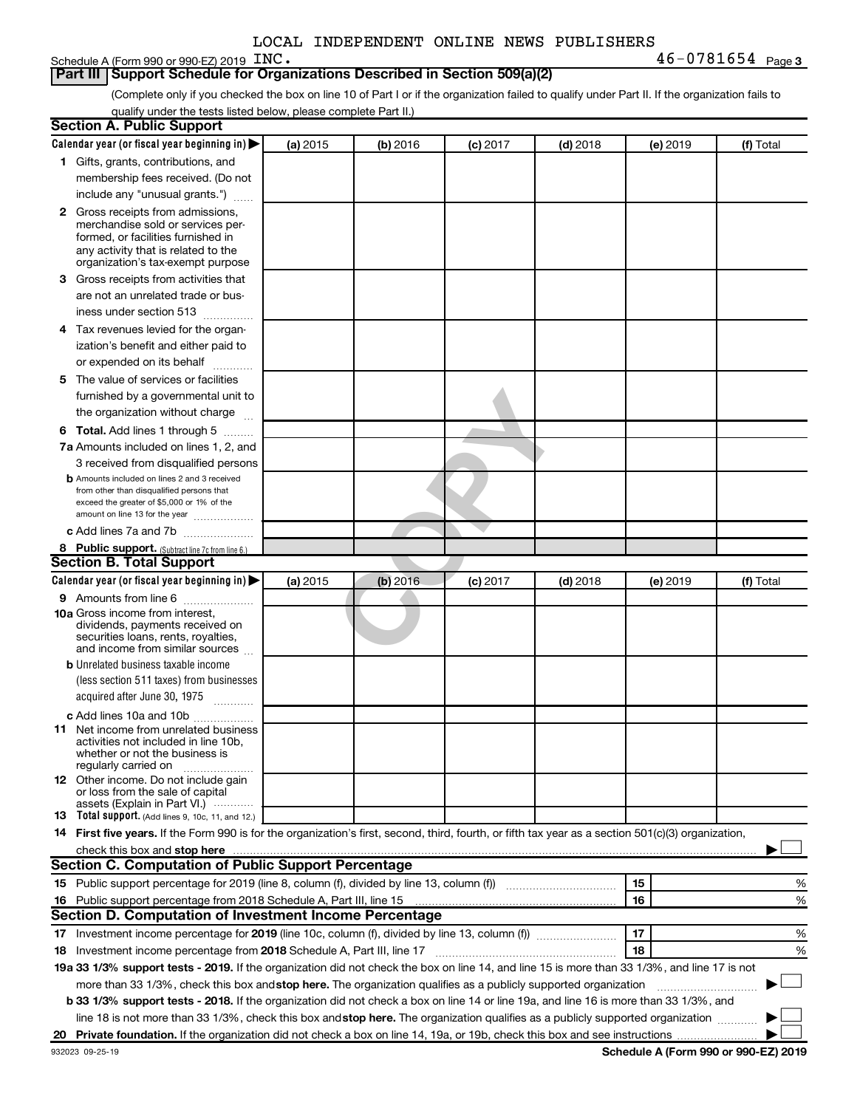|  | Schedule A (Form 990 or 990-EZ) 2019 $\,$ $\rm{INC}$ . |  | $46 - 0781654$ Page |  |  |
|--|--------------------------------------------------------|--|---------------------|--|--|
|--|--------------------------------------------------------|--|---------------------|--|--|

#### **Part III Support Schedule for Organizations Described in Section 509(a)(2)**

(Complete only if you checked the box on line 10 of Part I or if the organization failed to qualify under Part II. If the organization fails to qualify under the tests listed below, please complete Part II.)

|    | <b>Section A. Public Support</b>                                                                                                                                                                                              |          |          |            |            |          |           |
|----|-------------------------------------------------------------------------------------------------------------------------------------------------------------------------------------------------------------------------------|----------|----------|------------|------------|----------|-----------|
|    | Calendar year (or fiscal year beginning in)                                                                                                                                                                                   | (a) 2015 | (b) 2016 | $(c)$ 2017 | $(d)$ 2018 | (e) 2019 | (f) Total |
|    | 1 Gifts, grants, contributions, and                                                                                                                                                                                           |          |          |            |            |          |           |
|    | membership fees received. (Do not                                                                                                                                                                                             |          |          |            |            |          |           |
|    | include any "unusual grants.")                                                                                                                                                                                                |          |          |            |            |          |           |
|    | 2 Gross receipts from admissions,                                                                                                                                                                                             |          |          |            |            |          |           |
|    | merchandise sold or services per-                                                                                                                                                                                             |          |          |            |            |          |           |
|    | formed, or facilities furnished in                                                                                                                                                                                            |          |          |            |            |          |           |
|    | any activity that is related to the<br>organization's tax-exempt purpose                                                                                                                                                      |          |          |            |            |          |           |
|    | 3 Gross receipts from activities that                                                                                                                                                                                         |          |          |            |            |          |           |
|    | are not an unrelated trade or bus-                                                                                                                                                                                            |          |          |            |            |          |           |
|    | iness under section 513                                                                                                                                                                                                       |          |          |            |            |          |           |
|    | 4 Tax revenues levied for the organ-                                                                                                                                                                                          |          |          |            |            |          |           |
|    | ization's benefit and either paid to                                                                                                                                                                                          |          |          |            |            |          |           |
|    | or expended on its behalf<br>.                                                                                                                                                                                                |          |          |            |            |          |           |
|    | 5 The value of services or facilities                                                                                                                                                                                         |          |          |            |            |          |           |
|    | furnished by a governmental unit to                                                                                                                                                                                           |          |          |            |            |          |           |
|    | the organization without charge                                                                                                                                                                                               |          |          |            |            |          |           |
|    | 6 Total. Add lines 1 through 5                                                                                                                                                                                                |          |          |            |            |          |           |
|    | 7a Amounts included on lines 1, 2, and                                                                                                                                                                                        |          |          |            |            |          |           |
|    |                                                                                                                                                                                                                               |          |          |            |            |          |           |
|    | 3 received from disqualified persons<br><b>b</b> Amounts included on lines 2 and 3 received                                                                                                                                   |          |          |            |            |          |           |
|    | from other than disqualified persons that                                                                                                                                                                                     |          |          |            |            |          |           |
|    | exceed the greater of \$5,000 or 1% of the                                                                                                                                                                                    |          |          |            |            |          |           |
|    | amount on line 13 for the year                                                                                                                                                                                                |          |          |            |            |          |           |
|    | c Add lines 7a and 7b                                                                                                                                                                                                         |          |          |            |            |          |           |
|    | 8 Public support. (Subtract line 7c from line 6.)<br><b>Section B. Total Support</b>                                                                                                                                          |          |          |            |            |          |           |
|    |                                                                                                                                                                                                                               |          |          |            |            |          |           |
|    | Calendar year (or fiscal year beginning in)                                                                                                                                                                                   | (a) 2015 | (b) 2016 | $(c)$ 2017 | $(d)$ 2018 | (e) 2019 | (f) Total |
|    | <b>9</b> Amounts from line 6<br><b>10a</b> Gross income from interest,                                                                                                                                                        |          |          |            |            |          |           |
|    | dividends, payments received on                                                                                                                                                                                               |          |          |            |            |          |           |
|    | securities loans, rents, royalties,                                                                                                                                                                                           |          |          |            |            |          |           |
|    | and income from similar sources                                                                                                                                                                                               |          |          |            |            |          |           |
|    | <b>b</b> Unrelated business taxable income                                                                                                                                                                                    |          |          |            |            |          |           |
|    | (less section 511 taxes) from businesses                                                                                                                                                                                      |          |          |            |            |          |           |
|    | acquired after June 30, 1975                                                                                                                                                                                                  |          |          |            |            |          |           |
|    | c Add lines 10a and 10b                                                                                                                                                                                                       |          |          |            |            |          |           |
| 11 | Net income from unrelated business<br>activities not included in line 10b.                                                                                                                                                    |          |          |            |            |          |           |
|    | whether or not the business is                                                                                                                                                                                                |          |          |            |            |          |           |
|    | regularly carried on                                                                                                                                                                                                          |          |          |            |            |          |           |
|    | <b>12</b> Other income. Do not include gain                                                                                                                                                                                   |          |          |            |            |          |           |
|    | or loss from the sale of capital<br>assets (Explain in Part VI.)                                                                                                                                                              |          |          |            |            |          |           |
|    | <b>13</b> Total support. (Add lines 9, 10c, 11, and 12.)                                                                                                                                                                      |          |          |            |            |          |           |
|    | 14 First five years. If the Form 990 is for the organization's first, second, third, fourth, or fifth tax year as a section 501(c)(3) organization,                                                                           |          |          |            |            |          |           |
|    | check this box and stop here manufactured and stop here and stop here are manufactured and stop here and stop here and stop here and stop here and stop here and stop here and stop here and stop here and stop here and stop |          |          |            |            |          |           |
|    | Section C. Computation of Public Support Percentage                                                                                                                                                                           |          |          |            |            |          |           |
|    | 15 Public support percentage for 2019 (line 8, column (f), divided by line 13, column (f) <i>manumeronominimi</i> ng.                                                                                                         |          |          |            |            | 15       | ℅         |
|    | 16 Public support percentage from 2018 Schedule A, Part III, line 15                                                                                                                                                          |          |          |            |            | 16       | %         |
|    | Section D. Computation of Investment Income Percentage                                                                                                                                                                        |          |          |            |            |          |           |
|    |                                                                                                                                                                                                                               |          |          |            |            | 17       | %         |
|    | 18 Investment income percentage from 2018 Schedule A, Part III, line 17                                                                                                                                                       |          |          |            |            | 18       | %         |
|    | 19a 33 1/3% support tests - 2019. If the organization did not check the box on line 14, and line 15 is more than 33 1/3%, and line 17 is not                                                                                  |          |          |            |            |          |           |
|    | more than 33 1/3%, check this box and stop here. The organization qualifies as a publicly supported organization                                                                                                              |          |          |            |            |          |           |
|    | b 33 1/3% support tests - 2018. If the organization did not check a box on line 14 or line 19a, and line 16 is more than 33 1/3%, and                                                                                         |          |          |            |            |          |           |
|    | line 18 is not more than 33 1/3%, check this box and stop here. The organization qualifies as a publicly supported organization                                                                                               |          |          |            |            |          |           |
|    |                                                                                                                                                                                                                               |          |          |            |            |          |           |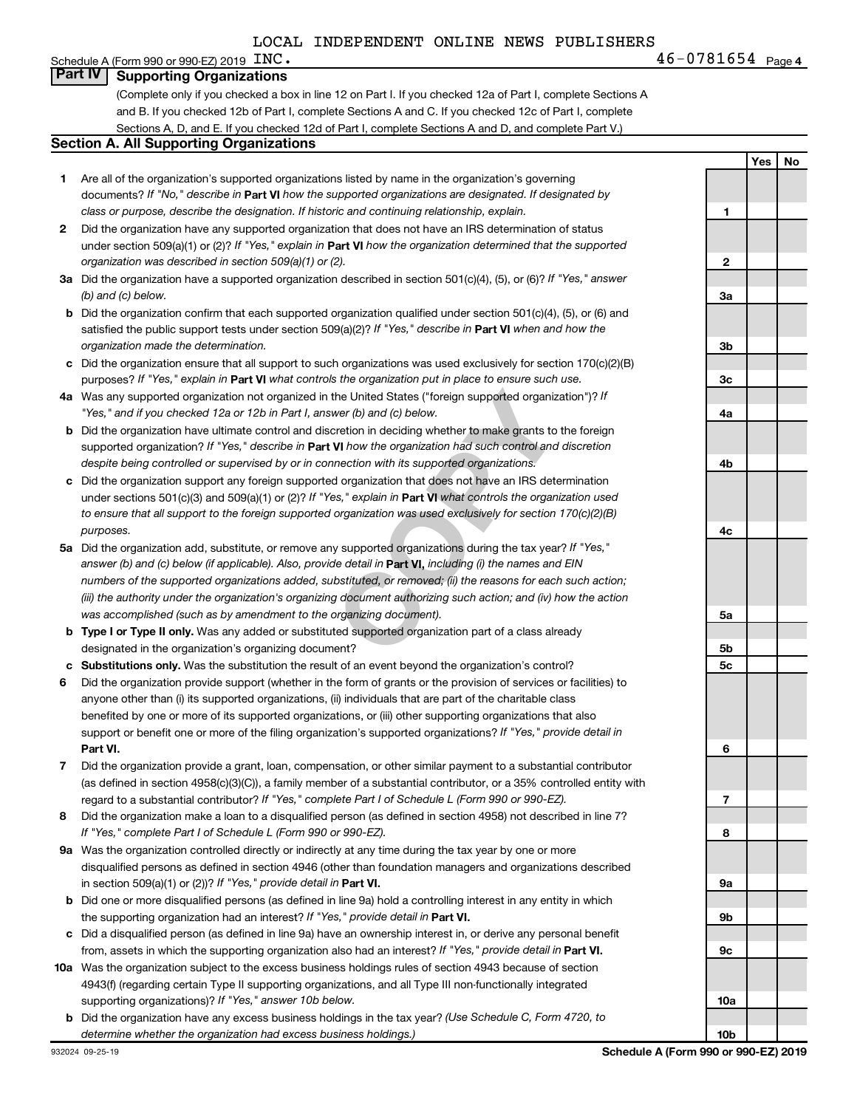## Schedule A (Form 990 or 990-EZ) 2019  $\text{INC}$ . **Part IV Supporting Organizations**

(Complete only if you checked a box in line 12 on Part I. If you checked 12a of Part I, complete Sections A and B. If you checked 12b of Part I, complete Sections A and C. If you checked 12c of Part I, complete Sections A, D, and E. If you checked 12d of Part I, complete Sections A and D, and complete Part V.)

#### **Section A. All Supporting Organizations**

- **1** Are all of the organization's supported organizations listed by name in the organization's governing documents? If "No," describe in Part VI how the supported organizations are designated. If designated by *class or purpose, describe the designation. If historic and continuing relationship, explain.*
- **2** Did the organization have any supported organization that does not have an IRS determination of status under section 509(a)(1) or (2)? If "Yes," explain in Part **VI** how the organization determined that the supported *organization was described in section 509(a)(1) or (2).*
- **3a** Did the organization have a supported organization described in section 501(c)(4), (5), or (6)? If "Yes," answer *(b) and (c) below.*
- **b** Did the organization confirm that each supported organization qualified under section 501(c)(4), (5), or (6) and satisfied the public support tests under section 509(a)(2)? If "Yes," describe in Part VI when and how the *organization made the determination.*
- **c** Did the organization ensure that all support to such organizations was used exclusively for section 170(c)(2)(B) purposes? If "Yes," explain in Part VI what controls the organization put in place to ensure such use.
- **4 a** *If* Was any supported organization not organized in the United States ("foreign supported organization")? *"Yes," and if you checked 12a or 12b in Part I, answer (b) and (c) below.*
- **b** Did the organization have ultimate control and discretion in deciding whether to make grants to the foreign supported organization? If "Yes," describe in Part VI how the organization had such control and discretion *despite being controlled or supervised by or in connection with its supported organizations.*
- **c** Did the organization support any foreign supported organization that does not have an IRS determination under sections 501(c)(3) and 509(a)(1) or (2)? If "Yes," explain in Part VI what controls the organization used *to ensure that all support to the foreign supported organization was used exclusively for section 170(c)(2)(B) purposes.*
- the United States ("foreign supported organization")? *I*<br>wer (b) and (c) below.<br>Correction in deciding whether to make grants to the foreignal to the foreign whether to make grants to the foreign<br>**VI** how the organization **5a** Did the organization add, substitute, or remove any supported organizations during the tax year? If "Yes," answer (b) and (c) below (if applicable). Also, provide detail in **Part VI,** including (i) the names and EIN *numbers of the supported organizations added, substituted, or removed; (ii) the reasons for each such action; (iii) the authority under the organization's organizing document authorizing such action; and (iv) how the action was accomplished (such as by amendment to the organizing document).*
- **b** Type I or Type II only. Was any added or substituted supported organization part of a class already designated in the organization's organizing document?
- **c Substitutions only.**  Was the substitution the result of an event beyond the organization's control?
- **6** Did the organization provide support (whether in the form of grants or the provision of services or facilities) to **Part VI.** support or benefit one or more of the filing organization's supported organizations? If "Yes," provide detail in anyone other than (i) its supported organizations, (ii) individuals that are part of the charitable class benefited by one or more of its supported organizations, or (iii) other supporting organizations that also
- **7** Did the organization provide a grant, loan, compensation, or other similar payment to a substantial contributor regard to a substantial contributor? If "Yes," complete Part I of Schedule L (Form 990 or 990-EZ). (as defined in section 4958(c)(3)(C)), a family member of a substantial contributor, or a 35% controlled entity with
- **8** Did the organization make a loan to a disqualified person (as defined in section 4958) not described in line 7? *If "Yes," complete Part I of Schedule L (Form 990 or 990-EZ).*
- **9 a** Was the organization controlled directly or indirectly at any time during the tax year by one or more in section 509(a)(1) or (2))? If "Yes," provide detail in **Part VI.** disqualified persons as defined in section 4946 (other than foundation managers and organizations described
- **b** Did one or more disqualified persons (as defined in line 9a) hold a controlling interest in any entity in which the supporting organization had an interest? If "Yes," provide detail in Part VI.
- **c** Did a disqualified person (as defined in line 9a) have an ownership interest in, or derive any personal benefit from, assets in which the supporting organization also had an interest? If "Yes," provide detail in Part VI.
- **10 a** Was the organization subject to the excess business holdings rules of section 4943 because of section supporting organizations)? If "Yes," answer 10b below. 4943(f) (regarding certain Type II supporting organizations, and all Type III non-functionally integrated
- **b** Did the organization have any excess business holdings in the tax year? (Use Schedule C, Form 4720, to *determine whether the organization had excess business holdings.)*

**Yes No 1 2 3a 3b 3c 4a 4b 4c 5a 5b 5c 6 7 8 9a 9b 9c 10a 10b**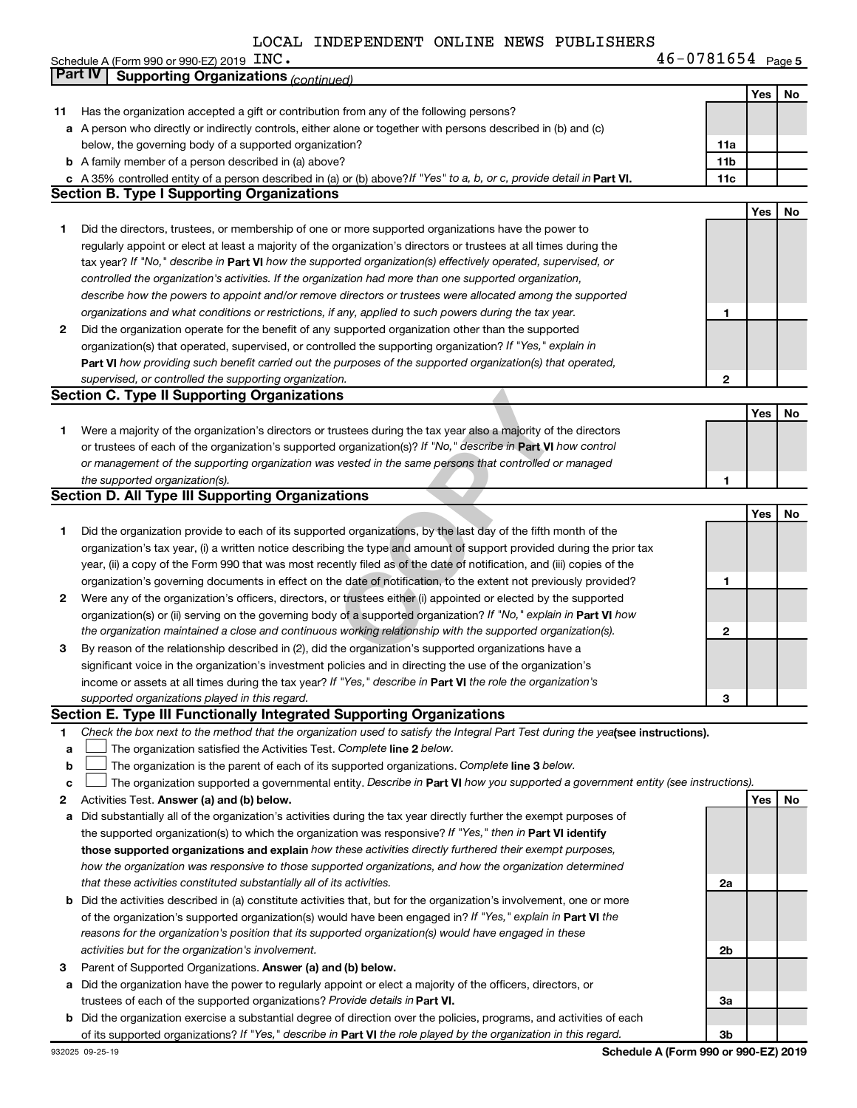|    | Schedule A (Form 990 or 990-EZ) 2019 INC.                                                                                                                                                                                                       | $46 - 0781654$ Page 5 |     |           |
|----|-------------------------------------------------------------------------------------------------------------------------------------------------------------------------------------------------------------------------------------------------|-----------------------|-----|-----------|
|    | <b>Part IV</b><br><b>Supporting Organizations (continued)</b>                                                                                                                                                                                   |                       |     |           |
|    |                                                                                                                                                                                                                                                 |                       | Yes | No        |
| 11 | Has the organization accepted a gift or contribution from any of the following persons?                                                                                                                                                         |                       |     |           |
|    | a A person who directly or indirectly controls, either alone or together with persons described in (b) and (c)                                                                                                                                  |                       |     |           |
|    | below, the governing body of a supported organization?                                                                                                                                                                                          | 11a                   |     |           |
|    | <b>b</b> A family member of a person described in (a) above?                                                                                                                                                                                    | 11b                   |     |           |
|    | c A 35% controlled entity of a person described in (a) or (b) above? If "Yes" to a, b, or c, provide detail in Part VI.                                                                                                                         | 11c                   |     |           |
|    | <b>Section B. Type I Supporting Organizations</b>                                                                                                                                                                                               |                       |     |           |
|    |                                                                                                                                                                                                                                                 |                       | Yes | No        |
| 1  | Did the directors, trustees, or membership of one or more supported organizations have the power to                                                                                                                                             |                       |     |           |
|    | regularly appoint or elect at least a majority of the organization's directors or trustees at all times during the                                                                                                                              |                       |     |           |
|    | tax year? If "No," describe in Part VI how the supported organization(s) effectively operated, supervised, or                                                                                                                                   |                       |     |           |
|    | controlled the organization's activities. If the organization had more than one supported organization,                                                                                                                                         |                       |     |           |
|    | describe how the powers to appoint and/or remove directors or trustees were allocated among the supported                                                                                                                                       |                       |     |           |
|    | organizations and what conditions or restrictions, if any, applied to such powers during the tax year.                                                                                                                                          | 1                     |     |           |
| 2  | Did the organization operate for the benefit of any supported organization other than the supported                                                                                                                                             |                       |     |           |
|    | organization(s) that operated, supervised, or controlled the supporting organization? If "Yes," explain in                                                                                                                                      |                       |     |           |
|    | Part VI how providing such benefit carried out the purposes of the supported organization(s) that operated,                                                                                                                                     |                       |     |           |
|    | supervised, or controlled the supporting organization.                                                                                                                                                                                          | 2                     |     |           |
|    | <b>Section C. Type II Supporting Organizations</b>                                                                                                                                                                                              |                       |     |           |
|    |                                                                                                                                                                                                                                                 |                       | Yes | No        |
| 1  | Were a majority of the organization's directors or trustees during the tax year also a majority of the directors                                                                                                                                |                       |     |           |
|    | or trustees of each of the organization's supported organization(s)? If "No," describe in Part VI how control                                                                                                                                   |                       |     |           |
|    | or management of the supporting organization was vested in the same persons that controlled or managed                                                                                                                                          |                       |     |           |
|    | the supported organization(s).                                                                                                                                                                                                                  | 1                     |     |           |
|    | <b>Section D. All Type III Supporting Organizations</b>                                                                                                                                                                                         |                       |     |           |
|    |                                                                                                                                                                                                                                                 |                       | Yes | No        |
| 1  | Did the organization provide to each of its supported organizations, by the last day of the fifth month of the                                                                                                                                  |                       |     |           |
|    | organization's tax year, (i) a written notice describing the type and amount of support provided during the prior tax<br>year, (ii) a copy of the Form 990 that was most recently filed as of the date of notification, and (iii) copies of the |                       |     |           |
|    | organization's governing documents in effect on the date of notification, to the extent not previously provided?                                                                                                                                | 1                     |     |           |
| 2  | Were any of the organization's officers, directors, or trustees either (i) appointed or elected by the supported                                                                                                                                |                       |     |           |
|    | organization(s) or (ii) serving on the governing body of a supported organization? If "No," explain in Part VI how                                                                                                                              |                       |     |           |
|    | the organization maintained a close and continuous working relationship with the supported organization(s).                                                                                                                                     | 2                     |     |           |
| З  | By reason of the relationship described in (2), did the organization's supported organizations have a                                                                                                                                           |                       |     |           |
|    | significant voice in the organization's investment policies and in directing the use of the organization's                                                                                                                                      |                       |     |           |
|    | income or assets at all times during the tax year? If "Yes," describe in Part VI the role the organization's                                                                                                                                    |                       |     |           |
|    | supported organizations played in this regard.                                                                                                                                                                                                  | З                     |     |           |
|    | Section E. Type III Functionally Integrated Supporting Organizations                                                                                                                                                                            |                       |     |           |
| 1  | Check the box next to the method that the organization used to satisfy the Integral Part Test during the yealsee instructions).                                                                                                                 |                       |     |           |
| a  | The organization satisfied the Activities Test. Complete line 2 below.                                                                                                                                                                          |                       |     |           |
| b  | The organization is the parent of each of its supported organizations. Complete line 3 below.                                                                                                                                                   |                       |     |           |
| c  | The organization supported a governmental entity. Describe in Part VI how you supported a government entity (see instructions).                                                                                                                 |                       |     |           |
| 2  | Activities Test. Answer (a) and (b) below.                                                                                                                                                                                                      |                       | Yes | <b>No</b> |
| a  | Did substantially all of the organization's activities during the tax year directly further the exempt purposes of                                                                                                                              |                       |     |           |
|    | the supported organization(s) to which the organization was responsive? If "Yes," then in Part VI identify                                                                                                                                      |                       |     |           |
|    | those supported organizations and explain how these activities directly furthered their exempt purposes,                                                                                                                                        |                       |     |           |
|    | how the organization was responsive to those supported organizations, and how the organization determined                                                                                                                                       |                       |     |           |
|    | that these activities constituted substantially all of its activities.                                                                                                                                                                          | 2a                    |     |           |
|    | <b>b</b> Did the activities described in (a) constitute activities that, but for the organization's involvement, one or more                                                                                                                    |                       |     |           |
|    | of the organization's supported organization(s) would have been engaged in? If "Yes," explain in Part VI the                                                                                                                                    |                       |     |           |
|    | reasons for the organization's position that its supported organization(s) would have engaged in these                                                                                                                                          |                       |     |           |
|    | activities but for the organization's involvement.                                                                                                                                                                                              | 2b                    |     |           |
| з  | Parent of Supported Organizations. Answer (a) and (b) below.                                                                                                                                                                                    |                       |     |           |
|    | a Did the organization have the power to regularly appoint or elect a majority of the officers, directors, or                                                                                                                                   |                       |     |           |
|    | trustees of each of the supported organizations? Provide details in Part VI.                                                                                                                                                                    | За                    |     |           |
|    | <b>b</b> Did the organization exercise a substantial degree of direction over the policies, programs, and activities of each                                                                                                                    |                       |     |           |
|    | of its supported organizations? If "Yes," describe in Part VI the role played by the organization in this regard.                                                                                                                               | 3b                    |     |           |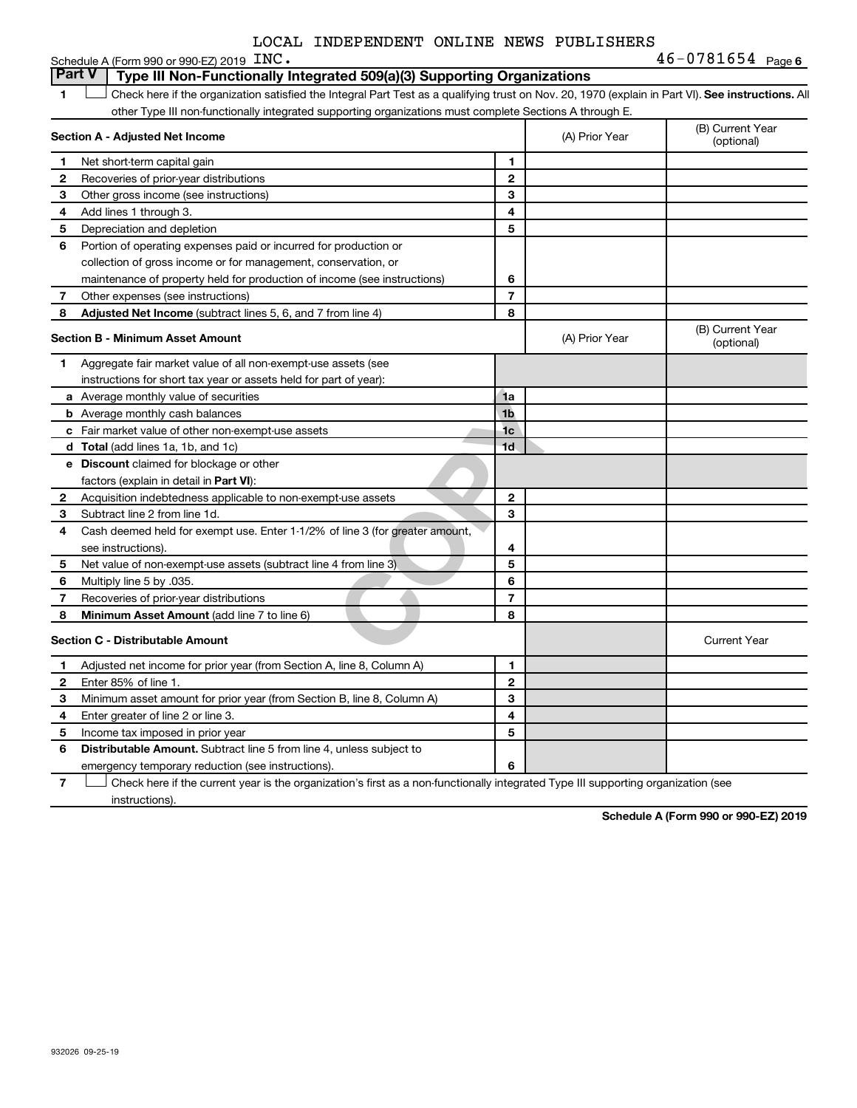|  |  | LOCAL INDEPENDENT ONLINE NEWS PUBLISHERS |  |  |  |
|--|--|------------------------------------------|--|--|--|
|--|--|------------------------------------------|--|--|--|

|   | Schedule A (Form 990 or 990-EZ) 2019 $\text{INC}$ .                                                                                                |                |                | $46 - 0781654$ Page 6          |
|---|----------------------------------------------------------------------------------------------------------------------------------------------------|----------------|----------------|--------------------------------|
|   | <b>Part V</b><br>Type III Non-Functionally Integrated 509(a)(3) Supporting Organizations                                                           |                |                |                                |
| 1 | Check here if the organization satisfied the Integral Part Test as a qualifying trust on Nov. 20, 1970 (explain in Part VI). See instructions. All |                |                |                                |
|   | other Type III non-functionally integrated supporting organizations must complete Sections A through E.                                            |                |                |                                |
|   | Section A - Adjusted Net Income                                                                                                                    |                | (A) Prior Year | (B) Current Year<br>(optional) |
| 1 | Net short-term capital gain                                                                                                                        | 1              |                |                                |
| 2 | Recoveries of prior-year distributions                                                                                                             | $\mathbf{2}$   |                |                                |
| З | Other gross income (see instructions)                                                                                                              | 3              |                |                                |
| 4 | Add lines 1 through 3.                                                                                                                             | 4              |                |                                |
| 5 | Depreciation and depletion                                                                                                                         | 5              |                |                                |
| 6 | Portion of operating expenses paid or incurred for production or                                                                                   |                |                |                                |
|   | collection of gross income or for management, conservation, or                                                                                     |                |                |                                |
|   | maintenance of property held for production of income (see instructions)                                                                           | 6              |                |                                |
| 7 | Other expenses (see instructions)                                                                                                                  | $\overline{7}$ |                |                                |
| 8 | Adjusted Net Income (subtract lines 5, 6, and 7 from line 4)                                                                                       | 8              |                |                                |
|   | <b>Section B - Minimum Asset Amount</b>                                                                                                            |                | (A) Prior Year | (B) Current Year<br>(optional) |
| 1 | Aggregate fair market value of all non-exempt-use assets (see                                                                                      |                |                |                                |
|   | instructions for short tax year or assets held for part of year):                                                                                  |                |                |                                |
|   | a Average monthly value of securities                                                                                                              | 1a             |                |                                |
|   | <b>b</b> Average monthly cash balances                                                                                                             | 1 <sub>b</sub> |                |                                |
|   | c Fair market value of other non-exempt-use assets                                                                                                 | 1 <sub>c</sub> |                |                                |
|   | d Total (add lines 1a, 1b, and 1c)                                                                                                                 | 1 <sub>d</sub> |                |                                |
|   | <b>e</b> Discount claimed for blockage or other                                                                                                    |                |                |                                |
|   | factors (explain in detail in <b>Part VI</b> ):                                                                                                    |                |                |                                |
| 2 | Acquisition indebtedness applicable to non-exempt-use assets                                                                                       | $\mathbf{2}$   |                |                                |
| з | Subtract line 2 from line 1d.                                                                                                                      | 3              |                |                                |
| 4 | Cash deemed held for exempt use. Enter 1-1/2% of line 3 (for greater amount,                                                                       |                |                |                                |
|   | see instructions).                                                                                                                                 | 4              |                |                                |
| 5 | Net value of non-exempt-use assets (subtract line 4 from line 3)                                                                                   | 5              |                |                                |
| 6 | Multiply line 5 by .035.                                                                                                                           | 6              |                |                                |
| 7 | Recoveries of prior-year distributions                                                                                                             | $\overline{7}$ |                |                                |
| 8 | <b>Minimum Asset Amount (add line 7 to line 6)</b>                                                                                                 | 8              |                |                                |
|   | <b>Section C - Distributable Amount</b>                                                                                                            |                |                | <b>Current Year</b>            |
| 1 | Adjusted net income for prior year (from Section A, line 8, Column A)                                                                              | 1              |                |                                |
| 2 | Enter 85% of line 1.                                                                                                                               | $\mathbf 2$    |                |                                |
| З | Minimum asset amount for prior year (from Section B, line 8, Column A)                                                                             | 3              |                |                                |
| 4 | Enter greater of line 2 or line 3.                                                                                                                 | 4              |                |                                |
| 5 | Income tax imposed in prior year                                                                                                                   | 5              |                |                                |
| 6 | <b>Distributable Amount.</b> Subtract line 5 from line 4, unless subject to                                                                        |                |                |                                |
|   | emergency temporary reduction (see instructions).                                                                                                  | 6              |                |                                |

**7** Check here if the current year is the organization's first as a non-functionally integrated Type III supporting organization (see † instructions).

**Schedule A (Form 990 or 990-EZ) 2019**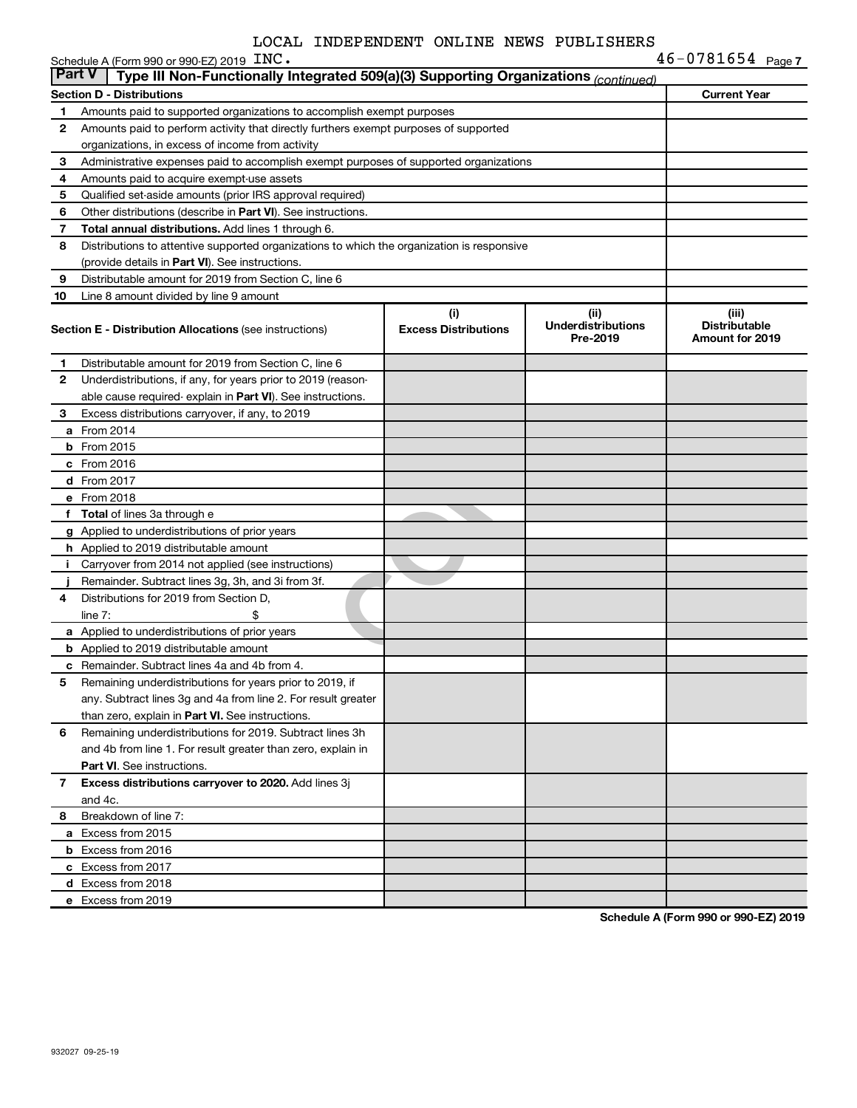| <b>Part V</b> | Schedule A (Form 990 or 990-EZ) 2019 INC.<br>Type III Non-Functionally Integrated 509(a)(3) Supporting Organizations (continued)         |                             |                                       | $46 - 0781654$ Page 7                   |
|---------------|------------------------------------------------------------------------------------------------------------------------------------------|-----------------------------|---------------------------------------|-----------------------------------------|
|               |                                                                                                                                          |                             |                                       |                                         |
|               | <b>Section D - Distributions</b>                                                                                                         |                             |                                       | <b>Current Year</b>                     |
| 1             | Amounts paid to supported organizations to accomplish exempt purposes                                                                    |                             |                                       |                                         |
| 2             | Amounts paid to perform activity that directly furthers exempt purposes of supported<br>organizations, in excess of income from activity |                             |                                       |                                         |
| 3             | Administrative expenses paid to accomplish exempt purposes of supported organizations                                                    |                             |                                       |                                         |
| 4             | Amounts paid to acquire exempt-use assets                                                                                                |                             |                                       |                                         |
| 5             | Qualified set-aside amounts (prior IRS approval required)                                                                                |                             |                                       |                                         |
| 6             | Other distributions (describe in Part VI). See instructions.                                                                             |                             |                                       |                                         |
| 7             | Total annual distributions. Add lines 1 through 6.                                                                                       |                             |                                       |                                         |
| 8             | Distributions to attentive supported organizations to which the organization is responsive                                               |                             |                                       |                                         |
|               | (provide details in Part VI). See instructions.                                                                                          |                             |                                       |                                         |
| 9             | Distributable amount for 2019 from Section C, line 6                                                                                     |                             |                                       |                                         |
| 10            | Line 8 amount divided by line 9 amount                                                                                                   |                             |                                       |                                         |
|               |                                                                                                                                          | (i)                         | (ii)                                  | (iii)                                   |
|               | <b>Section E - Distribution Allocations (see instructions)</b>                                                                           | <b>Excess Distributions</b> | <b>Underdistributions</b><br>Pre-2019 | <b>Distributable</b><br>Amount for 2019 |
| 1             | Distributable amount for 2019 from Section C, line 6                                                                                     |                             |                                       |                                         |
| 2             | Underdistributions, if any, for years prior to 2019 (reason-                                                                             |                             |                                       |                                         |
|               | able cause required-explain in Part VI). See instructions.                                                                               |                             |                                       |                                         |
| 3             | Excess distributions carryover, if any, to 2019                                                                                          |                             |                                       |                                         |
|               | <b>a</b> From 2014                                                                                                                       |                             |                                       |                                         |
|               | <b>b</b> From 2015                                                                                                                       |                             |                                       |                                         |
|               | $c$ From 2016                                                                                                                            |                             |                                       |                                         |
|               | <b>d</b> From 2017                                                                                                                       |                             |                                       |                                         |
|               | e From 2018                                                                                                                              |                             |                                       |                                         |
|               | f Total of lines 3a through e                                                                                                            |                             |                                       |                                         |
|               | g Applied to underdistributions of prior years                                                                                           |                             |                                       |                                         |
|               | <b>h</b> Applied to 2019 distributable amount                                                                                            |                             |                                       |                                         |
| i.            | Carryover from 2014 not applied (see instructions)                                                                                       |                             |                                       |                                         |
|               | Remainder. Subtract lines 3g, 3h, and 3i from 3f.                                                                                        |                             |                                       |                                         |
| 4             | Distributions for 2019 from Section D,                                                                                                   |                             |                                       |                                         |
|               | line $7:$<br>\$                                                                                                                          |                             |                                       |                                         |
|               | a Applied to underdistributions of prior years                                                                                           |                             |                                       |                                         |
|               | <b>b</b> Applied to 2019 distributable amount                                                                                            |                             |                                       |                                         |
|               | <b>c</b> Remainder. Subtract lines 4a and 4b from 4.                                                                                     |                             |                                       |                                         |
| 5             | Remaining underdistributions for years prior to 2019, if                                                                                 |                             |                                       |                                         |
|               | any. Subtract lines 3g and 4a from line 2. For result greater                                                                            |                             |                                       |                                         |
|               | than zero, explain in Part VI. See instructions.                                                                                         |                             |                                       |                                         |
| 6             | Remaining underdistributions for 2019. Subtract lines 3h                                                                                 |                             |                                       |                                         |
|               | and 4b from line 1. For result greater than zero, explain in                                                                             |                             |                                       |                                         |
|               | <b>Part VI.</b> See instructions.                                                                                                        |                             |                                       |                                         |
| 7             | Excess distributions carryover to 2020. Add lines 3j                                                                                     |                             |                                       |                                         |
|               | and 4c.                                                                                                                                  |                             |                                       |                                         |
| 8             | Breakdown of line 7:                                                                                                                     |                             |                                       |                                         |
|               | a Excess from 2015                                                                                                                       |                             |                                       |                                         |
|               | <b>b</b> Excess from 2016                                                                                                                |                             |                                       |                                         |
|               | c Excess from 2017                                                                                                                       |                             |                                       |                                         |
|               | d Excess from 2018                                                                                                                       |                             |                                       |                                         |
|               | e Excess from 2019                                                                                                                       |                             |                                       |                                         |

**Schedule A (Form 990 or 990-EZ) 2019**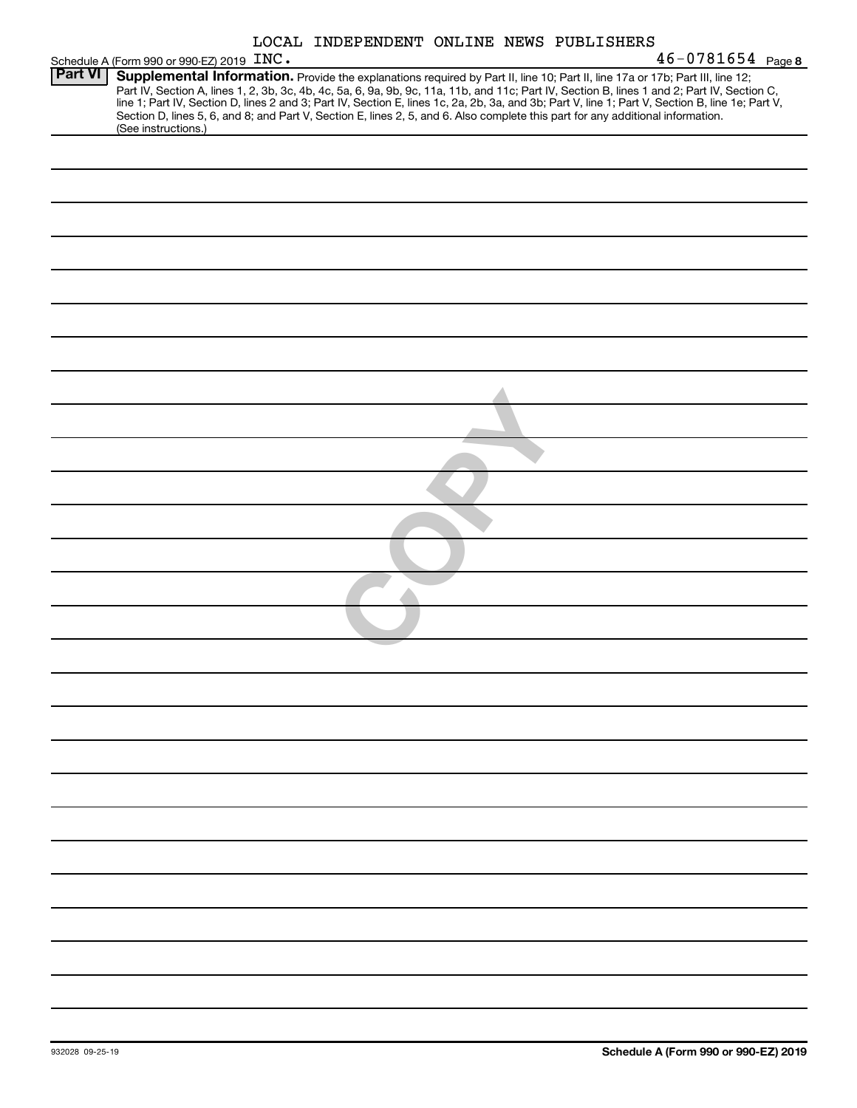| LOCAL INDEPENDENT ONLINE NEWS PUBLISHERS |  |  |
|------------------------------------------|--|--|
|------------------------------------------|--|--|

|                | LOCAL INDEPENDENT ONLINE NEWS PUBLISHERS                                                                                                                                                                                                                                                                                                                                                                                                                                                                                                                                                    |
|----------------|---------------------------------------------------------------------------------------------------------------------------------------------------------------------------------------------------------------------------------------------------------------------------------------------------------------------------------------------------------------------------------------------------------------------------------------------------------------------------------------------------------------------------------------------------------------------------------------------|
|                | $46 - 0781654$ Page 8<br>Schedule A (Form 990 or 990-EZ) 2019 INC.                                                                                                                                                                                                                                                                                                                                                                                                                                                                                                                          |
| <b>Part VI</b> | Supplemental Information. Provide the explanations required by Part II, line 10; Part II, line 17a or 17b; Part III, line 12;<br>Part IV, Section A, lines 1, 2, 3b, 3c, 4b, 4c, 5a, 6, 9a, 9b, 9c, 11a, 11b, and 11c; Part IV, Section B, lines 1 and 2; Part IV, Section C,<br>line 1; Part IV, Section D, lines 2 and 3; Part IV, Section E, lines 1c, 2a, 2b, 3a, and 3b; Part V, line 1; Part V, Section B, line 1e; Part V,<br>Section D, lines 5, 6, and 8; and Part V, Section E, lines 2, 5, and 6. Also complete this part for any additional information.<br>(See instructions.) |
|                |                                                                                                                                                                                                                                                                                                                                                                                                                                                                                                                                                                                             |
|                |                                                                                                                                                                                                                                                                                                                                                                                                                                                                                                                                                                                             |
|                |                                                                                                                                                                                                                                                                                                                                                                                                                                                                                                                                                                                             |
|                |                                                                                                                                                                                                                                                                                                                                                                                                                                                                                                                                                                                             |
|                |                                                                                                                                                                                                                                                                                                                                                                                                                                                                                                                                                                                             |
|                |                                                                                                                                                                                                                                                                                                                                                                                                                                                                                                                                                                                             |
|                |                                                                                                                                                                                                                                                                                                                                                                                                                                                                                                                                                                                             |
|                |                                                                                                                                                                                                                                                                                                                                                                                                                                                                                                                                                                                             |
|                |                                                                                                                                                                                                                                                                                                                                                                                                                                                                                                                                                                                             |
|                |                                                                                                                                                                                                                                                                                                                                                                                                                                                                                                                                                                                             |
|                |                                                                                                                                                                                                                                                                                                                                                                                                                                                                                                                                                                                             |
|                |                                                                                                                                                                                                                                                                                                                                                                                                                                                                                                                                                                                             |
|                |                                                                                                                                                                                                                                                                                                                                                                                                                                                                                                                                                                                             |
|                |                                                                                                                                                                                                                                                                                                                                                                                                                                                                                                                                                                                             |
|                |                                                                                                                                                                                                                                                                                                                                                                                                                                                                                                                                                                                             |
|                |                                                                                                                                                                                                                                                                                                                                                                                                                                                                                                                                                                                             |
|                |                                                                                                                                                                                                                                                                                                                                                                                                                                                                                                                                                                                             |
|                |                                                                                                                                                                                                                                                                                                                                                                                                                                                                                                                                                                                             |
|                |                                                                                                                                                                                                                                                                                                                                                                                                                                                                                                                                                                                             |
|                |                                                                                                                                                                                                                                                                                                                                                                                                                                                                                                                                                                                             |
|                |                                                                                                                                                                                                                                                                                                                                                                                                                                                                                                                                                                                             |
|                |                                                                                                                                                                                                                                                                                                                                                                                                                                                                                                                                                                                             |
|                |                                                                                                                                                                                                                                                                                                                                                                                                                                                                                                                                                                                             |
|                |                                                                                                                                                                                                                                                                                                                                                                                                                                                                                                                                                                                             |
|                |                                                                                                                                                                                                                                                                                                                                                                                                                                                                                                                                                                                             |
|                |                                                                                                                                                                                                                                                                                                                                                                                                                                                                                                                                                                                             |
|                |                                                                                                                                                                                                                                                                                                                                                                                                                                                                                                                                                                                             |
|                |                                                                                                                                                                                                                                                                                                                                                                                                                                                                                                                                                                                             |
|                |                                                                                                                                                                                                                                                                                                                                                                                                                                                                                                                                                                                             |
|                |                                                                                                                                                                                                                                                                                                                                                                                                                                                                                                                                                                                             |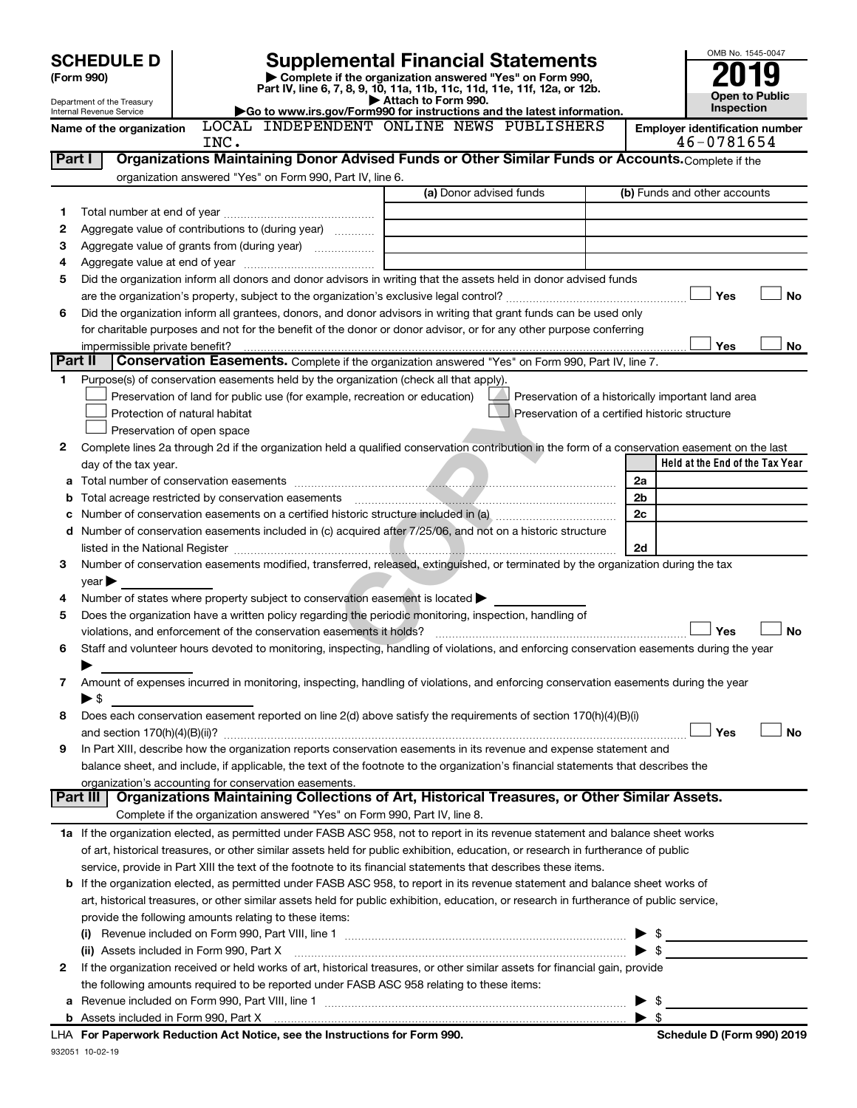|         | <b>SCHEDULE D</b>                                                                                                                                                                              |                               |                                                                                                                |                         |                                                                                                                                                |                |                                     | OMB No. 1545-0047                     |
|---------|------------------------------------------------------------------------------------------------------------------------------------------------------------------------------------------------|-------------------------------|----------------------------------------------------------------------------------------------------------------|-------------------------|------------------------------------------------------------------------------------------------------------------------------------------------|----------------|-------------------------------------|---------------------------------------|
|         | <b>Supplemental Financial Statements</b><br>Complete if the organization answered "Yes" on Form 990,<br>(Form 990)<br>Part IV, line 6, 7, 8, 9, 10, 11a, 11b, 11c, 11d, 11e, 11f, 12a, or 12b. |                               |                                                                                                                |                         |                                                                                                                                                |                |                                     |                                       |
|         | Attach to Form 990.<br>Department of the Treasury<br>Go to www.irs.gov/Form990 for instructions and the latest information.                                                                    |                               |                                                                                                                |                         |                                                                                                                                                |                | Open to Public<br><b>Inspection</b> |                                       |
|         | Internal Revenue Service<br>Name of the organization                                                                                                                                           |                               | LOCAL INDEPENDENT ONLINE NEWS PUBLISHERS                                                                       |                         |                                                                                                                                                |                |                                     | <b>Employer identification number</b> |
|         |                                                                                                                                                                                                | INC.                          |                                                                                                                |                         |                                                                                                                                                |                |                                     | 46-0781654                            |
| Part I  |                                                                                                                                                                                                |                               |                                                                                                                |                         | Organizations Maintaining Donor Advised Funds or Other Similar Funds or Accounts. Complete if the                                              |                |                                     |                                       |
|         |                                                                                                                                                                                                |                               | organization answered "Yes" on Form 990, Part IV, line 6.                                                      |                         |                                                                                                                                                |                |                                     |                                       |
|         |                                                                                                                                                                                                |                               |                                                                                                                | (a) Donor advised funds |                                                                                                                                                |                |                                     | (b) Funds and other accounts          |
| 1       |                                                                                                                                                                                                |                               |                                                                                                                |                         |                                                                                                                                                |                |                                     |                                       |
| 2       |                                                                                                                                                                                                |                               | Aggregate value of contributions to (during year)                                                              |                         |                                                                                                                                                |                |                                     |                                       |
| З       |                                                                                                                                                                                                |                               | Aggregate value of grants from (during year)                                                                   |                         |                                                                                                                                                |                |                                     |                                       |
| 4       |                                                                                                                                                                                                |                               |                                                                                                                |                         |                                                                                                                                                |                |                                     |                                       |
| 5       |                                                                                                                                                                                                |                               |                                                                                                                |                         | Did the organization inform all donors and donor advisors in writing that the assets held in donor advised funds                               |                |                                     |                                       |
|         |                                                                                                                                                                                                |                               |                                                                                                                |                         |                                                                                                                                                |                |                                     | <b>No</b><br>Yes                      |
| 6       |                                                                                                                                                                                                |                               |                                                                                                                |                         | Did the organization inform all grantees, donors, and donor advisors in writing that grant funds can be used only                              |                |                                     |                                       |
|         |                                                                                                                                                                                                |                               |                                                                                                                |                         | for charitable purposes and not for the benefit of the donor or donor advisor, or for any other purpose conferring                             |                |                                     |                                       |
|         | impermissible private benefit?                                                                                                                                                                 |                               |                                                                                                                |                         |                                                                                                                                                |                |                                     | Yes<br>No                             |
| Part II |                                                                                                                                                                                                |                               |                                                                                                                |                         | Conservation Easements. Complete if the organization answered "Yes" on Form 990, Part IV, line 7.                                              |                |                                     |                                       |
| 1       |                                                                                                                                                                                                |                               | Purpose(s) of conservation easements held by the organization (check all that apply).                          |                         |                                                                                                                                                |                |                                     |                                       |
|         |                                                                                                                                                                                                |                               | Preservation of land for public use (for example, recreation or education)                                     |                         | Preservation of a historically important land area                                                                                             |                |                                     |                                       |
|         |                                                                                                                                                                                                | Protection of natural habitat |                                                                                                                |                         | Preservation of a certified historic structure                                                                                                 |                |                                     |                                       |
|         |                                                                                                                                                                                                | Preservation of open space    |                                                                                                                |                         |                                                                                                                                                |                |                                     |                                       |
| 2       |                                                                                                                                                                                                |                               |                                                                                                                |                         | Complete lines 2a through 2d if the organization held a qualified conservation contribution in the form of a conservation easement on the last |                |                                     |                                       |
|         | day of the tax year.                                                                                                                                                                           |                               |                                                                                                                |                         |                                                                                                                                                |                |                                     | Held at the End of the Tax Year       |
| а       |                                                                                                                                                                                                |                               |                                                                                                                |                         |                                                                                                                                                | 2a             |                                     |                                       |
| b       |                                                                                                                                                                                                |                               |                                                                                                                |                         |                                                                                                                                                | 2 <sub>b</sub> |                                     |                                       |
| с       |                                                                                                                                                                                                |                               |                                                                                                                |                         |                                                                                                                                                | 2c             |                                     |                                       |
| d       |                                                                                                                                                                                                |                               | Number of conservation easements included in (c) acquired after 7/25/06, and not on a historic structure       |                         |                                                                                                                                                |                |                                     |                                       |
|         |                                                                                                                                                                                                |                               |                                                                                                                |                         |                                                                                                                                                | 2d             |                                     |                                       |
| 3       |                                                                                                                                                                                                |                               |                                                                                                                |                         | Number of conservation easements modified, transferred, released, extinguished, or terminated by the organization during the tax               |                |                                     |                                       |
|         | year                                                                                                                                                                                           |                               |                                                                                                                |                         |                                                                                                                                                |                |                                     |                                       |
| 4       |                                                                                                                                                                                                |                               | Number of states where property subject to conservation easement is located $\blacktriangleright$              |                         |                                                                                                                                                |                |                                     |                                       |
| 5       |                                                                                                                                                                                                |                               | Does the organization have a written policy regarding the periodic monitoring, inspection, handling of         |                         |                                                                                                                                                |                |                                     |                                       |
|         |                                                                                                                                                                                                |                               |                                                                                                                |                         |                                                                                                                                                |                |                                     | <b>No</b><br>Yes                      |
| 6       |                                                                                                                                                                                                |                               |                                                                                                                |                         | Staff and volunteer hours devoted to monitoring, inspecting, handling of violations, and enforcing conservation easements during the year      |                |                                     |                                       |
|         |                                                                                                                                                                                                |                               |                                                                                                                |                         |                                                                                                                                                |                |                                     |                                       |
| 7       |                                                                                                                                                                                                |                               |                                                                                                                |                         | Amount of expenses incurred in monitoring, inspecting, handling of violations, and enforcing conservation easements during the year            |                |                                     |                                       |
|         | $\blacktriangleright$ \$                                                                                                                                                                       |                               |                                                                                                                |                         |                                                                                                                                                |                |                                     |                                       |
| 8       |                                                                                                                                                                                                |                               |                                                                                                                |                         | Does each conservation easement reported on line 2(d) above satisfy the requirements of section 170(h)(4)(B)(i)                                |                |                                     |                                       |
|         |                                                                                                                                                                                                |                               |                                                                                                                |                         |                                                                                                                                                |                |                                     | No<br>Yes                             |
| 9       |                                                                                                                                                                                                |                               |                                                                                                                |                         | In Part XIII, describe how the organization reports conservation easements in its revenue and expense statement and                            |                |                                     |                                       |
|         |                                                                                                                                                                                                |                               |                                                                                                                |                         | balance sheet, and include, if applicable, the text of the footnote to the organization's financial statements that describes the              |                |                                     |                                       |
|         | Part III                                                                                                                                                                                       |                               | organization's accounting for conservation easements.                                                          |                         | Organizations Maintaining Collections of Art, Historical Treasures, or Other Similar Assets.                                                   |                |                                     |                                       |
|         |                                                                                                                                                                                                |                               | Complete if the organization answered "Yes" on Form 990, Part IV, line 8.                                      |                         |                                                                                                                                                |                |                                     |                                       |
|         |                                                                                                                                                                                                |                               |                                                                                                                |                         |                                                                                                                                                |                |                                     |                                       |
|         |                                                                                                                                                                                                |                               |                                                                                                                |                         | 1a If the organization elected, as permitted under FASB ASC 958, not to report in its revenue statement and balance sheet works                |                |                                     |                                       |
|         |                                                                                                                                                                                                |                               |                                                                                                                |                         | of art, historical treasures, or other similar assets held for public exhibition, education, or research in furtherance of public              |                |                                     |                                       |
|         |                                                                                                                                                                                                |                               | service, provide in Part XIII the text of the footnote to its financial statements that describes these items. |                         |                                                                                                                                                |                |                                     |                                       |
| b       |                                                                                                                                                                                                |                               |                                                                                                                |                         | If the organization elected, as permitted under FASB ASC 958, to report in its revenue statement and balance sheet works of                    |                |                                     |                                       |
|         |                                                                                                                                                                                                |                               |                                                                                                                |                         | art, historical treasures, or other similar assets held for public exhibition, education, or research in furtherance of public service,        |                |                                     |                                       |
|         |                                                                                                                                                                                                |                               | provide the following amounts relating to these items:                                                         |                         |                                                                                                                                                |                |                                     |                                       |
|         |                                                                                                                                                                                                |                               |                                                                                                                |                         |                                                                                                                                                |                | \$                                  |                                       |
|         | (ii) Assets included in Form 990, Part X                                                                                                                                                       |                               |                                                                                                                |                         |                                                                                                                                                |                | \$                                  |                                       |
| 2       |                                                                                                                                                                                                |                               |                                                                                                                |                         | If the organization received or held works of art, historical treasures, or other similar assets for financial gain, provide                   |                |                                     |                                       |
|         |                                                                                                                                                                                                |                               | the following amounts required to be reported under FASB ASC 958 relating to these items:                      |                         |                                                                                                                                                |                |                                     |                                       |
|         |                                                                                                                                                                                                |                               |                                                                                                                |                         |                                                                                                                                                | - \$           |                                     |                                       |
|         |                                                                                                                                                                                                |                               | For Denominaric Deduction Act Notice, and the Instructions for Form 000                                        |                         |                                                                                                                                                |                | \$                                  | Cabadula D (Faum 000) 0040            |

| LHA For Paperwork Reduction Act Notice, see the Instructions for Form 990. |
|----------------------------------------------------------------------------|
| 932051 10-02-19                                                            |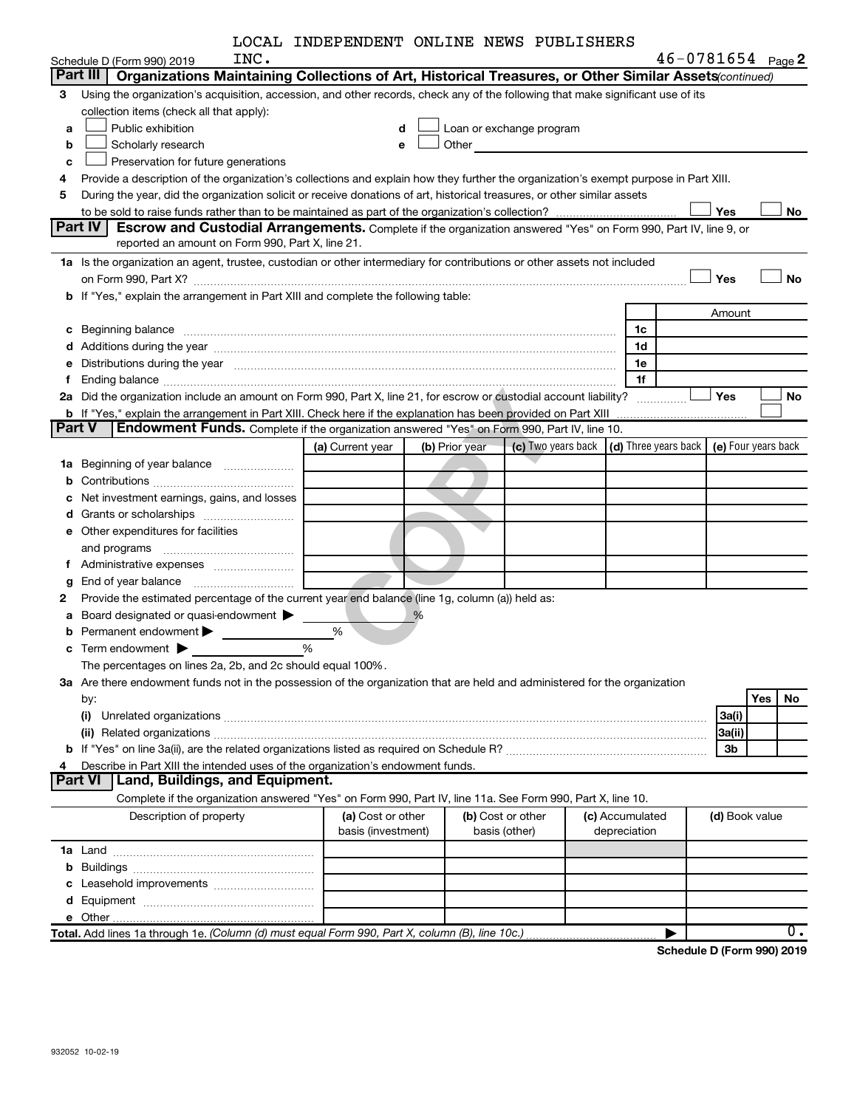| LOCAL INDEPENDENT ONLINE NEWS PUBLISHERS |  |  |
|------------------------------------------|--|--|
|                                          |  |  |

|               |                                                                                                                                                                                                                                | LOCAL INDEPENDENT ONLINE NEWS PUBLISHERS |                |                                                                                                                                                                                                                               |                 |                |                       |
|---------------|--------------------------------------------------------------------------------------------------------------------------------------------------------------------------------------------------------------------------------|------------------------------------------|----------------|-------------------------------------------------------------------------------------------------------------------------------------------------------------------------------------------------------------------------------|-----------------|----------------|-----------------------|
|               | INC.<br>Schedule D (Form 990) 2019                                                                                                                                                                                             |                                          |                |                                                                                                                                                                                                                               |                 |                | $46 - 0781654$ Page 2 |
|               | Part III<br>Organizations Maintaining Collections of Art, Historical Treasures, or Other Similar Assets(continued)                                                                                                             |                                          |                |                                                                                                                                                                                                                               |                 |                |                       |
| з             | Using the organization's acquisition, accession, and other records, check any of the following that make significant use of its                                                                                                |                                          |                |                                                                                                                                                                                                                               |                 |                |                       |
|               | collection items (check all that apply):                                                                                                                                                                                       |                                          |                |                                                                                                                                                                                                                               |                 |                |                       |
| a             | Public exhibition                                                                                                                                                                                                              | d                                        |                | Loan or exchange program                                                                                                                                                                                                      |                 |                |                       |
| b             | Scholarly research                                                                                                                                                                                                             | e                                        |                | Other and the contract of the contract of the contract of the contract of the contract of the contract of the contract of the contract of the contract of the contract of the contract of the contract of the contract of the |                 |                |                       |
| c             | Preservation for future generations                                                                                                                                                                                            |                                          |                |                                                                                                                                                                                                                               |                 |                |                       |
| 4             | Provide a description of the organization's collections and explain how they further the organization's exempt purpose in Part XIII.                                                                                           |                                          |                |                                                                                                                                                                                                                               |                 |                |                       |
| 5             | During the year, did the organization solicit or receive donations of art, historical treasures, or other similar assets                                                                                                       |                                          |                |                                                                                                                                                                                                                               |                 |                |                       |
|               |                                                                                                                                                                                                                                |                                          |                |                                                                                                                                                                                                                               |                 | Yes            | No                    |
|               | Part IV<br>Escrow and Custodial Arrangements. Complete if the organization answered "Yes" on Form 990, Part IV, line 9, or                                                                                                     |                                          |                |                                                                                                                                                                                                                               |                 |                |                       |
|               | reported an amount on Form 990, Part X, line 21.                                                                                                                                                                               |                                          |                |                                                                                                                                                                                                                               |                 |                |                       |
|               | 1a Is the organization an agent, trustee, custodian or other intermediary for contributions or other assets not included                                                                                                       |                                          |                |                                                                                                                                                                                                                               |                 |                |                       |
|               | on Form 990, Part X? [11] matter contracts and contracts and contracts are contracted as a function of the set of the set of the set of the set of the set of the set of the set of the set of the set of the set of the set o |                                          |                |                                                                                                                                                                                                                               |                 | Yes            | <b>No</b>             |
|               | b If "Yes," explain the arrangement in Part XIII and complete the following table:                                                                                                                                             |                                          |                |                                                                                                                                                                                                                               |                 |                |                       |
|               |                                                                                                                                                                                                                                |                                          |                |                                                                                                                                                                                                                               |                 | Amount         |                       |
| с             | Beginning balance                                                                                                                                                                                                              |                                          |                |                                                                                                                                                                                                                               | 1c              |                |                       |
| d             |                                                                                                                                                                                                                                |                                          |                |                                                                                                                                                                                                                               | 1d              |                |                       |
| е             | Distributions during the year manufactured and continuum control of the state of the control of the state of the state of the state of the state of the state of the state of the state of the state of the state of the state |                                          |                |                                                                                                                                                                                                                               | 1e              |                |                       |
| f.            |                                                                                                                                                                                                                                |                                          |                |                                                                                                                                                                                                                               | 1f              |                |                       |
| 2a            | Did the organization include an amount on Form 990, Part X, line 21, for escrow or custodial account liability?                                                                                                                |                                          |                |                                                                                                                                                                                                                               |                 | <b>Yes</b>     | <b>No</b>             |
|               | b If "Yes," explain the arrangement in Part XIII. Check here if the explanation has been provided on Part XIII                                                                                                                 |                                          |                |                                                                                                                                                                                                                               |                 |                |                       |
| <b>Part V</b> | <b>Endowment Funds.</b> Complete if the organization answered "Yes" on Form 990, Part IV, line 10.                                                                                                                             |                                          |                |                                                                                                                                                                                                                               |                 |                |                       |
|               |                                                                                                                                                                                                                                | (a) Current year                         | (b) Prior year | (c) Two years back $\vert$ (d) Three years back $\vert$ (e) Four years back                                                                                                                                                   |                 |                |                       |
|               | 1a Beginning of year balance                                                                                                                                                                                                   |                                          |                |                                                                                                                                                                                                                               |                 |                |                       |
| b             |                                                                                                                                                                                                                                |                                          |                |                                                                                                                                                                                                                               |                 |                |                       |
| с             | Net investment earnings, gains, and losses                                                                                                                                                                                     |                                          |                |                                                                                                                                                                                                                               |                 |                |                       |
| d             |                                                                                                                                                                                                                                |                                          |                |                                                                                                                                                                                                                               |                 |                |                       |
|               | e Other expenditures for facilities                                                                                                                                                                                            |                                          |                |                                                                                                                                                                                                                               |                 |                |                       |
|               | and programs                                                                                                                                                                                                                   |                                          |                |                                                                                                                                                                                                                               |                 |                |                       |
|               |                                                                                                                                                                                                                                |                                          |                |                                                                                                                                                                                                                               |                 |                |                       |
| g             |                                                                                                                                                                                                                                |                                          |                |                                                                                                                                                                                                                               |                 |                |                       |
| 2             | Provide the estimated percentage of the current year end balance (line 1g, column (a)) held as:                                                                                                                                |                                          |                |                                                                                                                                                                                                                               |                 |                |                       |
| а             | Board designated or quasi-endowment                                                                                                                                                                                            |                                          |                |                                                                                                                                                                                                                               |                 |                |                       |
| b             | Permanent endowment                                                                                                                                                                                                            | %                                        |                |                                                                                                                                                                                                                               |                 |                |                       |
| С             | Term endowment $\blacktriangleright$                                                                                                                                                                                           | %                                        |                |                                                                                                                                                                                                                               |                 |                |                       |
|               | The percentages on lines 2a, 2b, and 2c should equal 100%                                                                                                                                                                      |                                          |                |                                                                                                                                                                                                                               |                 |                |                       |
|               | 3a Are there endowment funds not in the possession of the organization that are held and administered for the organization                                                                                                     |                                          |                |                                                                                                                                                                                                                               |                 |                |                       |
|               | by:                                                                                                                                                                                                                            |                                          |                |                                                                                                                                                                                                                               |                 |                | Yes<br>No             |
|               | (i)                                                                                                                                                                                                                            |                                          |                |                                                                                                                                                                                                                               |                 | 3a(i)          |                       |
|               |                                                                                                                                                                                                                                |                                          |                |                                                                                                                                                                                                                               |                 | 3a(ii)         |                       |
|               |                                                                                                                                                                                                                                |                                          |                |                                                                                                                                                                                                                               |                 | 3b             |                       |
| 4             | Describe in Part XIII the intended uses of the organization's endowment funds.                                                                                                                                                 |                                          |                |                                                                                                                                                                                                                               |                 |                |                       |
|               | <b>Part VI</b><br>Land, Buildings, and Equipment.                                                                                                                                                                              |                                          |                |                                                                                                                                                                                                                               |                 |                |                       |
|               | Complete if the organization answered "Yes" on Form 990, Part IV, line 11a. See Form 990, Part X, line 10.                                                                                                                     |                                          |                |                                                                                                                                                                                                                               |                 |                |                       |
|               | Description of property                                                                                                                                                                                                        | (a) Cost or other                        |                | (b) Cost or other                                                                                                                                                                                                             | (c) Accumulated | (d) Book value |                       |
|               |                                                                                                                                                                                                                                | basis (investment)                       |                | basis (other)                                                                                                                                                                                                                 | depreciation    |                |                       |
|               |                                                                                                                                                                                                                                |                                          |                |                                                                                                                                                                                                                               |                 |                |                       |
| b             |                                                                                                                                                                                                                                |                                          |                |                                                                                                                                                                                                                               |                 |                |                       |
| c             | Leasehold improvements                                                                                                                                                                                                         |                                          |                |                                                                                                                                                                                                                               |                 |                |                       |
|               |                                                                                                                                                                                                                                |                                          |                |                                                                                                                                                                                                                               |                 |                |                       |
|               |                                                                                                                                                                                                                                |                                          |                |                                                                                                                                                                                                                               |                 |                |                       |
|               | Total. Add lines 1a through 1e. (Column (d) must equal Form 990, Part X, column (B), line 10c.)                                                                                                                                |                                          |                |                                                                                                                                                                                                                               |                 |                | $0$ .                 |

**Schedule D (Form 990) 2019**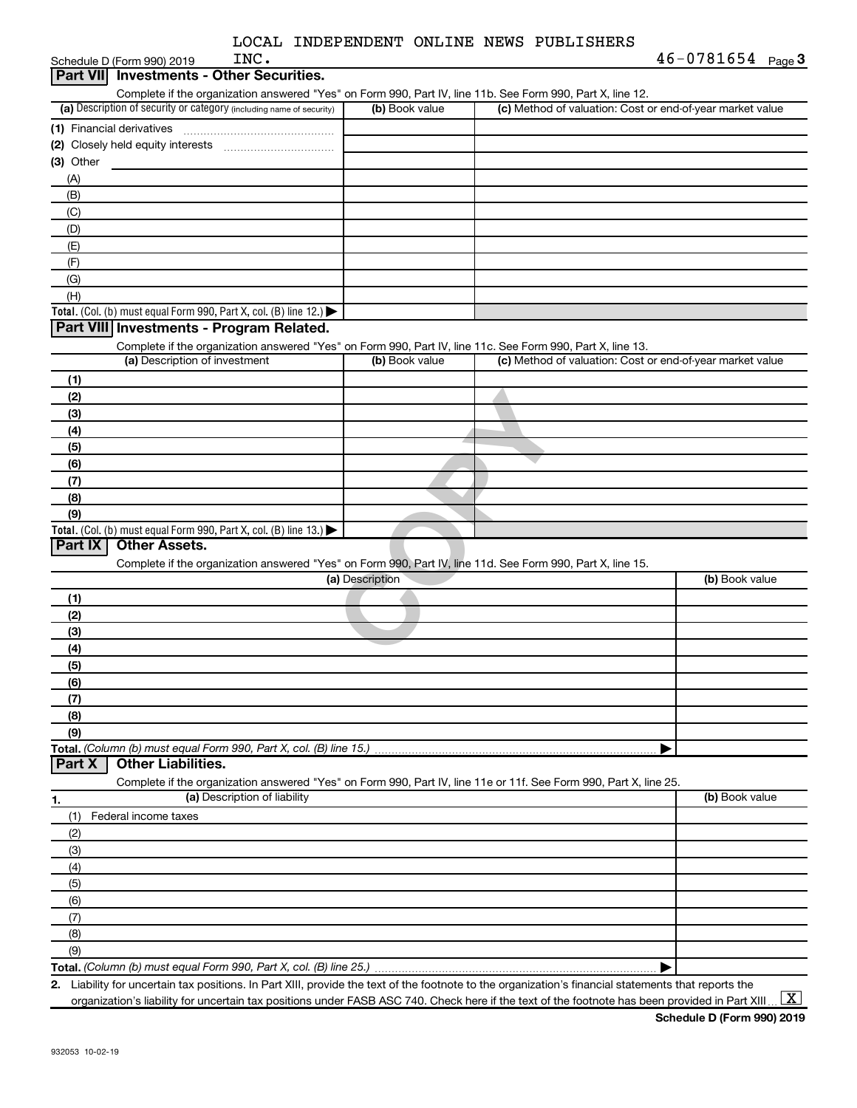| LOCAL INDEPENDENT ONLINE NEWS PUBLISHERS |  |  |  |  |  |
|------------------------------------------|--|--|--|--|--|
|------------------------------------------|--|--|--|--|--|

 $S$ chedule D (Form 990) 2019  $P$ 

| Schedule D (Form 990) 2019      | INC.                                                                                                       |                 |                                                                                                                   | $46 - 0781654$ Page 3 |
|---------------------------------|------------------------------------------------------------------------------------------------------------|-----------------|-------------------------------------------------------------------------------------------------------------------|-----------------------|
| <b>Part VIII</b>                | <b>Investments - Other Securities.</b>                                                                     |                 |                                                                                                                   |                       |
|                                 |                                                                                                            |                 | Complete if the organization answered "Yes" on Form 990, Part IV, line 11b. See Form 990, Part X, line 12.        |                       |
|                                 | (a) Description of security or category (including name of security)                                       | (b) Book value  | (c) Method of valuation: Cost or end-of-year market value                                                         |                       |
| (1) Financial derivatives       |                                                                                                            |                 |                                                                                                                   |                       |
|                                 |                                                                                                            |                 |                                                                                                                   |                       |
| $(3)$ Other                     |                                                                                                            |                 |                                                                                                                   |                       |
| (A)                             |                                                                                                            |                 |                                                                                                                   |                       |
| (B)                             |                                                                                                            |                 |                                                                                                                   |                       |
| (C)                             |                                                                                                            |                 |                                                                                                                   |                       |
| (D)                             |                                                                                                            |                 |                                                                                                                   |                       |
| (E)                             |                                                                                                            |                 |                                                                                                                   |                       |
| (F)                             |                                                                                                            |                 |                                                                                                                   |                       |
| (G)                             |                                                                                                            |                 |                                                                                                                   |                       |
| (H)                             |                                                                                                            |                 |                                                                                                                   |                       |
|                                 | Total. (Col. (b) must equal Form 990, Part X, col. (B) line 12.) $\blacktriangleright$                     |                 |                                                                                                                   |                       |
|                                 | Part VIII Investments - Program Related.                                                                   |                 |                                                                                                                   |                       |
|                                 | Complete if the organization answered "Yes" on Form 990, Part IV, line 11c. See Form 990, Part X, line 13. |                 |                                                                                                                   |                       |
|                                 | (a) Description of investment                                                                              | (b) Book value  | (c) Method of valuation: Cost or end-of-year market value                                                         |                       |
| (1)                             |                                                                                                            |                 |                                                                                                                   |                       |
| (2)                             |                                                                                                            |                 |                                                                                                                   |                       |
|                                 |                                                                                                            |                 |                                                                                                                   |                       |
| (3)                             |                                                                                                            |                 |                                                                                                                   |                       |
| (4)                             |                                                                                                            |                 |                                                                                                                   |                       |
| (5)                             |                                                                                                            |                 |                                                                                                                   |                       |
| (6)                             |                                                                                                            |                 |                                                                                                                   |                       |
| (7)                             |                                                                                                            |                 |                                                                                                                   |                       |
| (8)                             |                                                                                                            |                 |                                                                                                                   |                       |
| (9)                             |                                                                                                            |                 |                                                                                                                   |                       |
|                                 | Total. (Col. (b) must equal Form 990, Part X, col. (B) line 13.)                                           |                 |                                                                                                                   |                       |
| Part IX<br><b>Other Assets.</b> |                                                                                                            |                 |                                                                                                                   |                       |
|                                 |                                                                                                            |                 | Complete if the organization answered "Yes" on Form 990, Part IV, line 11d. See Form 990, Part X, line 15.        |                       |
|                                 |                                                                                                            | (a) Description |                                                                                                                   | (b) Book value        |
| (1)                             |                                                                                                            |                 |                                                                                                                   |                       |
| (2)                             |                                                                                                            |                 |                                                                                                                   |                       |
| (3)                             |                                                                                                            |                 |                                                                                                                   |                       |
| (4)                             |                                                                                                            |                 |                                                                                                                   |                       |
| (5)                             |                                                                                                            |                 |                                                                                                                   |                       |
| (6)                             |                                                                                                            |                 |                                                                                                                   |                       |
| (7)                             |                                                                                                            |                 |                                                                                                                   |                       |
| (8)                             |                                                                                                            |                 |                                                                                                                   |                       |
| (9)                             |                                                                                                            |                 |                                                                                                                   |                       |
|                                 | Total. (Column (b) must equal Form 990, Part X, col. (B) line 15.).                                        |                 |                                                                                                                   |                       |
| Part X                          | <b>Other Liabilities.</b>                                                                                  |                 |                                                                                                                   |                       |
|                                 |                                                                                                            |                 | Complete if the organization answered "Yes" on Form 990, Part IV, line 11e or 11f. See Form 990, Part X, line 25. |                       |
| 1.                              | (a) Description of liability                                                                               |                 |                                                                                                                   | (b) Book value        |
| (1)<br>Federal income taxes     |                                                                                                            |                 |                                                                                                                   |                       |
| (2)                             |                                                                                                            |                 |                                                                                                                   |                       |
| (3)                             |                                                                                                            |                 |                                                                                                                   |                       |
| (4)                             |                                                                                                            |                 |                                                                                                                   |                       |
| (5)                             |                                                                                                            |                 |                                                                                                                   |                       |
| (6)                             |                                                                                                            |                 |                                                                                                                   |                       |
| (7)                             |                                                                                                            |                 |                                                                                                                   |                       |
| (8)                             |                                                                                                            |                 |                                                                                                                   |                       |
| (9)                             |                                                                                                            |                 |                                                                                                                   |                       |
|                                 | Total. (Column (b) must equal Form 990, Part X, col. (B) line 25.)                                         |                 |                                                                                                                   |                       |
|                                 |                                                                                                            |                 |                                                                                                                   |                       |

**2.** Liability for uncertain tax positions. In Part XIII, provide the text of the footnote to the organization's financial statements that reports the organization's liability for uncertain tax positions under FASB ASC 740. Check here if the text of the footnote has been provided in Part XIII ...  $\fbox{\bf X}$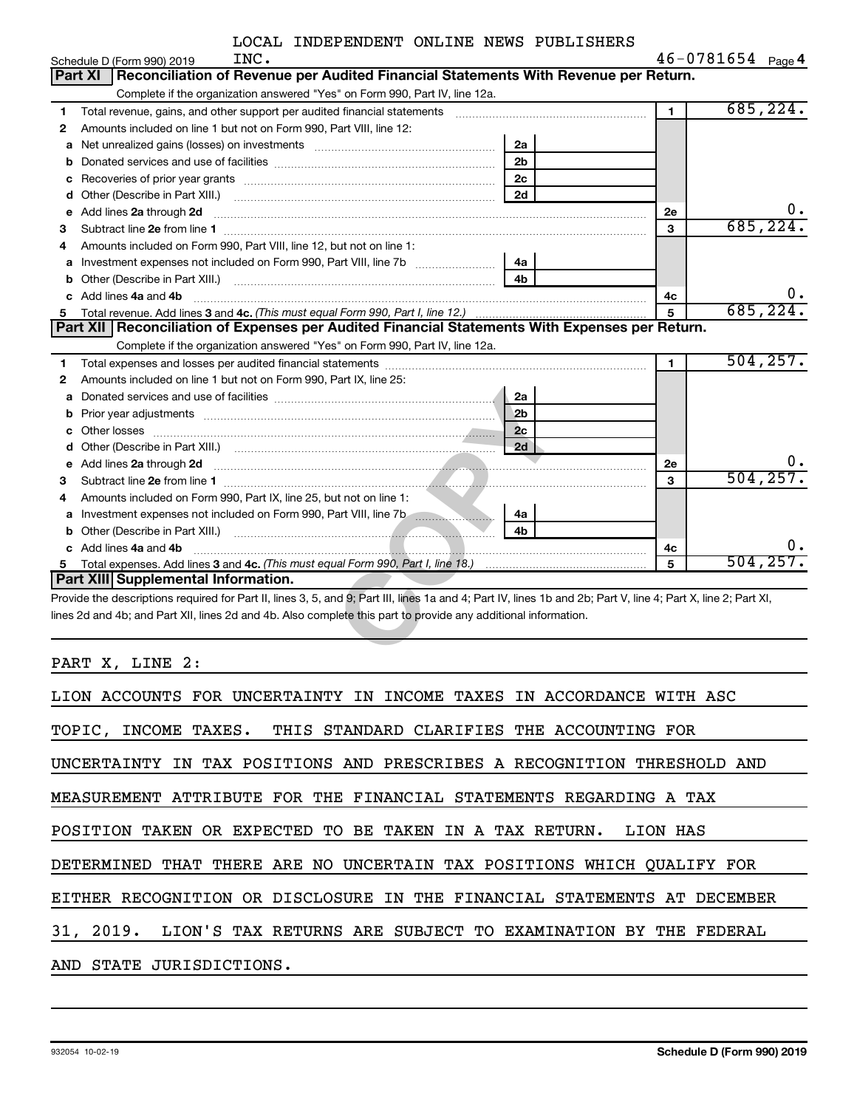| $46 - 0781654$ Page 4 |  |
|-----------------------|--|
|-----------------------|--|

|    | INC.<br>Schedule D (Form 990) 2019                                                                                                                                                                                                                                               |                |                | $46 - 0781654$ Page 4 |
|----|----------------------------------------------------------------------------------------------------------------------------------------------------------------------------------------------------------------------------------------------------------------------------------|----------------|----------------|-----------------------|
|    | Reconciliation of Revenue per Audited Financial Statements With Revenue per Return.<br>Part XI                                                                                                                                                                                   |                |                |                       |
|    | Complete if the organization answered "Yes" on Form 990, Part IV, line 12a.                                                                                                                                                                                                      |                |                |                       |
| 1  | Total revenue, gains, and other support per audited financial statements                                                                                                                                                                                                         |                | $\blacksquare$ | 685, 224.             |
| 2  | Amounts included on line 1 but not on Form 990, Part VIII, line 12:                                                                                                                                                                                                              |                |                |                       |
| a  |                                                                                                                                                                                                                                                                                  | 2a             |                |                       |
| b  |                                                                                                                                                                                                                                                                                  | 2 <sub>b</sub> |                |                       |
| с  |                                                                                                                                                                                                                                                                                  | 2c             |                |                       |
| d  | Other (Describe in Part XIII.)                                                                                                                                                                                                                                                   | 2d             |                |                       |
| е  | Add lines 2a through 2d                                                                                                                                                                                                                                                          |                | <b>2e</b>      |                       |
| 3  |                                                                                                                                                                                                                                                                                  |                | 3              | 685,224               |
| 4  | Amounts included on Form 990, Part VIII, line 12, but not on line 1:                                                                                                                                                                                                             |                |                |                       |
| a  |                                                                                                                                                                                                                                                                                  | 4a             |                |                       |
| b  | Other (Describe in Part XIII.)                                                                                                                                                                                                                                                   |                |                |                       |
| c. | Add lines 4a and 4b                                                                                                                                                                                                                                                              |                | 4с             | ο.                    |
|    | Total revenue. Add lines 3 and 4c. (This must equal Form 990, Part I, line 12.)                                                                                                                                                                                                  |                | 5              | 685,224.              |
|    | Part XII   Reconciliation of Expenses per Audited Financial Statements With Expenses per Return.                                                                                                                                                                                 |                |                |                       |
|    | Complete if the organization answered "Yes" on Form 990, Part IV, line 12a.                                                                                                                                                                                                      |                |                |                       |
| 1  |                                                                                                                                                                                                                                                                                  |                | $\blacksquare$ | 504, 257.             |
| 2  | Amounts included on line 1 but not on Form 990, Part IX, line 25:                                                                                                                                                                                                                |                |                |                       |
| a  |                                                                                                                                                                                                                                                                                  | 2a             |                |                       |
| b  | Prior year adjustments <i>www.www.www.www.www.www.www.www.www.</i> ww.                                                                                                                                                                                                           | 2 <sub>b</sub> |                |                       |
| c  |                                                                                                                                                                                                                                                                                  | 2c             |                |                       |
| d  |                                                                                                                                                                                                                                                                                  | 2d             |                |                       |
| е  | Add lines 2a through 2d <b>contained a contained a contact of the contact of the contact of the contact of the contact of the contact of the contact of the contact of the contact of the contact of the contact of the contact </b>                                             |                | <b>2e</b>      |                       |
| 3  |                                                                                                                                                                                                                                                                                  |                | 3              | 504, 257.             |
| 4  | Amounts included on Form 990, Part IX, line 25, but not on line 1:                                                                                                                                                                                                               |                |                |                       |
| a  |                                                                                                                                                                                                                                                                                  | 4a             |                |                       |
| b  | Other (Describe in Part XIII.) (2008) 2014 12:30 12:30 12:30 12:30 12:30 12:30 12:30 12:30 12:30 12:30 12:30 1                                                                                                                                                                   | 4 <sub>h</sub> |                |                       |
|    | Add lines 4a and 4b                                                                                                                                                                                                                                                              |                | 4с             | О.                    |
| 5  |                                                                                                                                                                                                                                                                                  |                | 5              | 504, 257.             |
|    | Part XIII Supplemental Information.                                                                                                                                                                                                                                              |                |                |                       |
|    | Provide the descriptions required for Part II, lines 3, 5, and 9; Part III, lines 1a and 4; Part IV, lines 1b and 2b; Part V, line 4; Part X, line 2; Part XI,<br>lines 2d and 4b; and Part XII, lines 2d and 4b. Also complete this part to provide any additional information. |                |                |                       |

PART X, LINE 2:

| LION ACCOUNTS FOR UNCERTAINTY IN INCOME TAXES IN ACCORDANCE WITH ASC     |  |  |  |  |  |  |
|--------------------------------------------------------------------------|--|--|--|--|--|--|
| TOPIC, INCOME TAXES. THIS STANDARD CLARIFIES THE ACCOUNTING FOR          |  |  |  |  |  |  |
| UNCERTAINTY IN TAX POSITIONS AND PRESCRIBES A RECOGNITION THRESHOLD AND  |  |  |  |  |  |  |
| MEASUREMENT ATTRIBUTE FOR THE FINANCIAL STATEMENTS REGARDING A TAX       |  |  |  |  |  |  |
| POSITION TAKEN OR EXPECTED TO BE TAKEN IN A TAX RETURN. LION HAS         |  |  |  |  |  |  |
| DETERMINED THAT THERE ARE NO UNCERTAIN TAX POSITIONS WHICH QUALIFY FOR   |  |  |  |  |  |  |
| EITHER RECOGNITION OR DISCLOSURE IN THE FINANCIAL STATEMENTS AT DECEMBER |  |  |  |  |  |  |
| 31, 2019. LION'S TAX RETURNS ARE SUBJECT TO EXAMINATION BY THE FEDERAL   |  |  |  |  |  |  |
| AND STATE JURISDICTIONS.                                                 |  |  |  |  |  |  |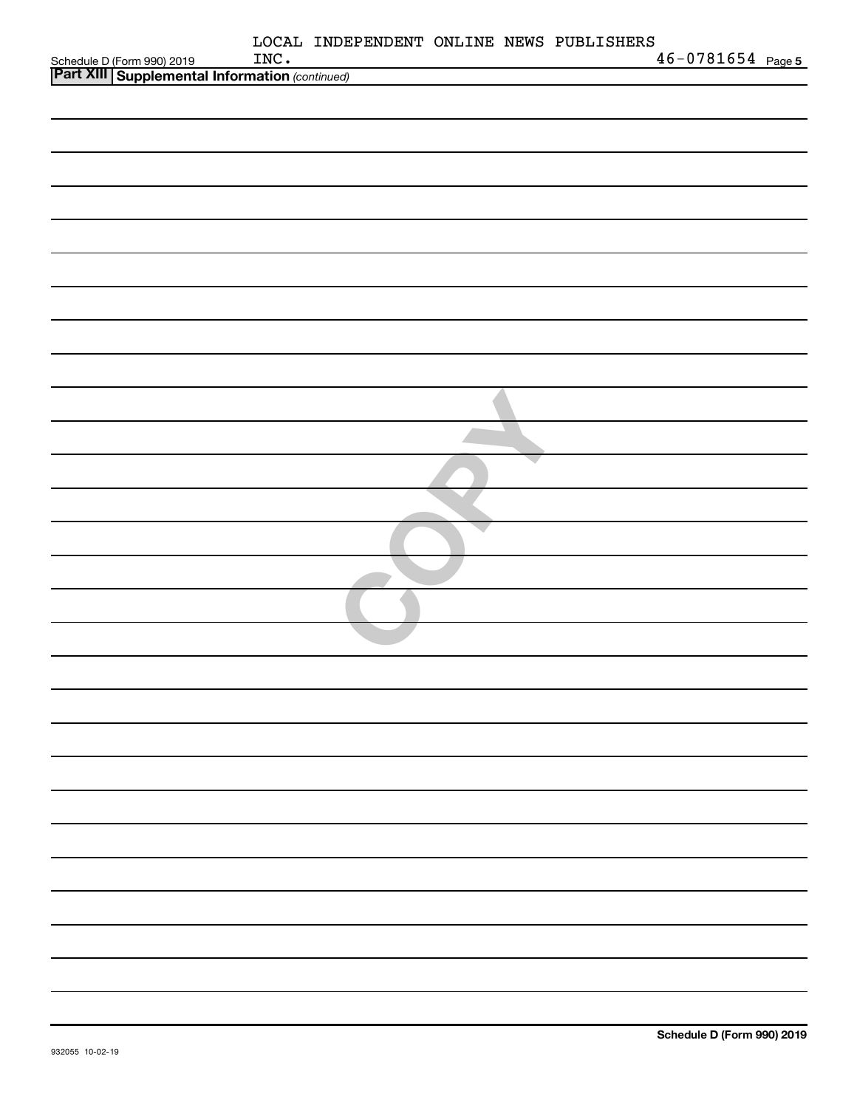| Schedule D (Form 990) 2019 INC.<br><b>Part XIII Supplemental Information</b> (continued) | INC. | LOCAL INDEPENDENT ONLINE NEWS PUBLISHERS | $46 - 0781654$ Page 5 |
|------------------------------------------------------------------------------------------|------|------------------------------------------|-----------------------|
|                                                                                          |      |                                          |                       |
|                                                                                          |      |                                          |                       |
|                                                                                          |      |                                          |                       |
|                                                                                          |      |                                          |                       |
|                                                                                          |      |                                          |                       |
|                                                                                          |      |                                          |                       |
|                                                                                          |      |                                          |                       |
|                                                                                          |      |                                          |                       |
|                                                                                          |      |                                          |                       |
|                                                                                          |      |                                          |                       |
|                                                                                          |      |                                          |                       |
|                                                                                          |      |                                          |                       |
|                                                                                          |      |                                          |                       |
|                                                                                          |      |                                          |                       |
|                                                                                          |      |                                          |                       |
|                                                                                          |      |                                          |                       |
|                                                                                          |      |                                          |                       |
|                                                                                          |      |                                          |                       |
|                                                                                          |      |                                          |                       |
|                                                                                          |      |                                          |                       |
|                                                                                          |      |                                          |                       |
|                                                                                          |      |                                          |                       |
|                                                                                          |      |                                          |                       |
|                                                                                          |      |                                          |                       |
|                                                                                          |      |                                          |                       |
|                                                                                          |      |                                          |                       |
|                                                                                          |      |                                          |                       |
|                                                                                          |      |                                          |                       |
|                                                                                          |      |                                          |                       |
|                                                                                          |      |                                          |                       |
|                                                                                          |      |                                          |                       |
|                                                                                          |      |                                          |                       |
|                                                                                          |      |                                          |                       |
|                                                                                          |      |                                          |                       |
|                                                                                          |      |                                          |                       |
|                                                                                          |      |                                          |                       |
|                                                                                          |      |                                          |                       |
|                                                                                          |      |                                          |                       |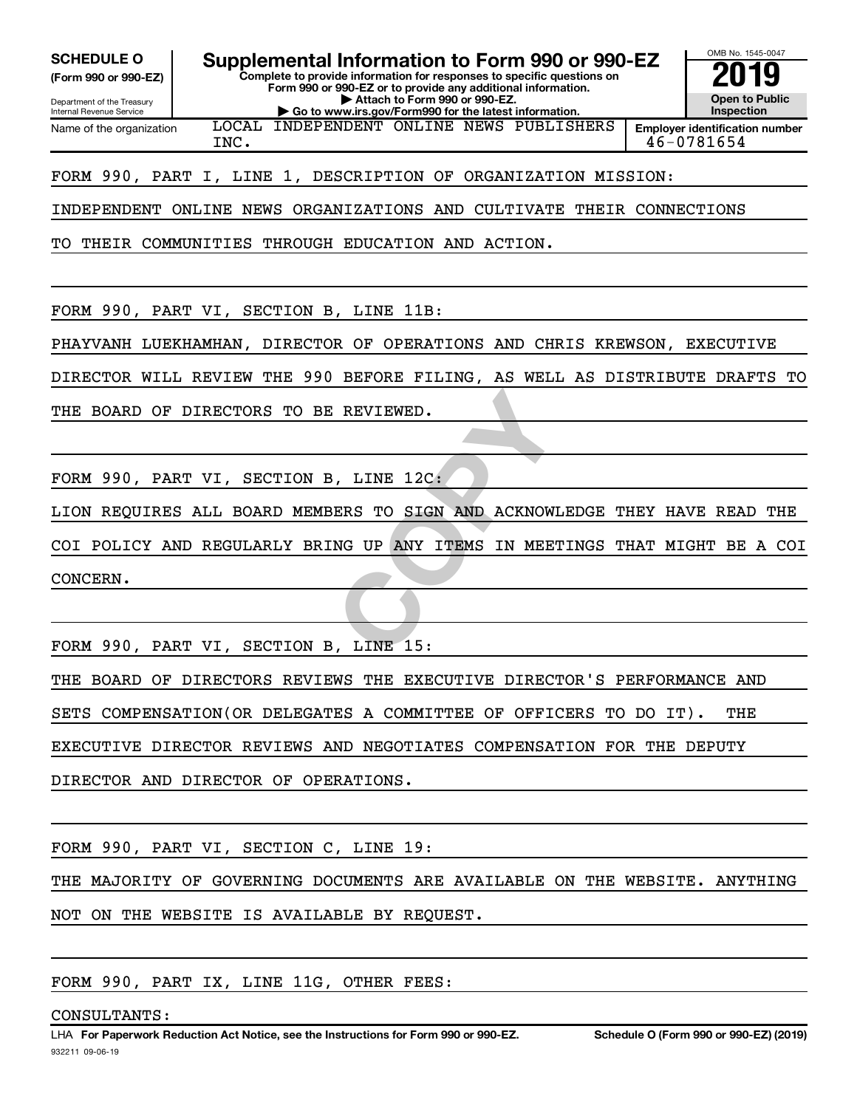**(Form 990 or 990-EZ)**

**Complete to provide information for responses to specific questions on Form 990 or 990-EZ or to provide any additional information. | Attach to Form 990 or 990-EZ. SCHEDULE O Supplemental Information to Form 990 or 990-EZ 2019**

Department of the Treasury Internal Revenue Service Name of the organization

**| Go to www.irs.gov/Form990 for the latest information.** LOCAL INDEPENDENT ONLINE NEWS PUBLISHERS

**Employer identification number** INC. 46-0781654

OMB No. 1545-0047

**Open to Public Inspection**

FORM 990, PART I, LINE 1, DESCRIPTION OF ORGANIZATION MISSION:

INDEPENDENT ONLINE NEWS ORGANIZATIONS AND CULTIVATE THEIR CONNECTIONS

TO THEIR COMMUNITIES THROUGH EDUCATION AND ACTION.

FORM 990, PART VI, SECTION B, LINE 11B:

PHAYVANH LUEKHAMHAN, DIRECTOR OF OPERATIONS AND CHRIS KREWSON, EXECUTIVE

DIRECTOR WILL REVIEW THE 990 BEFORE FILING, AS WELL AS DISTRIBUTE DRAFTS TO

THE BOARD OF DIRECTORS TO BE REVIEWED.

FORM 990, PART VI, SECTION B, LINE 12C:

LION REQUIRES ALL BOARD MEMBERS TO SIGN AND ACKNOWLEDGE THEY HAVE READ THE

REVIEWED.<br>
, LINE 12C:<br>
ERS TO SIGN AND ACKNOWLEDGE<br>
NG UP ANY ITEMS IN MEETINGS<br>
, LINE 15: COI POLICY AND REGULARLY BRING UP ANY ITEMS IN MEETINGS THAT MIGHT BE A COI CONCERN.

FORM 990, PART VI, SECTION B, LINE 15:

THE BOARD OF DIRECTORS REVIEWS THE EXECUTIVE DIRECTOR'S PERFORMANCE AND

SETS COMPENSATION(OR DELEGATES A COMMITTEE OF OFFICERS TO DO IT). THE

EXECUTIVE DIRECTOR REVIEWS AND NEGOTIATES COMPENSATION FOR THE DEPUTY

DIRECTOR AND DIRECTOR OF OPERATIONS.

FORM 990, PART VI, SECTION C, LINE 19:

THE MAJORITY OF GOVERNING DOCUMENTS ARE AVAILABLE ON THE WEBSITE. ANYTHING NOT ON THE WEBSITE IS AVAILABLE BY REQUEST.

FORM 990, PART IX, LINE 11G, OTHER FEES:

CONSULTANTS: